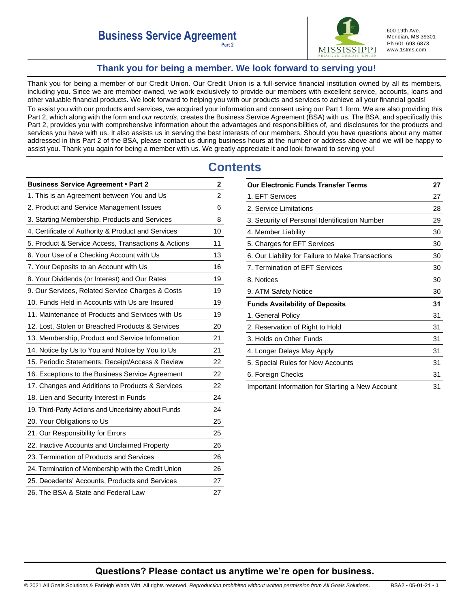

600 19th Ave. Meridian, MS 39301 Ph 601-693-6873 www.1stms.com

## **Thank you for being a member. We look forward to serving you!**

<span id="page-0-0"></span>Thank you for being a member of our Credit Union. Our Credit Union is a full-service financial institution owned by all its members, including you. Since we are member-owned, we work exclusively to provide our members with excellent service, accounts, loans and other valuable financial products. We look forward to helping you with our products and services to achieve all your financial goals!

To assist you with our products and services, we acquired your information and consent using our Part 1 form. We are also providing this Part 2, which along with the form and *our records*, creates the Business Service Agreement (BSA) with us. The BSA, and specifically this Part 2, provides you with comprehensive information about the advantages and responsibilities of, and disclosures for the products and services you have with us. It also assists us in serving the best interests of our members. Should you have questions about any matter addressed in this Part 2 of the BSA, please contact us during business hours at the number or address above and we will be happy to assist you. Thank you again for being a member with us. We greatly appreciate it and look forward to serving you!

# **Contents**

| <b>Business Service Agreement • Part 2</b>          | $\mathbf 2$    |
|-----------------------------------------------------|----------------|
| 1. This is an Agreement between You and Us          | $\overline{c}$ |
| 2. Product and Service Management Issues            | 6              |
| 3. Starting Membership, Products and Services       | 8              |
| 4. Certificate of Authority & Product and Services  | 10             |
| 5. Product & Service Access, Transactions & Actions | 11             |
| 6. Your Use of a Checking Account with Us           | 13             |
| 7. Your Deposits to an Account with Us              | 16             |
| 8. Your Dividends (or Interest) and Our Rates       | 19             |
| 9. Our Services, Related Service Charges & Costs    | 19             |
| 10. Funds Held in Accounts with Us are Insured      | 19             |
| 11. Maintenance of Products and Services with Us    | 19             |
| 12. Lost, Stolen or Breached Products & Services    | 20             |
| 13. Membership, Product and Service Information     | 21             |
| 14. Notice by Us to You and Notice by You to Us     | 21             |
| 15. Periodic Statements: Receipt/Access & Review    | 22             |
| 16. Exceptions to the Business Service Agreement    | 22             |
| 17. Changes and Additions to Products & Services    | 22             |
| 18. Lien and Security Interest in Funds             | 24             |
| 19. Third-Party Actions and Uncertainty about Funds | 24             |
| 20. Your Obligations to Us                          | 25             |
| 21. Our Responsibility for Errors                   | 25             |
| 22. Inactive Accounts and Unclaimed Property        | 26             |
| 23. Termination of Products and Services            | 26             |
| 24. Termination of Membership with the Credit Union | 26             |
| 25. Decedents' Accounts, Products and Services      | 27             |
| 26. The BSA & State and Federal Law                 | 27             |

| <b>Our Electronic Funds Transfer Terms</b>        | 27 |
|---------------------------------------------------|----|
| 1. EFT Services                                   | 27 |
| 2. Service Limitations                            | 28 |
| 3. Security of Personal Identification Number     | 29 |
| 4. Member Liability                               | 30 |
| 5. Charges for EFT Services                       | 30 |
| 6. Our Liability for Failure to Make Transactions | 30 |
| 7. Termination of EFT Services                    | 30 |
| 8. Notices                                        | 30 |
| 9. ATM Safety Notice                              | 30 |
| <b>Funds Availability of Deposits</b>             | 31 |
| 1. General Policy                                 | 31 |
| 2. Reservation of Right to Hold                   | 31 |
| 3. Holds on Other Funds                           | 31 |
| 4. Longer Delays May Apply                        | 31 |
| 5. Special Rules for New Accounts                 | 31 |
| 6. Foreign Checks                                 | 31 |
| Important Information for Starting a New Account  | 31 |

## **Questions? Please contact us anytime we're open for business.**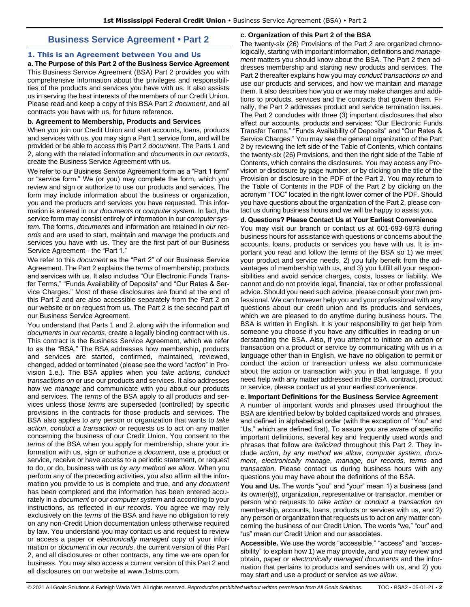## **Business Service Agreement • Part 2**

## <span id="page-1-1"></span><span id="page-1-0"></span>**1. This is an Agreement between You and Us**

**a. The Purpose of this Part 2 of the Business Service Agreement**  This Business Service Agreement (BSA) Part 2 provides you with comprehensive information about the privileges and responsibilities of the products and services you have with us. It also assists us in serving the best interests of the members of our Credit Union. Please read and keep a copy of this BSA Part 2 *document*, and all contracts you have with us, for future reference.

#### **b. Agreement to Membership, Products and Services**

When you join our Credit Union and start accounts, loans, products and services with us, you may sign a Part 1 service form, and will be provided or be able to access this Part 2 *document*. The Parts 1 and 2, along with the related information and *documents* in *our records*, create the Business Service Agreement with us.

We refer to our Business Service Agreement form as a "Part 1 form" or "service form." We (or you) may complete the form, which you review and sign or authorize to use our products and services. The form may include information about the business or organization, you and the products and services you have requested. This information is entered in our *documents* or *computer system*. In fact, the service form may consist entirely of information in our *computer system*. The forms, *documents* and information are retained in *our records* and are used to start, maintain and *manage* the products and services you have with us. They are the first part of our Business Service Agreement-- the "Part 1."

We refer to this *document* as the "Part 2" of our Business Service Agreement. The Part 2 explains the *terms* of membership, products and services with us. It also includes "Our Electronic Funds Transfer Terms," "Funds Availability of Deposits" and "Our Rates & Service Charges." Most of these disclosures are found at the end of this Part 2 and are also accessible separately from the Part 2 on our website or on request from us. The Part 2 is the second part of our Business Service Agreement.

You understand that Parts 1 and 2, along with the information and *documents* in *our records*, create a legally binding contract with us. This contract is the Business Service Agreement, which we refer to as the "BSA." The BSA addresses how membership, products and services are started, confirmed, maintained, reviewed, changed, added or terminated (please see the word "*action*" in Provision 1.e.). The BSA applies when you *take actions, conduct transactions on* or use our products and services. It also addresses how we *manage* and communicate with you about our products and services. The *terms* of the BSA apply to all products and services unless those *terms* are superseded (controlled) by specific provisions in the contracts for those products and services. The BSA also applies to any person or organization that wants to *take action*, *conduct a transaction* or requests us to act on any matter concerning the business of our Credit Union. You consent to the *terms* of the BSA when you apply for membership, share your information with us, sign or authorize a *document*, use a product or service, receive or have access to a periodic statement, or request to do, or do, business with us *by any method we allow*. When you perform any of the preceding activities, you also affirm all the information you provide to us is complete and true, and any *document* has been completed and the information has been entered accurately in a *document* or our *computer system* and according to your instructions, as reflected in *our records*. You agree we may rely exclusively on the *terms* of the BSA and have no obligation to rely on any non-Credit Union documentation unless otherwise required by law. You understand you may contact us and request to review or access a paper or *electronically managed* copy of your information or *document* in *our records*, the current version of this Part 2, and all disclosures or other contracts, any time we are open for business. You may also access a current version of this Part 2 and all disclosures on our website at www.1stms.com.

### **c. Organization of this Part 2 of the BSA**

The twenty-six (26) Provisions of the Part 2 are organized chronologically, starting with important information, definitions and *management* matters you should know about the BSA. The Part 2 then addresses membership and starting new products and services. The Part 2 thereafter explains how you may *conduct transactions on* and use our products and services, and how we maintain and *manage*  them. It also describes how you or we may make changes and additions to products, services and the contracts that govern them. Finally, the Part 2 addresses product and service termination issues. The Part 2 concludes with three (3) important disclosures that also affect our accounts, products and services: "Our Electronic Funds Transfer Terms," "Funds Availability of Deposits" and "Our Rates & Service Charges." You may see the general organization of the Part 2 by reviewing the left side of the Table of Contents, which contains the twenty-six (26) Provisions, and then the right side of the Table of Contents, which contains the disclosures. You may access any Provision or disclosure by page number, or by clicking on the title of the Provision or disclosure in the PDF of the Part 2. You may return to the Table of Contents in the PDF of the Part 2 by clicking on the acronym "TOC" located in the right lower corner of the PDF. Should you have questions about the organization of the Part 2, please contact us during business hours and we will be happy to assist you.

## **d. Questions? Please Contact Us at Your Earliest Convenience**

You may visit our branch or contact us at 601-693-6873 during business hours for assistance with questions or concerns about the accounts, loans, products or services you have with us. It is important you read and follow the terms of the BSA so 1) we meet your product and service needs, 2) you fully benefit from the advantages of membership with us, and 3) you fulfill all your responsibilities and avoid service charges, costs, losses or liability. We cannot and do not provide legal, financial, tax or other professional advice. Should you need such advice, please consult your own professional. We can however help you and your professional with any questions about our credit union and its products and services, which we are pleased to do anytime during business hours. The BSA is written in English. It is your responsibility to get help from someone you choose if you have any difficulties in reading or understanding the BSA. Also, if you attempt to initiate an action or transaction on a product or service by communicating with us in a language other than in English, we have no obligation to permit or conduct the action or transaction unless we also communicate about the action or transaction with you in that language. If you need help with any matter addressed in the BSA, contract, product or service, please contact us at your earliest convenience.

#### **e. Important Definitions for the Business Service Agreement**

A number of important words and phrases used throughout the BSA are identified below by bolded capitalized words and phrases, and defined in alphabetical order (with the exception of "You" and "Us," which are defined first). To assure you are aware of specific important definitions, several key and frequently used words and phrases that follow are *italicized* throughout this Part 2. They include *action*, *by any method we allow*, *computer system*, *document*, *electronically manage, manage, our records, terms* and *transaction*. Please contact us during business hours with any questions you may have about the definitions of the BSA.

**You and Us.** The words "you" and "your" mean 1) a business (and its owner(s)), organization, representative or transactor, member or person who requests to *take action* or *conduct a transaction on* membership, accounts, loans, products or services with us, and 2) any person or organization that requests us to act on any matter concerning the business of our Credit Union. The words "we," "our" and "us" mean our Credit Union and our associates.

**Accessible.** We use the words "accessible," "access" and "accessibility" to explain how 1) we may provide**,** and you may review and obtain**,** paper or *electronically managed documents* and the information that pertains to products and services with us, and 2) you may start and use a product or service *as we allow.*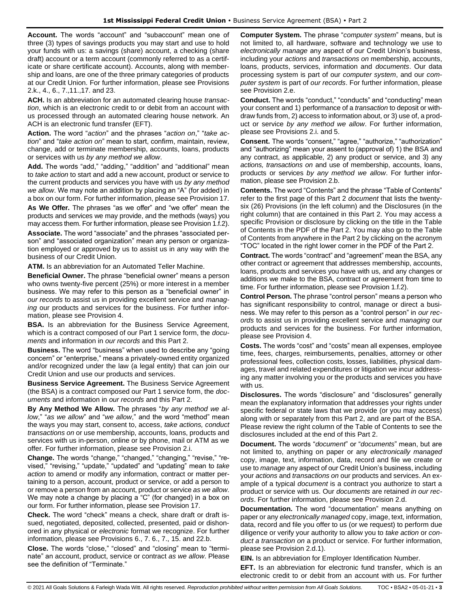**Account.** The words "account" and "subaccount" mean one of three (3) types of savings products you may start and use to hold your funds with us: a savings (share) account, a checking (share draft) account or a term account (commonly referred to as a certificate or share certificate account). Accounts, along with membership and loans, are one of the three primary categories of products at our Credit Union. For further information, please see Provisions 2.k., 4., 6., 7.,11.,17. and 23.

**ACH.** Is an abbreviation for an automated clearing house *transaction*, which is an electronic credit to or debit from an account with us processed through an automated clearing house network. An ACH is an electronic fund transfer (EFT).

**Action.** The word "*action*" and the phrases "*action on*," "*take action*" and "*take action on*" mean to start, confirm, maintain, review, change, add or terminate membership, accounts, loans, products or services with us *by any method we allow*.

**Add.** The words "add," "adding," "addition" and "additional" mean to *take action* to start and add a new account, product or service to the current products and services you have with us *by any method we allow*. We may note an addition by placing an "A" (for added) in a box on our form. For further information, please see Provision 17.

**As We Offer.** The phrases "as we offer" and "we offer" mean the products and services we may provide, and the methods (ways) you may access them. For further information, please see Provision 1.f.2).

**Associate.** The word "associate" and the phrases "associated person" and "associated organization" mean any person or organization employed or approved by us to assist us in any way with the business of our Credit Union.

**ATM.** Is an abbreviation for an Automated Teller Machine.

**Beneficial Owner.** The phrase "beneficial owner" means a person who owns twenty-five percent (25%) or more interest in a member business. We may refer to this person as a "beneficial owner" in *our records* to assist us in providing excellent service and *managing* our products and services for the business. For further information, please see Provision 4.

**BSA.** Is an abbreviation for the Business Service Agreement, which is a contract composed of our Part 1 service form, the *documents* and information in *our records* and this Part 2.

**Business.** The word "business" when used to describe any "going concern" or "enterprise," means a privately-owned entity organized and/or recognized under the law (a legal entity) that can join our Credit Union and use our products and services.

**Business Service Agreement.** The Business Service Agreement (the BSA) is a contract composed our Part 1 service form, the *documents* and information in *our records* and this Part 2.

**By Any Method We Allow.** The phrases "*by any method we allow*," "*as we allow*" and "*we allow*," and the word "method" mean the ways you may start, consent to, access, *take actions, conduct transactions on* or use membership, accounts, loans, products and services with us in-person, online or by phone, mail or ATM as we offer. For further information, please see Provision 2.i.

**Change.** The words "change," "changed," "changing," "revise," "revised," "revising," "update," "updated" and "updating" mean to *take action* to amend or modify any information, contract or matter pertaining to a person, account, product or service, or add a person to or remove a person from an account, product or service *as we allow*. We may note a change by placing a "C" (for changed) in a box on our form. For further information, please see Provision 17.

**Check.** The word "check" means a check, share draft or draft issued, negotiated, deposited, collected, presented, paid or dishonored in any physical or *electronic* format we recognize. For further information, please see Provisions 6., 7. 6., 7., 15. and 22.b.

**Close.** The words "close," "closed" and "closing" mean to "terminate" an account, product, service or contract *as we allow*. Please see the definition of "Terminate."

**Computer System.** The phrase "*computer system*" means, but is not limited to, all hardware, software and technology we use to *electronically manage* any aspect of our Credit Union's business, including your *actions* and *transactions on* membership, accounts, loans, products, services, information and *documents*. Our data processing system is part of our *computer system*, and our *computer system* is part of *our records*. For further information, please see Provision 2.e.

**Conduct.** The words "conduct," "conducts" and "conducting" mean your consent and 1) performance of a *transaction* to deposit or withdraw funds from, 2) access to information about, or 3) use of, a product or service *by any method we allow*. For further information, please see Provisions 2.i. and 5.

**Consent.** The words "consent," "agree," "authorize," "authorization" and "authorizing" mean your assent to (approval of) 1) the BSA and any contract, as applicable, 2) any product or service, and 3) any *actions, transactions on* and use of membership, accounts, loans, products or services *by any method we allow*. For further information, please see Provision 2.b.

**Contents.** The word "Contents" and the phrase "Table of Contents" refer to the first page of this Part 2 *document* that lists the twentysix (26) Provisions (in the left column) and the Disclosures (in the right column) that are contained in this Part 2. You may access a specific Provision or disclosure by clicking on the title in the Table of Contents in the PDF of the Part 2. You may also go to the Table of Contents from anywhere in the Part 2 by clicking on the acronym "TOC" located in the right lower corner in the PDF of the Part 2.

**Contract.** The words "contract" and "agreement" mean the BSA, any other contract or agreement that addresses membership, accounts, loans, products and services you have with us, and any changes or additions we make to the BSA, contract or agreement from time to time. For further information, please see Provision 1.f.2).

**Control Person.** The phrase "control person" means a person who has significant responsibility to control, manage or direct a business. We may refer to this person as a "control person" in *our records* to assist us in providing excellent service and *managing* our products and services for the business. For further information, please see Provision 4.

**Costs.** The words "cost" and "costs" mean all expenses, employee time, fees, charges, reimbursements, penalties, attorney or other professional fees, collection costs, losses, liabilities, physical damages, travel and related expenditures or litigation we incur addressing any matter involving you or the products and services you have with us.

**Disclosures.** The words "disclosure" and "disclosures" generally mean the explanatory information that addresses your rights under specific federal or state laws that we provide (or you may access) along with or separately from this Part 2, and are part of the BSA. Please review the right column of the Table of Contents to see the disclosures included at the end of this Part 2.

**Document.** The words "*document*" or "*documents*" mean, but are not limited to, anything on paper or any *electronically managed*  copy, image, text, information, data, record and file we create or use to *manage* any aspect of our Credit Union's business, including your *actions* and *transactions on* our products and services. An example of a typical *document* is a contract you authorize to start a product or service with us. Our *documents* are retained *in our records*. For further information, please see Provision 2.d.

**Documentation.** The word "documentation" means anything on paper or any *electronically managed* copy, image, text, information, data, record and file you offer to us (or we request) to perform due diligence or verify your authority to allow you to *take action* or *conduct a transaction on* a product or service. For further information, please see Provision 2.d.1).

**EIN.** Is an abbreviation for Employer Identification Number.

**EFT.** Is an abbreviation for electronic fund transfer, which is an electronic credit to or debit from an account with us. For further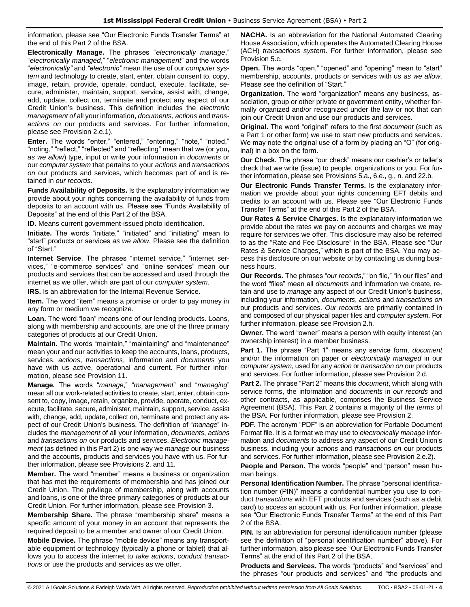information, please see "Our Electronic Funds Transfer Terms" at the end of this Part 2 of the BSA.

**Electronically Manage.** The phrases "*electronically manage*," "*electronically managed*," "*electronic management*" and the words "*electronically"* and *"electronic"* mean the use of our *computer system* and technology to create, start, enter, obtain consent to, copy, image, retain, provide, operate, conduct, execute, facilitate, secure, administer, maintain, support, service, assist with, change, add, update, collect on, terminate and protect any aspect of our Credit Union's business. This definition includes the *electronic management of* all your information, *documents*, *actions* and *transactions on* our products and services. For further information, please see Provision 2.e.1).

Enter. The words "enter," "entered," "entering," "note," "noted," "noting," "reflect," "reflected" and "reflecting" mean that we (or you**,** *as we allow*) type, input or write your information in *documents* or our *computer system* that pertains to your *actions* and *transactions on* our products and services, which becomes part of and is retained in *our records*.

**Funds Availability of Deposits.** Is the explanatory information we provide about your rights concerning the availability of funds from deposits to an account with us. Please see "Funds Availability of Deposits" at the end of this Part 2 of the BSA.

**ID.** Means current government-issued photo identification.

**Initiate.** The words "initiate," "initiated" and "initiating" mean to "start" products or services *as we allow*. Please see the definition of "Start."

**Internet Service**. The phrases "internet service," "internet services," "e-commerce services" and "online services" mean our products and services that can be accessed and used through the internet as we offer, which are part of our *computer system*.

**IRS.** Is an abbreviation for the Internal Revenue Service.

**Item.** The word "item" means a promise or order to pay money in any form or medium we recognize.

**Loan.** The word "loan" means one of our lending products. Loans, along with membership and accounts, are one of the three primary categories of products at our Credit Union.

**Maintain.** The words "maintain," "maintaining" and "maintenance" mean your and our activities to keep the accounts, loans, products, services, *actions*, *transactions*, information and *documents* you have with us active, operational and current. For further information, please see Provision 11.

**Manage.** The words "*manage*," "*management*" and "*managing*" mean all our work-related activities to create, start, enter, obtain consent to, copy, image, retain, organize, provide, operate, conduct, execute, facilitate, secure, administer, maintain, support, service, assist with, change, add, update, collect on, terminate and protect any aspect of our Credit Union's business. The definition of "*manage*" includes the *management* of all your information, *documents*, *actions* and *transactions on* our products and services. *Electronic management* (as defined in this Part 2) is one way we *manage* our business and the accounts, products and services you have with us. For further information, please see Provisions 2. and 11.

**Member.** The word "member" means a business or organization that has met the requirements of membership and has joined our Credit Union. The privilege of membership, along with accounts and loans, is one of the three primary categories of products at our Credit Union. For further information, please see Provision 3.

**Membership Share.** The phrase "membership share" means a specific amount of your money in an account that represents the required deposit to be a member and owner of our Credit Union.

**Mobile Device.** The phrase "mobile device" means any transportable equipment or technology (typically a phone or tablet) that allows you to access the internet to *take actions*, *conduct transactions* or use the products and services as we offer.

**NACHA.** Is an abbreviation for the National Automated Clearing House Association, which operates the Automated Clearing House (ACH) *transactions system*. For further information, please see Provision 5.c.

**Open.** The words "open," "opened" and "opening" mean to "start" membership, accounts, products or services with us *as we allow*. Please see the definition of "Start."

**Organization.** The word "organization" means any business, association, group or other private or government entity, whether formally organized and/or recognized under the law or not that can join our Credit Union and use our products and services.

**Original.** The word "original" refers to the first *document* (such as a Part 1 or other form) we use to start new products and services. We may note the original use of a form by placing an "O" (for original) in a box on the form.

**Our Check.** The phrase "our check" means our cashier's or teller's check that we write (issue) to people, organizations or you. For further information, please see Provisions 5.a., 6.e., g., n. and 22.b.

**Our Electronic Funds Transfer Terms.** Is the explanatory information we provide about your rights concerning EFT debits and credits to an account with us. Please see "Our Electronic Funds Transfer Terms" at the end of this Part 2 of the BSA.

**Our Rates & Service Charges.** Is the explanatory information we provide about the rates we pay on accounts and charges we may require for services we offer. This disclosure may also be referred to as the "Rate and Fee Disclosure" in the BSA. Please see "Our Rates & Service Charges," which is part of the BSA. You may access this disclosure on our website or by contacting us during business hours.

**Our Records.** The phrases "*our records*," "on file," "in our files" and the word "files" mean all *documents* and information we create, retain and use to *manage* any aspect of our Credit Union's business, including your information, *documents*, *actions* and *transactions on* our products and services. *Our records* are primarily contained in and composed of our physical paper files and *computer system*. For further information, please see Provision 2.h.

**Owner.** The word "owner" means a person with equity interest (an ownership interest) in a member business.

**Part 1.** The phrase "Part 1" means any service form, *document* and/or the information on paper or *electronically managed* in our *computer system*, used for any *action* or *transaction on* our products and services. For further information, please see Provision 2.d.

**Part 2.** The phrase "Part 2" means this *document*, which along with service forms, the information and *documents* in *our records* and other contracts, as applicable, comprises the Business Service Agreement (BSA). This Part 2 contains a majority of the *terms* of the BSA. For further information, please see Provision 2.

**PDF.** The acronym "PDF" is an abbreviation for Portable Document Format file. It is a format we may use to *electronically manage* information and *documents* to address any aspect of our Credit Union's business, including your *actions* and *transactions on* our products and services. For further information, please see Provision 2.e.2).

**People and Person.** The words "people" and "person" mean human beings.

**Personal Identification Number.** The phrase "personal identification number (PIN)" means a confidential number you use to conduct *transactions* with EFT products and services (such as a debit card) to access an account with us. For further information, please see "Our Electronic Funds Transfer Terms" at the end of this Part 2 of the BSA.

PIN. Is an abbreviation for personal identification number (please see the definition of "personal identification number" above). For further information, also please see "Our Electronic Funds Transfer Terms" at the end of this Part 2 of the BSA.

**Products and Services.** The words "products" and "services" and the phrases "our products and services" and "the products and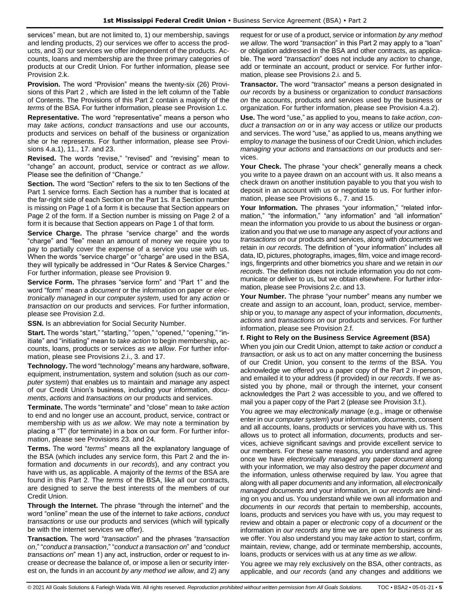services" mean, but are not limited to, 1) our membership, savings and lending products, 2) our services we offer to access the products, and 3) our services we offer independent of the products. Accounts, loans and membership are the three primary categories of products at our Credit Union. For further information, please see Provision 2 k.

**Provision.** The word "Provision" means the twenty-six (26) Provisions of this Part 2 , which are listed in the left column of the Table of Contents. The Provisions of this Part 2 contain a majority of the *terms* of the BSA. For further information, please see Provision 1.c.

**Representative.** The word "representative" means a person who may *take actions*, *conduct transactions* and use our accounts, products and services on behalf of the business or organization she or he represents. For further information, please see Provisions 4.a.1), 11., 17. and 23.

**Revised.** The words "revise," "revised" and "revising" mean to "change" an account, product, service or contract *as we allow*. Please see the definition of "Change."

**Section.** The word "Section" refers to the six to ten Sections of the Part 1 service forms. Each Section has a number that is located at the far-right side of each Section on the Part 1s. If a Section number is missing on Page 1 of a form it is because that Section appears on Page 2 of the form. If a Section number is missing on Page 2 of a form it is because that Section appears on Page 1 of that form.

**Service Charge.** The phrase "service charge" and the words "charge" and "fee" mean an amount of money we require you to pay to partially cover the expense of a service you use with us. When the words "service charge" or "charge" are used in the BSA, they will typically be addressed in "Our Rates & Service Charges." For further information, please see Provision 9.

**Service Form.** The phrases "service form" and "Part 1" and the word "form" mean a *document* or the information on paper or *electronically managed* in our *computer system*, used for any *action* or *transaction on* our products and services. For further information, please see Provision 2.d.

**SSN.** Is an abbreviation for Social Security Number.

**Start.** The words "start," "starting," "open," "opened," "opening," "initiate" and "initiating" mean to *take action* to begin membership**,** accounts, loans, products or services *as we allow*. For further information, please see Provisions 2.i., 3. and 17.

**Technology.** The word "technology" means any hardware, software, equipment, instrumentation, system and solution (such as our *computer system*) that enables us to maintain and *manage* any aspect of our Credit Union's business, including your information, *documents*, *actions* and *transactions on* our products and services.

**Terminate.** The words "terminate" and "close" mean to *take action* to end and no longer use an account, product, service, contract or membership with us *as we allow*. We may note a termination by placing a "T" (for terminate) in a box on our form. For further information, please see Provisions 23. and 24.

**Terms.** The word "*terms*" means all the explanatory language of the BSA (which includes any service form, this Part 2 and the information and *documents* in *our records*), and any contract you have with us, as applicable. A majority of the *terms* of the BSA are found in this Part 2. The *terms* of the BSA, like all our contracts, are designed to serve the best interests of the members of our Credit Union.

**Through the Internet.** The phrase "through the internet" and the word "online" mean the use of the internet to *take actions*, *conduct transactions* or use our products and services (which will typically be with the internet services we offer).

**Transaction.** The word "*transaction*" and the phrases "*transaction on*," "*conduct a transaction*," "*conduct a transaction on*" and "*conduct transactions on*" mean 1) any act, instruction, order or request to increase or decrease the balance of, or impose a lien or security interest on, the funds in an account *by any method we allow*, and 2) any

request for or use of a product, service or information *by any method we allow*. The word "*transaction*" in this Part 2 may apply to a "loan" or obligation addressed in the BSA and other contracts, as applicable. The word "*transaction*" does not include any *action* to change, add or terminate an account, product or service. For further information, please see Provisions 2.i. and 5.

**Transactor.** The word "transactor" means a person designated in *our records* by a business or organization to *conduct transactions on* the accounts, products and services used by the business or organization. For further information, please see Provision 4.a.2).

**Use.** The word "use," as applied to you, means to *take action*, *conduct a transaction on* or in any way access or utilize our products and services. The word "use," as applied to us, means anything we employ to *manage* the business of our Credit Union, which includes *managing* your *actions* and *transactions on* our products and services.

**Your Check.** The phrase "your check" generally means a check you write to a payee drawn on an account with us. It also means a check drawn on another institution payable to you that you wish to deposit in an account with us or negotiate to us. For further information, please see Provisions 6., 7. and 15.

**Your Information.** The phrases "your information," "related information," "the information," "any information" and "all information" mean the information you provide to us about the business or organization and you that we use to *manage* any aspect of your *actions* and *transactions on* our products and services, along with *documents* we retain in *our records*. The definition of "your information" includes all data, ID, pictures, photographs, images, film, voice and image recordings, fingerprints and other biometrics you share and we retain in *our records*. The definition does not include information you do not communicate or deliver to us, but we obtain elsewhere. For further information, please see Provisions 2.c. and 13.

**Your Number.** The phrase "your number" means any number we create and assign to an account, loan, product, service, membership or you, to *manage* any aspect of your information, *documents*, *actions* and *transactions on* our products and services. For further information, please see Provision 2.f.

#### **f. Right to Rely on the Business Service Agreement (BSA)**

When you join our Credit Union, attempt to *take action* or *conduct a transaction,* or ask us to act on any matter concerning the business of our Credit Union, you consent to the *terms* of the BSA. You acknowledge we offered you a paper copy of the Part 2 in-person, and emailed it to your address (if provided) in *our records*. If we assisted you by phone, mail or through the internet, your consent acknowledges the Part 2 was accessible to you, and we offered to mail you a paper copy of the Part 2 (please see Provision 3.f.).

You agree we may *electronically manage* (e.g., image or otherwise enter in our *computer system*) your information, *documents*, consent and all accounts, loans, products or services you have with us. This allows us to protect all information, *documents,* products and services, achieve significant savings and provide excellent service to our members. For these same reasons, you understand and agree once we have *electronically managed* any paper *document* along with your information*,* we may also destroy the paper *document* and the information, unless otherwise required by law. You agree that along with all paper *documents* and any information*,* all *electronically managed documents* and your information, in *our records* are binding on you and us. You understand while we own all information and *documents* in *our records* that pertain to membership, accounts, loans, products and services you have with us, you may request to review and obtain a paper or *electronic* copy of a *document* or the information in *our records* any time we are open for business or as we offer. You also understand you may *take action* to start, confirm, maintain, review, change, add or terminate membership, accounts, loans, products or services with us at any time *as we allow*.

You agree we may rely exclusively on the BSA, other contracts, as applicable, and *our records* (and any changes and additions we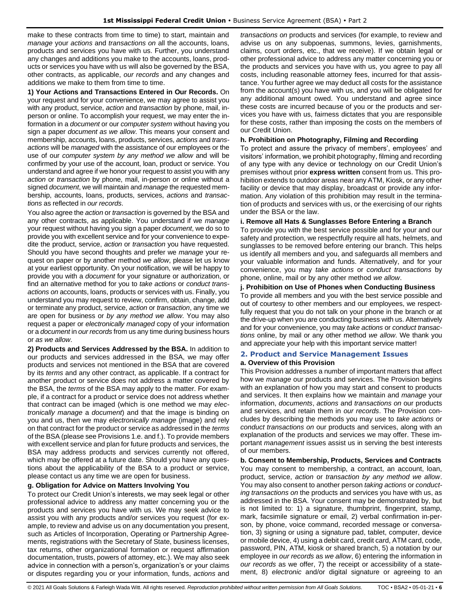make to these contracts from time to time) to start, maintain and *manage* your *actions* and *transactions on* all the accounts, loans, products and services you have with us. Further, you understand any changes and additions you make to the accounts, loans, products or services you have with us will also be governed by the BSA, other contracts, as applicable, *our records* and any changes and additions we make to them from time to time.

**1) Your Actions and Transactions Entered in Our Records.** On your request and for your convenience, we may agree to assist you with any product, service, *action* and *transaction* by phone, mail, inperson or online. To accomplish your request, we may enter the information in a *document* or our *computer system* without having you sign a paper *document as we allow*. This means your consent and membership, accounts, loans, products, services, *actions* and *transactions* will be *managed* with the assistance of our employees or the use of our *computer system by any method we allow* and will be confirmed by your use of the account, loan, product or service. You understand and agree if we honor your request to assist you with any *action* or *transaction* by phone, mail, in-person or online without a signed *document*, we will maintain and *manage* the requested membership, accounts, loans, products, services, *actions* and *transactions* as reflected in *our records*.

You also agree the *action* or *transaction* is governed by the BSA and any other contracts, as applicable. You understand if we *manage* your request without having you sign a paper *document*, we do so to provide you with excellent service and for your convenience to expedite the product, service, *action* or *transaction* you have requested. Should you have second thoughts and prefer we *manage* your request on paper or by another method *we allow*, please let us know at your earliest opportunity. On your notification, we will be happy to provide you with a *document* for your signature or authorization, or find an alternative method for you to *take actions* or *conduct transactions on* accounts, loans, products or services with us. Finally, you understand you may request to review, confirm, obtain, change, add or terminate any product, service, *action* or *transaction*, any time we are open for business or *by any method we allow*. You may also request a paper or *electronically managed* copy of your information or a *document* in *our records* from us any time during business hours or *as we allow*.

**2) Products and Services Addressed by the BSA.** In addition to our products and services addressed in the BSA, we may offer products and services not mentioned in the BSA that are covered by its *terms* and any other contract, as applicable. If a contract for another product or service does not address a matter covered by the BSA, the *terms* of the BSA may apply to the matter. For example, if a contract for a product or service does not address whether that contract can be imaged (which is one method we may *electronically manage* a *document*) and that the image is binding on you and us, then we may *electronically manage* (image) and rely on that contract for the product or service as addressed in the *terms* of the BSA (please see Provisions 1.e. and f.). To provide members with excellent service and plan for future products and services, the BSA may address products and services currently not offered, which may be offered at a future date. Should you have any questions about the applicability of the BSA to a product or service, please contact us any time we are open for business.

#### **g. Obligation for Advice on Matters Involving You**

To protect our Credit Union's interests, we may seek legal or other professional advice to address any matter concerning you or the products and services you have with us. We may seek advice to assist you with any products and/or services you request (for example, to review and advise us on any documentation you present, such as Articles of Incorporation, Operating or Partnership Agreements, registrations with the Secretary of State, business licenses, tax returns, other organizational formation or request affirmation documentation, trusts, powers of attorney, etc.). We may also seek advice in connection with a person's, organization's or your claims or disputes regarding you or your information, funds, *actions* and

*transactions on* products and services (for example, to review and advise us on any subpoenas, summons, levies, garnishments, claims, court orders, etc., that we receive). If we obtain legal or other professional advice to address any matter concerning you or the products and services you have with us, you agree to pay all costs, including reasonable attorney fees, incurred for that assistance. You further agree we may deduct all costs for the assistance from the account(s) you have with us, and you will be obligated for any additional amount owed. You understand and agree since these costs are incurred because of you or the products and services you have with us, fairness dictates that you are responsible for these costs, rather than imposing the costs on the members of our Credit Union.

#### **h. Prohibition on Photography, Filming and Recording**

To protect and assure the privacy of members', employees' and visitors' information, we prohibit photography, filming and recording of any type with any device or technology on our Credit Union's premises without prior **express written** consent from us. This prohibition extends to outdoor areas near any ATM, Kiosk, or any other facility or device that may display, broadcast or provide any information. Any violation of this prohibition may result in the termination of products and services with us, or the exercising of our rights under the BSA or the law.

#### **i. Remove all Hats & Sunglasses Before Entering a Branch**

To provide you with the best service possible and for your and our safety and protection, we respectfully require all hats, helmets, and sunglasses to be removed before entering our branch. This helps us identify all members and you, and safeguards all members and your valuable information and funds. Alternatively, and for your convenience, you may *take actions* or *conduct transactions* by phone, online, mail or by any other method *we allow*.

#### **j. Prohibition on Use of Phones when Conducting Business**

To provide all members and you with the best service possible and out of courtesy to other members and our employees, we respectfully request that you do not talk on your phone in the branch or at the drive-up when you are conducting business with us. Alternatively and for your convenience, you may *take actions* or *conduct transactions* online, by mail or any other method *we allow*. We thank you and appreciate your help with this important service matter!

## <span id="page-5-0"></span>**2. Product and Service Management Issues**

## **a. Overview of this Provision**

This Provision addresses a number of important matters that affect how we *manage* our products and services. The Provision begins with an explanation of how you may start and consent to products and services. It then explains how we maintain and *manage* your information, *documents*, *actions* and *transactions on* our products and services, and retain them in *our records*. The Provision concludes by describing the methods you may use to *take actions* or *conduct transactions on* our products and services, along with an explanation of the products and services we may offer. These important *management* issues assist us in serving the best interests of our members.

**b. Consent to Membership, Products, Services and Contracts**

You may consent to membership, a contract, an account, loan, product, service, *action* or *transaction by any method we allow*. You may also consent to another person *taking actions* or *conducting transactions on* the products and services you have with us, as addressed in the BSA. Your consent may be demonstrated by, but is not limited to: 1) a signature, thumbprint, fingerprint, stamp, mark, facsimile signature or email, 2) verbal confirmation in-person, by phone, voice command, recorded message or conversation, 3) signing or using a signature pad, tablet, computer, device or mobile device, 4) using a debit card, credit card, ATM card, code, password, PIN, ATM, kiosk or shared branch, 5) a notation by our employee in *our records* as *we allow*, 6) entering the information in *our records* as we offer, 7) the receipt or accessibility of a statement, 8) *electronic* and/or digital signature or agreeing to an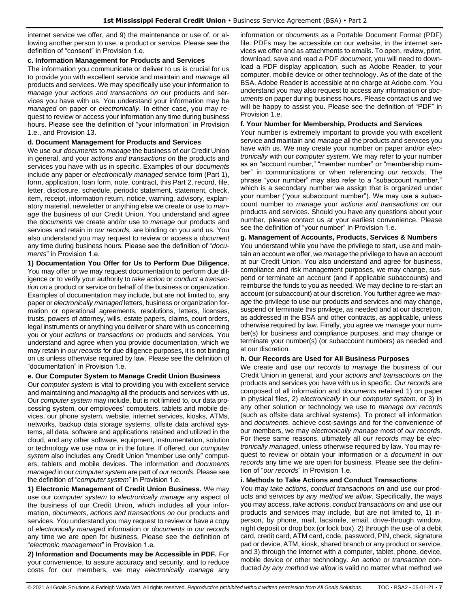internet service we offer, and 9) the maintenance or use of, or allowing another person to use, a product or service. Please see the definition of "consent" in Provision 1.e.

#### **c. Information Management for Products and Services**

The information you communicate or deliver to us is crucial for us to provide you with excellent service and maintain and *manage* all products and services. We may specifically use your information to *manage* your *actions and transactions on* our products and services you have with us. You understand your information may be *managed* on paper or *electronically*. In either case, you may request to review or access your information any time during business hours. Please see the definition of "your information" in Provision 1.e., and Provision 13.

#### **d. Document Management for Products and Services**

We use our *documents* to *manage* the business of our Credit Union in general, and your *actions and transactions on* the products and services you have with us in specific. Examples of our *documents* include any paper or *electronically managed* service form (Part 1), form, application, loan form, note, contract, this Part 2, record, file, letter, disclosure, schedule, periodic statement, statement, check, item, receipt, information return, notice, warning, advisory, explanatory material, newsletter or anything else we create or use to *manage* the business of our Credit Union. You understand and agree the *documents* we create and/or use to *manage* our products and services and retain in *our records,* are binding on you and us. You also understand you may request to review or access a *document*  any time during business hours. Please see the definition of "*documents*" in Provision 1.e.

**1) Documentation You Offer for Us to Perform Due Diligence.** You may offer or we may request documentation to perform due diligence or to verify your authority to *take action* or *conduct a transaction on* a product or service on behalf of the business or organization. Examples of documentation may include, but are not limited to, any paper or *electronically managed* letters, business or organization formation or operational agreements, resolutions, letters, licenses, trusts, powers of attorney, wills, estate papers, claims, court orders, legal instruments or anything you deliver or share with us concerning you or your *actions* or *transactions on* products and services. You understand and agree when you provide documentation, which we may retain in *our records* for due diligence purposes, it is not binding on us unless otherwise required by law. Please see the definition of "documentation" in Provision 1.e.

#### **e. Our Computer System to Manage Credit Union Business**

Our *computer system* is vital to providing you with excellent service and maintaining and *managing* all the products and services with us. Our *computer system* may include, but is not limited to, our data processing system, our employees' computers, tablets and mobile devices, our phone system, website, internet services, kiosks, ATMs, networks, backup data storage systems, offsite data archival systems, all data, software and applications retained and utilized in the cloud, and any other software, equipment, instrumentation, solution or technology we use now or in the future. If offered, our *computer system* also includes any Credit Union "member use only" computers, tablets and mobile devices. The information and *documents managed* in our *computer system* are part of *our records*. Please see the definition of "*computer system*" in Provision 1.e.

**1) Electronic Management of Credit Union Business.** We may use our *computer system* to *electronically manage* any aspect of the business of our Credit Union, which includes all your information, *documents*, *actions and transactions on* our products and services. You understand you may request to review or have a copy of *electronically managed* information or *documents* in *our records* any time we are open for business. Please see the definition of "*electronic management*" in Provision 1.e.

**2) Information and Documents may be Accessible in PDF.** For your convenience, to assure accuracy and security, and to reduce costs for our members, we may *electronically manage* any information or *documents* as a Portable Document Format (PDF) file. PDFs may be accessible on our website, in the internet services we offer and as attachments to emails. To open, review, print, download, save and read a PDF *document*, you will need to download a PDF display application, such as Adobe Reader, to your computer, mobile device or other technology. As of the date of the BSA, Adobe Reader is accessible at no charge at Adobe.com. You understand you may also request to access any information or *documents* on paper during business hours. Please contact us and we will be happy to assist you. Please see the definition of "PDF" in Provision 1.e.

#### **f. Your Number for Membership, Products and Services**

Your number is extremely important to provide you with excellent service and maintain and *manage* all the products and services you have with us. We may create your number on paper and/or *electronically* with our *computer system*. We may refer to your number as an "account number," "member number" or "membership number" in communications or when referencing *our records*. The phrase "your number" may also refer to a "subaccount number," which is a secondary number we assign that is organized under your number ("your subaccount number"). We may use a subaccount number to *manage* your *actions and transactions on* our products and services. Should you have any questions about your number, please contact us at your earliest convenience. Please see the definition of "your number" in Provision 1.e.

#### **g. Management of Accounts, Products, Services & Numbers**

You understand while you have the privilege to start, use and maintain an account we offer, we *manage* the privilege to have an account at our Credit Union. You also understand and agree for business, compliance and risk management purposes, we may change, suspend or terminate an account (and if applicable subaccounts) and reimburse the funds to you as needed. We may decline to re-start an account (or subaccount) at our discretion. You further agree we *manage* the privilege to use our products and services and may change, suspend or terminate this privilege, as needed and at our discretion, as addressed in the BSA and other contracts, as applicable, unless otherwise required by law. Finally, you agree we *manage* your number(s) for business and compliance purposes, and may change or terminate your number(s) (or subaccount numbers) as needed and at our discretion.

#### **h. Our Records are Used for All Business Purposes**

We create and use *our records* to *manage* the business of our Credit Union in general, and your *actions and transactions on* the products and services you have with us in specific. *Our records* are composed of all information and *documents* retained 1) on paper in physical files, 2) *electronically* in our *computer system,* or 3) in any other solution or technology we use to *manage our records* (such as offsite data archival systems). To protect all information and *documents*, achieve cost-savings and for the convenience of our members, we may *electronically manage* most of *our records*. For these same reasons, ultimately all *our records* may be *electronically managed*, unless otherwise required by law. You may request to review or obtain your information or a *document* in *our records* any time we are open for business. Please see the definition of "*our records*" in Provision 1.e.

#### **i. Methods to Take Actions and Conduct Transactions**

You may *take actions*, *conduct transactions on* and use our products and services *by any method we allow*. Specifically, the ways you may access, *take actions*, *conduct transactions on* and use our products and services may include, but are not limited to, 1) inperson, by phone, mail, facsimile, email, drive-through window, night deposit or drop box (or lock box), 2) through the use of a debit card, credit card, ATM card, code, password, PIN, check, signature pad or device, ATM, kiosk, shared branch or any product or service, and 3) through the internet with a computer, tablet, phone, device, mobile device or other technology. An *action* or *transaction* conducted *by any method we allow* is valid no matter what method *we*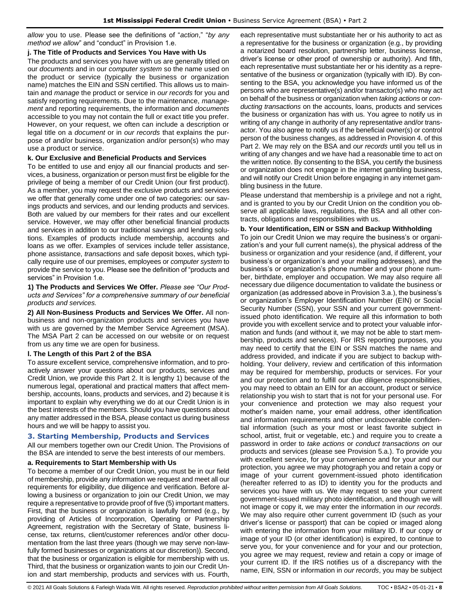*allow* you to use. Please see the definitions of "*action*," "*by any method we allow*" and "conduct" in Provision 1.e.

#### **j. The Title of Products and Services You Have with Us**

The products and services you have with us are generally titled on our *documents* and in our *computer system* so the name used on the product or service (typically the business or organization name) matches the EIN and SSN certified. This allows us to maintain and *manage* the product or service in *our records* for you and satisfy reporting requirements. Due to the maintenance, *management* and reporting requirements, the information and *documents* accessible to you may not contain the full or exact title you prefer. However, on your request, we often can include a description or legal title on a *document* or in *our records* that explains the purpose of and/or business, organization and/or person(s) who may use a product or service.

## **k. Our Exclusive and Beneficial Products and Services**

To be entitled to use and enjoy all our financial products and services, a business, organization or person must first be eligible for the privilege of being a member of our Credit Union (our first product). As a member, you may request the exclusive products and services we offer that generally come under one of two categories: our savings products and services, and our lending products and services. Both are valued by our members for their rates and our excellent service. However, we may offer other beneficial financial products and services in addition to our traditional savings and lending solutions. Examples of products include membership, accounts and loans as we offer. Examples of services include teller assistance, phone assistance, *transactions* and safe deposit boxes, which typically require use of our premises, employees or *computer system* to provide the service to you. Please see the definition of "products and services" in Provision 1.e.

**1) The Products and Services We Offer.** *Please see "Our Products and Services" for a comprehensive summary of our beneficial products and services.*

**2) All Non-Business Products and Services We Offer.** All nonbusiness and non-organization products and services you have with us are governed by the Member Service Agreement (MSA). The MSA Part 2 can be accessed on our website or on request from us any time we are open for business.

## **l. The Length of this Part 2 of the BSA**

To assure excellent service, comprehensive information, and to proactively answer your questions about our products, services and Credit Union, we provide this Part 2. It is lengthy 1) because of the numerous legal, operational and practical matters that affect membership, accounts, loans, products and services, and 2) because it is important to explain why everything we do at our Credit Union is in the best interests of the members. Should you have questions about any matter addressed in the BSA, please contact us during business hours and we will be happy to assist you.

## <span id="page-7-0"></span>**3. Starting Membership, Products and Services**

All our members together own our Credit Union. The Provisions of the BSA are intended to serve the best interests of our members.

#### **a. Requirements to Start Membership with Us**

To become a member of our Credit Union, you must be in our field of membership, provide any information we request and meet all our requirements for eligibility, due diligence and verification. Before allowing a business or organization to join our Credit Union, we may require a representative to provide proof of five (5) important matters. First, that the business or organization is lawfully formed (e.g., by providing of Articles of Incorporation, Operating or Partnership Agreement, registration with the Secretary of State, business license, tax returns, client/customer references and/or other documentation from the last three years (though we may serve non-lawfully formed businesses or organizations at our discretion)). Second, that the business or organization is eligible for membership with us. Third, that the business or organization wants to join our Credit Union and start membership, products and services with us. Fourth,

each representative must substantiate her or his authority to act as a representative for the business or organization (e.g., by providing a notarized board resolution, partnership letter, business license, driver's license or other proof of ownership or authority). And fifth, each representative must substantiate her or his identity as a representative of the business or organization (typically with ID). By consenting to the BSA, you acknowledge you have informed us of the persons who are representative(s) and/or transactor(s) who may act on behalf of the business or organization when *taking actions* or *conducting transactions* on the accounts, loans, products and services the business or organization has with us. You agree to notify us in writing of any change in authority of any representative and/or transactor. You also agree to notify us if the beneficial owner(s) or control person of the business changes, as addressed in Provision 4. of this Part 2. We may rely on the BSA and *our records* until you tell us in writing of any changes and we have had a reasonable time to act on the written notice. By consenting to the BSA, you certify the business or organization does not engage in the internet gambling business, and will notify our Credit Union before engaging in any internet gambling business in the future.

Please understand that membership is a privilege and not a right, and is granted to you by our Credit Union on the condition you observe all applicable laws, regulations, the BSA and all other contracts, obligations and responsibilities with us.

## **b. Your Identification, EIN or SSN and Backup Withholding**

To join our Credit Union we may require the business's or organization's and your full current name(s), the physical address of the business or organization and your residence (and, if different, your business's or organization's and your mailing addresses), and the business's or organization's phone number and your phone number, birthdate, employer and occupation. We may also require all necessary due diligence documentation to validate the business or organization (as addressed above in Provision 3.a.), the business's or organization's Employer Identification Number (EIN) or Social Security Number (SSN), your SSN and your current governmentissued photo identification. We require all this information to both provide you with excellent service and to protect your valuable information and funds (and without it, we may not be able to start membership, products and services). For IRS reporting purposes, you may need to certify that the EIN or SSN matches the name and address provided, and indicate if you are subject to backup withholding. Your delivery, review and certification of this information may be required for membership, products or services. For your and our protection and to fulfill our due diligence responsibilities, you may need to obtain an EIN for an account, product or service relationship you wish to start that is not for your personal use. For your convenience and protection we may also request your mother's maiden name, your email address, other identification and information requirements and other undiscoverable confidential information (such as your most or least favorite subject in school, artist, fruit or vegetable, etc.) and require you to create a password in order to *take actions* or *conduct transactions on* our products and services (please see Provision 5.a.). To provide you with excellent service, for your convenience and for your and our protection, you agree we may photograph you and retain a copy or image of your current government-issued photo identification (hereafter referred to as ID) to identity you for the products and services you have with us. We may request to see your current government-issued military photo identification, and though we will not image or copy it, we may enter the information in *our records*. We may also require other current government ID (such as your driver's license or passport) that can be copied or imaged along with entering the information from your military ID. If our copy or image of your ID (or other identification) is expired, to continue to serve you, for your convenience and for your and our protection, you agree we may request, review and retain a copy or image of your current ID. If the IRS notifies us of a discrepancy with the name, EIN, SSN or information in *our records*, you may be subject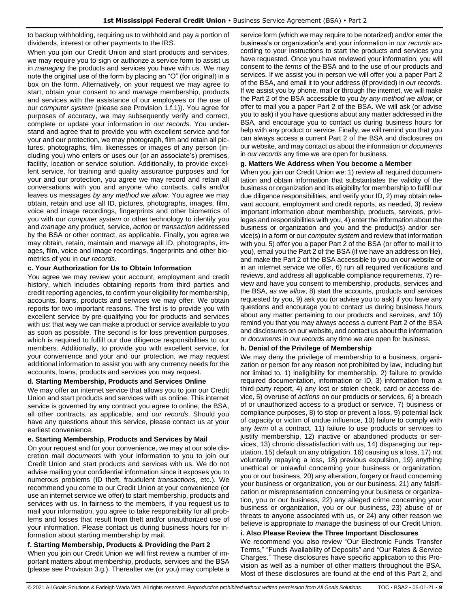to backup withholding, requiring us to withhold and pay a portion of dividends, interest or other payments to the IRS.

When you join our Credit Union and start products and services, we may require you to sign or authorize a service form to assist us in *managing* the products and services you have with us. We may note the original use of the form by placing an "O" (for original) in a box on the form. Alternatively, on your request we may agree to start, obtain your consent to and *manage* membership, products and services with the assistance of our employees or the use of our *computer system* (please see Provision 1.f.1)). You agree for purposes of accuracy, we may subsequently verify and correct, complete or update your information in *our records*. You understand and agree that to provide you with excellent service and for your and our protection, we may photograph, film and retain all pictures, photographs, film, likenesses or images of any person (including you) who enters or uses our (or an associate's) premises, facility, location or service solution. Additionally, to provide excellent service, for training and quality assurance purposes and for your and our protection, you agree we may record and retain all conversations with you and anyone who contacts, calls and/or leaves us messages *by any method we allow*. You agree we may obtain, retain and use all ID, pictures, photographs, images, film, voice and image recordings, fingerprints and other biometrics of you with our *computer system* or other technology to identify you and *manage* any product, service, *action* or *transaction* addressed by the BSA or other contract, as applicable. Finally, you agree we may obtain, retain, maintain and *manage* all ID, photographs, images, film, voice and image recordings, fingerprints and other biometrics of you in *our records*.

#### **c. Your Authorization for Us to Obtain Information**

You agree we may review your account, employment and credit history, which includes obtaining reports from third parties and credit reporting agencies, to confirm your eligibility for membership, accounts, loans, products and services we may offer. We obtain reports for two important reasons. The first is to provide you with excellent service by pre-qualifying you for products and services with us: that way we can make a product or service available to you as soon as possible. The second is for loss prevention purposes, which is required to fulfill our due diligence responsibilities to our members. Additionally, to provide you with excellent service, for your convenience and your and our protection, we may request additional information to assist you with any currency needs for the accounts, loans, products and services you may request.

#### **d. Starting Membership, Products and Services Online**

We may offer an internet service that allows you to join our Credit Union and start products and services with us online. This internet service is governed by any contract you agree to online, the BSA, all other contracts, as applicable, and *our records*. Should you have any questions about this service, please contact us at your earliest convenience.

## **e. Starting Membership, Products and Services by Mail**

On your request and for your convenience, we may at our sole discretion mail *documents* with your information to you to join our Credit Union and start products and services with us. We do not advise mailing your confidential information since it exposes you to numerous problems (ID theft, fraudulent *transactions*, etc.). We recommend you come to our Credit Union at your convenience (or use an internet service we offer) to start membership, products and services with us. In fairness to the members, if you request us to mail your information, you agree to take responsibility for all problems and losses that result from theft and/or unauthorized use of your information. Please contact us during business hours for information about starting membership by mail.

#### **f. Starting Membership, Products & Providing the Part 2**

When you join our Credit Union we will first review a number of important matters about membership, products, services and the BSA (please see Provision 3.g.). Thereafter we (or you) may complete a service form (which we may require to be notarized) and/or enter the business's or organization's and your information in *our records* according to your instructions to start the products and services you have requested. Once you have reviewed your information, you will consent to the *terms* of the BSA and to the use of our products and services. If we assist you in-person we will offer you a paper Part 2 of the BSA, and email it to your address (if provided) in *our records*. If we assist you by phone, mail or through the internet, we will make the Part 2 of the BSA accessible to you *by any method we allow*, or offer to mail you a paper Part 2 of the BSA. We will ask (or advise you to ask) if you have questions about any matter addressed in the BSA, and encourage you to contact us during business hours for help with any product or service. Finally, we will remind you that you can always access a current Part 2 of the BSA and disclosures on our website, and may contact us about the information or *documents*  in *our records* any time we are open for business.

#### **g. Matters We Address when You become a Member**

When you join our Credit Union we: 1) review all required documentation and obtain information that substantiates the validity of the business or organization and its eligibility for membership to fulfill our due diligence responsibilities, and verify your ID, 2) may obtain relevant account, employment and credit reports, as needed, 3) review important information about membership, products, services, privileges and responsibilities with you, 4) enter the information about the business or organization and you and the product(s) and/or service(s) in a form or our *computer system* and review that information with you, 5) offer you a paper Part 2 of the BSA (or offer to mail it to you), email you the Part 2 of the BSA (if we have an address on file), and make the Part 2 of the BSA accessible to you on our website or in an internet service we offer, 6) run all required verifications and reviews, and address all applicable compliance requirements, 7) review and have you consent to membership, products, services and the BSA, *as we allow*, 8) start the accounts, products and services requested by you, 9) ask you (or advise you to ask) if you have any questions and encourage you to contact us during business hours about any matter pertaining to our products and services, *and* 10) remind you that you may always access a current Part 2 of the BSA and disclosures on our website, and contact us about the information or *documents* in *our records* any time we are open for business.

#### **h. Denial of the Privilege of Membership**

We may deny the privilege of membership to a business, organization or person for any reason not prohibited by law, including but not limited to, 1) ineligibility for membership, 2) failure to provide required documentation, information or ID, 3) information from a third-party report, 4) any lost or stolen check, card or access device, 5) overuse of *actions* on our products or services, 6) a breach of or unauthorized access to a product or service, 7) business or compliance purposes, 8) to stop or prevent a loss, 9) potential lack of capacity or victim of undue influence, 10) failure to comply with any *term* of a contract, 11) failure to use products or services to justify membership, 12) inactive or abandoned products or services, 13) chronic dissatisfaction with us, 14) disparaging our reputation, 15) default on any obligation, 16) causing us a loss, 17) not voluntarily repaying a loss, 18) previous expulsion, 19) anything unethical or unlawful concerning your business or organization, you or our business, 20) any alteration, forgery or fraud concerning your business or organization, you or our business, 21) any falsification or misrepresentation concerning your business or organization, you or our business, 22) any alleged crime concerning your business or organization, you or our business, 23) abuse of or threats to anyone associated with us, or 24) any other reason we believe is appropriate to *manage* the business of our Credit Union.

#### **i. Also Please Review the Three Important Disclosures**

We recommend you also review "Our Electronic Funds Transfer Terms," "Funds Availability of Deposits" and "Our Rates & Service Charges." These disclosures have specific application to this Provision as well as a number of other matters throughout the BSA. Most of these disclosures are found at the end of this Part 2, and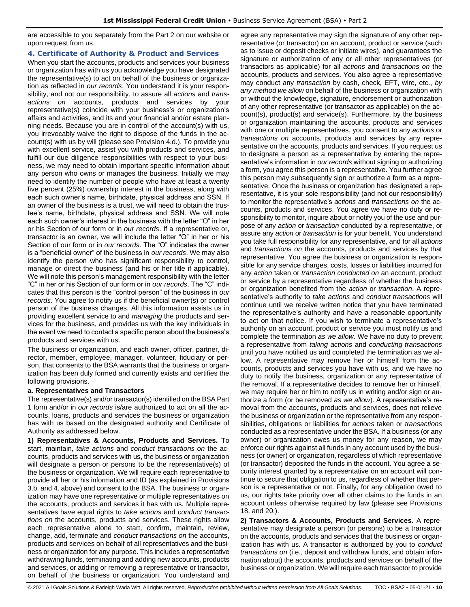are accessible to you separately from the Part 2 on our website or upon request from us.

#### <span id="page-9-0"></span>**4. Certificate of Authority & Product and Services**

When you start the accounts, products and services your business or organization has with us you acknowledge you have designated the representative(s) to act on behalf of the business or organization as reflected in *our records*. You understand it is your responsibility, and not our responsibility, to assure all *actions* and *transactions on* accounts, products and services by your representative(s) coincide with your business's or organization's affairs and activities, and its and your financial and/or estate planning needs. Because you are in control of the account(s) with us, you irrevocably waive the right to dispose of the funds in the account(s) with us by will (please see Provision 4.d.). To provide you with excellent service, assist you with products and services, and fulfill our due diligence responsibilities with respect to your business, we may need to obtain important specific information about any person who owns or manages the business. Initially we may need to identify the number of people who have at least a twenty five percent (25%) ownership interest in the business, along with each such owner's name, birthdate, physical address and SSN. If an owner of the business is a trust, we will need to obtain the trustee's name, birthdate, physical address and SSN. We will note each such owner's interest in the business with the letter "O" in her or his Section of our form or in *our records*. If a representative or, transactor is an owner, we will include the letter "O" in her or his Section of our form or in *our records*. The "O" indicates the owner is a "beneficial owner" of the business in *our records*. We may also identify the person who has significant responsibility to control, manage or direct the business (and his or her title if applicable). We will note this person's management responsibility with the letter "C" in her or his Section of our form or in *our records*. The "C" indicates that this person is the "control person" of the business in *our records*. You agree to notify us if the beneficial owner(s) or control person of the business changes. All this information assists us in providing excellent service to and *managing* the products and services for the business, and provides us with the key individuals in the event we need to contact a specific person about the business's products and services with us.

The business or organization, and each owner, officer, partner, director, member, employee, manager, volunteer, fiduciary or person, that consents to the BSA warrants that the business or organization has been duly formed and currently exists and certifies the following provisions.

#### **a. Representatives and Transactors**

The representative(s) and/or transactor(s) identified on the BSA Part 1 form and/or in *our records* is/are authorized to act on all the accounts, loans, products and services the business or organization has with us based on the designated authority and Certificate of Authority as addressed below.

**1) Representatives & Accounts, Products and Services.** To start, maintain, *take actions* and *conduct transactions on* the accounts, products and services with us, the business or organization will designate a person or persons to be the representative(s) of the business or organization. We will require each representative to provide all her or his information and ID (as explained in Provisions 3.b. and 4. above) and consent to the BSA. The business or organization may have one representative or multiple representatives on the accounts, products and services it has with us. Multiple representatives have equal rights to *take actions* and *conduct transactions on* the accounts, products and services. These rights allow each representative alone to start, confirm, maintain, review, change, add, terminate and *conduct transactions on* the accounts, products and services on behalf of all representatives and the business or organization for any purpose. This includes a representative withdrawing funds, terminating and adding new accounts, products and services, or adding or removing a representative or transactor, on behalf of the business or organization. You understand and

agree any representative may sign the signature of any other representative (or transactor) on an account, product or service (such as to issue or deposit checks or initiate wires), and guarantees the signature or authorization of any or all other representatives (or transactors as applicable) for all *actions* and *transactions on* the accounts, products and services. You also agree a representative may conduct any *transaction* by cash, check, EFT, wire, etc., *by any method we allow* on behalf of the business or organization with or without the knowledge, signature, endorsement or authorization of any other representative (or transactor as applicable) on the account(s), product(s) and service(s). Furthermore, by the business or organization maintaining the accounts, products and services with one or multiple representatives, you consent to any *actions* or *transactions on* accounts, products and services by any representative on the accounts, products and services. If you request us to designate a person as a representative by entering the representative's information in *our records* without signing or authorizing a form, you agree this person is a representative. You further agree this person may subsequently sign or authorize a form as a representative. Once the business or organization has designated a representative, it is your sole responsibility (and not our responsibility) to monitor the representative's *actions* and *transactions on* the accounts, products and services. You agree we have no duty or responsibility to monitor, inquire about or notify you of the use and purpose of any *action* or *transaction* conducted by a representative, or assure any *action* or *transaction* is for your benefit. You understand you take full responsibility for any representative, and for all *actions* and *transactions on* the accounts, products and services by that representative. You agree the business or organization is responsible for any service charges, costs, losses or liabilities incurred for any *action* taken or *transaction conducted on* an account, product or service by a representative regardless of whether the business or organization benefited from the *action* or *transaction*. A representative's authority to *take actions* and *conduct transactions* will continue until we receive written notice that you have terminated the representative's authority and have a reasonable opportunity to act on that notice. If you wish to terminate a representative's authority on an account, product or service you must notify us and complete the termination *as we allow*. We have no duty to prevent a representative from *taking actions* and *conducting transactions* until you have notified us and completed the termination as we allow. A representative may remove her or himself from the accounts, products and services you have with us, and we have no duty to notify the business, organization or any representative of the removal. If a representative decides to remove her or himself, we may require her or him to notify us in writing and/or sign or authorize a form (or be removed *as we allow*). A representative's removal from the accounts, products and services, does not relieve the business or organization or the representative from any responsibilities, obligations or liabilities for *actions* taken or *transactions* conducted as a representative under the BSA. If a business (or any owner) or organization owes us money for any reason, we may enforce our rights against all funds in any account used by the business (or owner) or organization, regardless of which representative (or transactor) deposited the funds in the account. You agree a security interest granted by a representative on an account will continue to secure that obligation to us, regardless of whether that person is a representative or not. Finally, for any obligation owed to us, our rights take priority over all other claims to the funds in an account unless otherwise required by law (please see Provisions 18. and 20.).

**2) Transactors & Accounts, Products and Services.** A representative may designate a person (or persons) to be a transactor on the accounts, products and services that the business or organization has with us. A transactor is authorized by you to *conduct transactions on* (i.e., deposit and withdraw funds, and obtain information about) the accounts, products and services on behalf of the business or organization. We will require each transactor to provide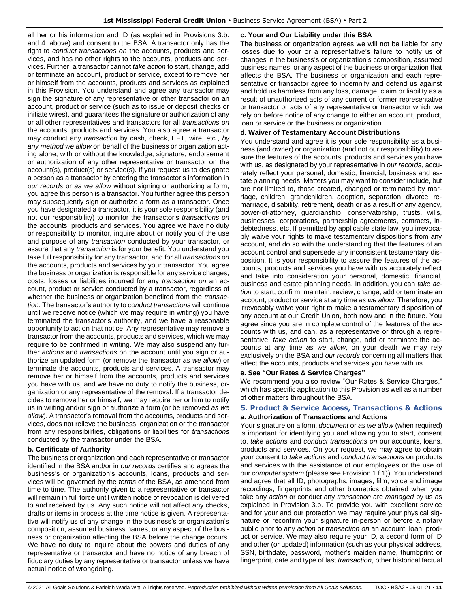all her or his information and ID (as explained in Provisions 3.b. and 4. above) and consent to the BSA. A transactor only has the right to *conduct transactions on* the accounts, products and services, and has no other rights to the accounts, products and services. Further, a transactor cannot *take action* to start, change, add or terminate an account, product or service, except to remove her or himself from the accounts, products and services as explained in this Provision. You understand and agree any transactor may sign the signature of any representative or other transactor on an account, product or service (such as to issue or deposit checks or initiate wires), and guarantees the signature or authorization of any or all other representatives and transactors for all *transactions on*  the accounts, products and services. You also agree a transactor may conduct any *transaction* by cash, check, EFT, wire, etc., *by any method we allow* on behalf of the business or organization acting alone, with or without the knowledge, signature, endorsement or authorization of any other representative or transactor on the account(s), product(s) or service(s). If you request us to designate a person as a transactor by entering the transactor's information in *our records* or *as we allow* without signing or authorizing a form, you agree this person is a transactor. You further agree this person may subsequently sign or authorize a form as a transactor. Once you have designated a transactor, it is your sole responsibility (and not our responsibility) to monitor the transactor's *transactions on* the accounts, products and services. You agree we have no duty or responsibility to monitor, inquire about or notify you of the use and purpose of any *transaction* conducted by your transactor, or assure that any *transaction* is for your benefit. You understand you take full responsibility for any transactor, and for all *transactions on* the accounts, products and services by your transactor. You agree the business or organization is responsible for any service charges, costs, losses or liabilities incurred for any *transaction on* an account, product or service conducted by a transactor, regardless of whether the business or organization benefited from the *transaction*. The transactor's authority to *conduct transactions* will continue until we receive notice (which we may require in writing) you have terminated the transactor's authority, and we have a reasonable opportunity to act on that notice. Any representative may remove a transactor from the accounts, products and services, which we may require to be confirmed in writing. We may also suspend any further *actions* and *transactions* on the account until you sign or authorize an updated form (or remove the transactor *as we allow*) or terminate the accounts, products and services. A transactor may remove her or himself from the accounts, products and services you have with us, and we have no duty to notify the business, organization or any representative of the removal. If a transactor decides to remove her or himself, we may require her or him to notify us in writing and/or sign or authorize a form (or be removed *as we allow*). A transactor's removal from the accounts, products and services, does not relieve the business, organization or the transactor from any responsibilities, obligations or liabilities for *transactions* conducted by the transactor under the BSA.

#### **b. Certificate of Authority**

The business or organization and each representative or transactor identified in the BSA and/or in *our records* certifies and agrees the business's or organization's accounts, loans, products and services will be governed by the *terms* of the BSA, as amended from time to time. The authority given to a representative or transactor will remain in full force until written notice of revocation is delivered to and received by us. Any such notice will not affect any checks, drafts or items in process at the time notice is given. A representative will notify us of any change in the business's or organization's composition, assumed business names, or any aspect of the business or organization affecting the BSA before the change occurs. We have no duty to inquire about the powers and duties of any representative or transactor and have no notice of any breach of fiduciary duties by any representative or transactor unless we have actual notice of wrongdoing.

#### **c. Your and Our Liability under this BSA**

The business or organization agrees we will not be liable for any losses due to your or a representative's failure to notify us of changes in the business's or organization's composition, assumed business names, or any aspect of the business or organization that affects the BSA. The business or organization and each representative or transactor agree to indemnify and defend us against and hold us harmless from any loss, damage, claim or liability as a result of unauthorized acts of any current or former representative or transactor or acts of any representative or transactor which we rely on before notice of any change to either an account, product, loan or service or the business or organization.

#### **d. Waiver of Testamentary Account Distributions**

You understand and agree it is your sole responsibility as a business (and owner) or organization (and not our responsibility) to assure the features of the accounts, products and services you have with us, as designated by your representative in *our records*, accurately reflect your personal, domestic, financial, business and estate planning needs. Matters you may want to consider include, but are not limited to, those created, changed or terminated by marriage, children, grandchildren, adoption, separation, divorce, remarriage, disability, retirement, death or as a result of any agency, power-of-attorney, guardianship, conservatorship, trusts, wills, businesses, corporations, partnership agreements, contracts, indebtedness, etc. If permitted by applicable state law, you irrevocably waive your rights to make testamentary dispositions from any account, and do so with the understanding that the features of an account control and supersede any inconsistent testamentary disposition. It is your responsibility to assure the features of the accounts, products and services you have with us accurately reflect and take into consideration your personal, domestic, financial, business and estate planning needs. In addition, you can *take action* to start, confirm, maintain, review, change, add or terminate an account, product or service at any time *as we allow*. Therefore, you irrevocably waive your right to make a testamentary disposition of any account at our Credit Union, both now and in the future. You agree since you are in complete control of the features of the accounts with us, and can, as a representative or through a representative, *take action* to start, change, add or terminate the accounts at any time *as we allow*, on your death we may rely exclusively on the BSA and *our records* concerning all matters that affect the accounts, products and services you have with us.

#### **e. See "Our Rates & Service Charges"**

We recommend you also review "Our Rates & Service Charges," which has specific application to this Provision as well as a number of other matters throughout the BSA.

#### <span id="page-10-0"></span>**5. Product & Service Access, Transactions & Actions a. Authorization of Transactions and Actions**

Your signature on a form, *document* or *as we allow* (when required) is important for identifying you and allowing you to start, consent to, *take actions* and *conduct transactions on* our accounts, loans, products and services. On your request, we may agree to obtain your consent to *take actions* and *conduct transactions* on products and services with the assistance of our employees or the use of our *computer system* (please see Provision 1.f.1)). You understand and agree that all ID, photographs, images, film, voice and image recordings, fingerprints and other biometrics obtained when you take any *action* or conduct any *transaction* are *managed* by us as explained in Provision 3.b. To provide you with excellent service and for your and our protection we may require your physical signature or reconfirm your signature in-person or before a notary public prior to any *action* or *transaction on* an account, loan, product or service. We may also require your ID, a second form of ID and other (or updated) information (such as your physical address, SSN, birthdate, password, mother's maiden name, thumbprint or fingerprint, date and type of last *transaction*, other historical factual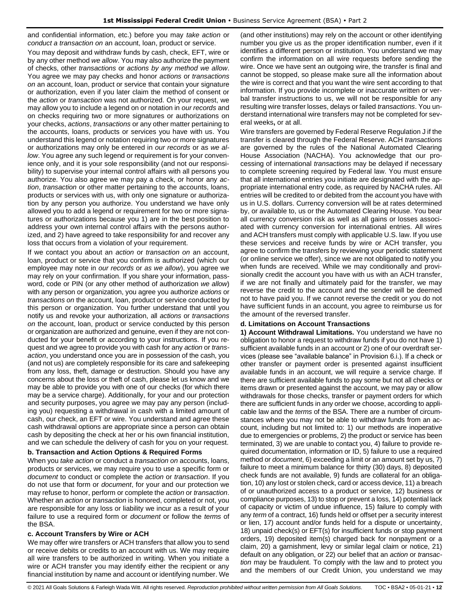and confidential information, etc.) before you may *take action* or *conduct a transaction on* an account, loan, product or service.

You may deposit and withdraw funds by cash, check, EFT, wire or by any other method *we allow*. You may also authorize the payment of checks, other *transactions* or *actions by any method we allow*. You agree we may pay checks and honor *actions* or *transactions on* an account, loan, product or service that contain your signature or authorization, even if you later claim the method of consent or the *action* or *transaction* was not authorized. On your request, we may allow you to include a legend on or notation in *our records* and on checks requiring two or more signatures or authorizations on your checks, *actions*, *transactions* or any other matter pertaining to the accounts, loans, products or services you have with us. You understand this legend or notation requiring two or more signatures or authorizations may only be entered in *our records* or as *we allow*. You agree any such legend or requirement is for your convenience only, and it is your sole responsibility (and not our responsibility) to supervise your internal control affairs with all persons you authorize. You also agree we may pay a check, or honor any *action*, *transaction* or other matter pertaining to the accounts, loans, products or services with us, with only one signature or authorization by any person you authorize. You understand we have only allowed you to add a legend or requirement for two or more signatures or authorizations because you 1) are in the best position to address your own internal control affairs with the persons authorized, and 2) have agreed to take responsibility for and recover any loss that occurs from a violation of your requirement.

If we contact you about an *action* or *transaction on* an account, loan, product or service that you confirm is authorized (which our employee may note in *our records* or *as we allow*), you agree we may rely on your confirmation. If you share your information, password, code or PIN (or any other method of authorization *we allow*) with any person or organization, you agree you authorize *actions* or *transactions on* the account, loan, product or service conducted by this person or organization. You further understand that until you notify us and revoke your authorization, all *actions* or *transactions on* the account, loan, product or service conducted by this person or organization are authorized and genuine, even if they are not conducted for your benefit or according to your instructions. If you request and we agree to provide you with cash for any *action* or *transaction*, you understand once you are in possession of the cash, you (and not us) are completely responsible for its care and safekeeping from any loss, theft, damage or destruction. Should you have any concerns about the loss or theft of cash, please let us know and we may be able to provide you with one of our checks (for which there may be a service charge). Additionally, for your and our protection and security purposes, you agree we may pay any person (including you) requesting a withdrawal in cash with a limited amount of cash, our check, an EFT or wire. You understand and agree these cash withdrawal options are appropriate since a person can obtain cash by depositing the check at her or his own financial institution, and we can schedule the delivery of cash for you on your request.

#### **b. Transaction and Action Options & Required Forms**

When you *take action* or conduct a *transaction on* accounts, loans, products or services, we may require you to use a specific form or *document* to conduct or complete the *action* or *transaction*. If you do not use that form or *document*, for your and our protection we may refuse to honor, perform or complete the *action* or *transaction*. Whether an *action* or *transaction* is honored, completed or not, you are responsible for any loss or liability we incur as a result of your failure to use a required form or *document* or follow the *terms* of the BSA.

#### **c. Account Transfers by Wire or ACH**

We may offer wire transfers or ACH transfers that allow you to send or receive debits or credits to an account with us. We may require all wire transfers to be authorized in writing. When you initiate a wire or ACH transfer you may identify either the recipient or any financial institution by name and account or identifying number. We (and other institutions) may rely on the account or other identifying number you give us as the proper identification number, even if it identifies a different person or institution. You understand we may confirm the information on all wire requests before sending the wire. Once we have sent an outgoing wire, the transfer is final and cannot be stopped, so please make sure all the information about the wire is correct and that you want the wire sent according to that information. If you provide incomplete or inaccurate written or verbal transfer instructions to us, we will not be responsible for any resulting wire transfer losses, delays or failed *transactions*. You understand international wire transfers may not be completed for several weeks**,** or at all.

Wire transfers are governed by Federal Reserve Regulation J if the transfer is cleared through the Federal Reserve. ACH *transactions* are governed by the rules of the National Automated Clearing House Association (NACHA). You acknowledge that our processing of international *transactions* may be delayed if necessary to complete screening required by Federal law. You must ensure that all international entries you initiate are designated with the appropriate international entry code, as required by NACHA rules. All entries will be credited to or debited from the account you have with us in U.S. dollars. Currency conversion will be at rates determined by, or available to, us or the Automated Clearing House. You bear all currency conversion risk as well as all gains or losses associated with currency conversion for international entries. All wires and ACH transfers must comply with applicable U.S. law. If you use these services and receive funds by wire or ACH transfer, you agree to confirm the transfers by reviewing your periodic statement (or online service we offer), since we are not obligated to notify you when funds are received. While we may conditionally and provisionally credit the account you have with us with an ACH transfer, if we are not finally and ultimately paid for the transfer, we may reverse the credit to the account and the sender will be deemed not to have paid you. If we cannot reverse the credit or you do not have sufficient funds in an account, you agree to reimburse us for the amount of the reversed transfer.

#### **d. Limitations on Account Transactions**

**1) Account Withdrawal Limitations.** You understand we have no obligation to honor a request to withdraw funds if you do not have 1) sufficient available funds in an account or 2) one of our overdraft services (please see "available balance" in Provision 6.i.). If a check or other transfer or payment order is presented against insufficient available funds in an account, we will require a service charge. If there are sufficient available funds to pay some but not all checks or items drawn or presented against the account, we may pay or allow withdrawals for those checks, transfer or payment orders for which there are sufficient funds in any order we choose, according to applicable law and the *terms* of the BSA. There are a number of circumstances where you may not be able to withdraw funds from an account, including but not limited to: 1) our methods are inoperative due to emergencies or problems, 2) the product or service has been terminated, 3) we are unable to contact you, 4) failure to provide required documentation, information or ID, 5) failure to use a required method or *document*, 6) exceeding a limit or an amount set by us, 7) failure to meet a minimum balance for thirty (30) days, 8) deposited check funds are not available, 9) funds are collateral for an obligation, 10) any lost or stolen check, card or access device, 11) a breach of or unauthorized access to a product or service, 12) business or compliance purposes, 13) to stop or prevent a loss, 14) potential lack of capacity or victim of undue influence, 15) failure to comply with any *term* of a contract, 16) funds held or offset per a security interest or lien, 17) account and/or funds held for a dispute or uncertainty, 18) unpaid check(s) or EFT(s) for insufficient funds or stop payment orders, 19) deposited item(s) charged back for nonpayment or a claim, 20) a garnishment, levy or similar legal claim or notice, 21) default on any obligation, or 22) our belief that an *action* or *transaction* may be fraudulent. To comply with the law and to protect you and the members of our Credit Union, you understand we may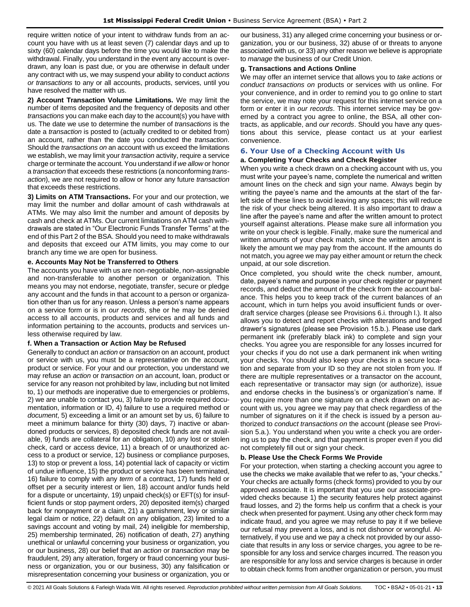require written notice of your intent to withdraw funds from an account you have with us at least seven (7) calendar days and up to sixty (60) calendar days before the time you would like to make the withdrawal. Finally, you understand in the event any account is overdrawn, any loan is past due, or you are otherwise in default under any contract with us, we may suspend your ability to conduct *actions or transactions* to any or all accounts, products, services, until you have resolved the matter with us.

**2) Account Transaction Volume Limitations.** We may limit the number of items deposited and the frequency of deposits and other *transactions* you can make each day to the account(s) you have with us. The date we use to determine the number of *transactions* is the date a *transaction* is posted to (actually credited to or debited from) an account, rather than the date you conducted the *transaction*. Should the *transactions on* an account with us exceed the limitations we establish, we may limit your *transaction* activity, require a service charge or terminate the account. You understand if *we allow* or honor a *transaction* that exceeds these restrictions (a nonconforming *transaction*), we are not required to allow or honor any future *transaction* that exceeds these restrictions.

**3) Limits on ATM Transactions.** For your and our protection, we may limit the number and dollar amount of cash withdrawals at ATMs. We may also limit the number and amount of deposits by cash and check at ATMs. Our current limitations on ATM cash withdrawals are stated in "Our Electronic Funds Transfer Terms" at the end of this Part 2 of the BSA. Should you need to make withdrawals and deposits that exceed our ATM limits, you may come to our branch any time we are open for business.

#### **e. Accounts May Not be Transferred to Others**

The accounts you have with us are non-negotiable, non-assignable and non-transferable to another person or organization. This means you may not endorse, negotiate, transfer, secure or pledge any account and the funds in that account to a person or organization other than us for any reason. Unless a person's name appears on a service form or is in *our records*, she or he may be denied access to all accounts, products and services and all funds and information pertaining to the accounts, products and services unless otherwise required by law.

#### **f. When a Transaction or Action May be Refused**

Generally to conduct an *action* or *transaction* on an account, product or service with us, you must be a representative on the account, product or service. For your and our protection, you understand we may refuse an *action* or *transaction on* an account, loan, product or service for any reason not prohibited by law, including but not limited to, 1) our methods are inoperative due to emergencies or problems, 2) we are unable to contact you, 3) failure to provide required documentation, information or ID, 4) failure to use a required method or *document*, 5) exceeding a limit or an amount set by us, 6) failure to meet a minimum balance for thirty (30) days, 7) inactive or abandoned products or services, 8) deposited check funds are not available, 9) funds are collateral for an obligation, 10) any lost or stolen check, card or access device, 11) a breach of or unauthorized access to a product or service, 12) business or compliance purposes, 13) to stop or prevent a loss, 14) potential lack of capacity or victim of undue influence, 15) the product or service has been terminated, 16) failure to comply with any *term* of a contract, 17) funds held or offset per a security interest or lien, 18) account and/or funds held for a dispute or uncertainty, 19) unpaid check(s) or EFT(s) for insufficient funds or stop payment orders, 20) deposited item(s) charged back for nonpayment or a claim, 21) a garnishment, levy or similar legal claim or notice, 22) default on any obligation, 23) limited to a savings account and voting by mail, 24) ineligible for membership, 25) membership terminated, 26) notification of death, 27) anything unethical or unlawful concerning your business or organization, you or our business, 28) our belief that an *action* or *transaction* may be fraudulent, 29) any alteration, forgery or fraud concerning your business or organization, you or our business, 30) any falsification or misrepresentation concerning your business or organization, you or our business, 31) any alleged crime concerning your business or organization, you or our business, 32) abuse of or threats to anyone associated with us, or 33) any other reason we believe is appropriate to *manage* the business of our Credit Union.

#### **g. Transactions and Actions Online**

We may offer an internet service that allows you to *take actions* or *conduct transactions on* products or services with us online. For your convenience, and in order to remind you to go online to start the service, we may note your request for this internet service on a form or enter it in *our records*. This internet service may be governed by a contract you agree to online, the BSA, all other contracts, as applicable, and *our records*. Should you have any questions about this service, please contact us at your earliest convenience.

#### <span id="page-12-0"></span>**6. Your Use of a Checking Account with Us**

#### **a. Completing Your Checks and Check Register**

When you write a check drawn on a checking account with us, you must write your payee's name, complete the numerical and written amount lines on the check and sign your name. Always begin by writing the payee's name and the amounts at the start of the farleft side of these lines to avoid leaving any spaces; this will reduce the risk of your check being altered. It is also important to draw a line after the payee's name and after the written amount to protect yourself against alterations. Please make sure all information you write on your check is legible. Finally, make sure the numerical and written amounts of your check match, since the written amount is likely the amount we may pay from the account. If the amounts do not match, you agree we may pay either amount or return the check unpaid, at our sole discretion.

Once completed, you should write the check number, amount, date, payee's name and purpose in your check register or payment records, and deduct the amount of the check from the account balance. This helps you to keep track of the current balances of an account, which in turn helps you avoid insufficient funds or overdraft service charges (please see Provisions 6.i. through l.). It also allows you to detect and report checks with alterations and forged drawer's signatures (please see Provision 15.b.). Please use dark permanent ink (preferably black ink) to complete and sign your checks. You agree you are responsible for any losses incurred for your checks if you do not use a dark permanent ink when writing your checks. You should also keep your checks in a secure location and separate from your ID so they are not stolen from you. If there are multiple representatives or a transactor on the account, each representative or transactor may sign (or authorize), issue and endorse checks in the business's or organization's name. If you require more than one signature on a check drawn on an account with us, you agree we may pay that check regardless of the number of signatures on it if the check is issued by a person authorized to *conduct transactions on* the account (please see Provision 5.a.). You understand when you write a check you are ordering us to pay the check, and that payment is proper even if you did not completely fill out or sign your check.

#### **b. Please Use the Check Forms We Provide**

For your protection, when starting a checking account you agree to use the checks we make available that we refer to as, "your checks." Your checks are actually forms (check forms) provided to you by our approved associate. It is important that you use our associate-provided checks because 1) the security features help protect against fraud losses, and 2) the forms help us confirm that a check is your check when presented for payment. Using any other check form may indicate fraud, and you agree we may refuse to pay it if we believe our refusal may prevent a loss, and is not dishonor or wrongful. Alternatively, if you use and we pay a check not provided by our associate that results in any loss or service charges, you agree to be responsible for any loss and service charges incurred. The reason you are responsible for any loss and service charges is because in order to obtain check forms from another organization or person, you must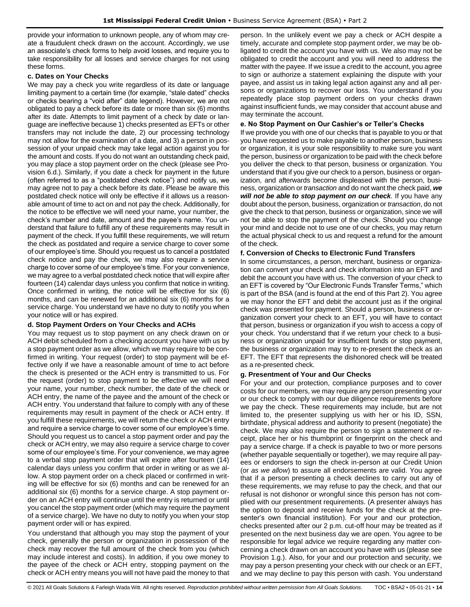provide your information to unknown people, any of whom may create a fraudulent check drawn on the account. Accordingly, we use an associate's check forms to help avoid losses, and require you to take responsibility for all losses and service charges for not using these forms.

#### **c. Dates on Your Checks**

We may pay a check you write regardless of its date or language limiting payment to a certain time (for example, "stale dated" checks or checks bearing a "void after" date legend). However, we are not obligated to pay a check before its date or more than six (6) months after its date. Attempts to limit payment of a check by date or language are ineffective because 1) checks presented as EFTs or other transfers may not include the date, 2) our processing technology may not allow for the examination of a date, and 3) a person in possession of your unpaid check may take legal action against you for the amount and costs. If you do not want an outstanding check paid, you may place a stop payment order on the check (please see Provision 6.d.). Similarly, if you date a check for payment in the future (often referred to as a "postdated check notice") and notify us, we may agree not to pay a check before its date. Please be aware this postdated check notice will only be effective if it allows us a reasonable amount of time to act on and not pay the check. Additionally, for the notice to be effective we will need your name, your number, the check's number and date, amount and the payee's name. You understand that failure to fulfill any of these requirements may result in payment of the check. If you fulfill these requirements, we will return the check as postdated and require a service charge to cover some of our employee's time. Should you request us to cancel a postdated check notice and pay the check, we may also require a service charge to cover some of our employee's time. For your convenience, we may agree to a verbal postdated check notice that will expire after fourteen (14) calendar days unless you confirm that notice in writing. Once confirmed in writing, the notice will be effective for six (6) months, and can be renewed for an additional six (6) months for a service charge. You understand we have no duty to notify you when your notice will or has expired.

#### **d. Stop Payment Orders on Your Checks and ACHs**

You may request us to stop payment on any check drawn on or ACH debit scheduled from a checking account you have with us by a stop payment order as we allow, which we may require to be confirmed in writing. Your request (order) to stop payment will be effective only if we have a reasonable amount of time to act before the check is presented or the ACH entry is transmitted to us. For the request (order) to stop payment to be effective we will need your name, your number, check number, the date of the check or ACH entry, the name of the payee and the amount of the check or ACH entry. You understand that failure to comply with any of these requirements may result in payment of the check or ACH entry. If you fulfill these requirements, we will return the check or ACH entry and require a service charge to cover some of our employee's time. Should you request us to cancel a stop payment order and pay the check or ACH entry, we may also require a service charge to cover some of our employee's time. For your convenience, we may agree to a verbal stop payment order that will expire after fourteen (14) calendar days unless you confirm that order in writing or as we allow. A stop payment order on a check placed or confirmed in writing will be effective for six (6) months and can be renewed for an additional six (6) months for a service charge. A stop payment order on an ACH entry will continue until the entry is returned or until you cancel the stop payment order (which may require the payment of a service charge). We have no duty to notify you when your stop payment order will or has expired.

You understand that although you may stop the payment of your check, generally the person or organization in possession of the check may recover the full amount of the check from you (which may include interest and costs). In addition, if you owe money to the payee of the check or ACH entry, stopping payment on the check or ACH entry means you will not have paid the money to that person. In the unlikely event we pay a check or ACH despite a timely, accurate and complete stop payment order, we may be obligated to credit the account you have with us. We also may not be obligated to credit the account and you will need to address the matter with the payee. If we issue a credit to the account, you agree to sign or authorize a statement explaining the dispute with your payee, and assist us in taking legal action against any and all persons or organizations to recover our loss. You understand if you repeatedly place stop payment orders on your checks drawn against insufficient funds, we may consider that account abuse and may terminate the account.

#### **e. No Stop Payment on Our Cashier's or Teller's Checks**

If we provide you with one of our checks that is payable to you or that you have requested us to make payable to another person, business or organization, it is your sole responsibility to make sure you want the person, business or organization to be paid with the check before you deliver the check to that person, business or organization. You understand that if you give our check to a person, business or organization, and afterwards become displeased with the person, business, organization or *transaction* and do not want the check paid, *we will not be able to stop payment on our check.* If you have any doubt about the person, business, organization or *transaction*, do not give the check to that person, business or organization, since we will not be able to stop the payment of the check. Should you change your mind and decide not to use one of our checks, you may return the actual physical check to us and request a refund for the amount of the check.

#### **f. Conversion of Checks to Electronic Fund Transfers**

In some circumstances, a person, merchant, business or organization can convert your check and check information into an EFT and debit the account you have with us. The conversion of your check to an EFT is covered by "Our Electronic Funds Transfer Terms," which is part of the BSA (and is found at the end of this Part 2). You agree we may honor the EFT and debit the account just as if the original check was presented for payment. Should a person, business or organization convert your check to an EFT, you will have to contact that person, business or organization if you wish to access a copy of your check. You understand that if we return your check to a business or organization unpaid for insufficient funds or stop payment, the business or organization may try to re-present the check as an EFT. The EFT that represents the dishonored check will be treated as a re-presented check.

#### **g. Presentment of Your and Our Checks**

For your and our protection, compliance purposes and to cover costs for our members, we may require any person presenting your or our check to comply with our due diligence requirements before we pay the check. These requirements may include, but are not limited to, the presenter supplying us with her or his ID, SSN, birthdate, physical address and authority to present (negotiate) the check. We may also require the person to sign a statement of receipt, place her or his thumbprint or fingerprint on the check and pay a service charge. If a check is payable to two or more persons (whether payable sequentially or together), we may require all payees or endorsers to sign the check in-person at our Credit Union (or *as we allow*) to assure all endorsements are valid. You agree that if a person presenting a check declines to carry out any of these requirements, we may refuse to pay the check, and that our refusal is not dishonor or wrongful since this person has not complied with our presentment requirements. (A presenter always has the option to deposit and receive funds for the check at the presenter's own financial institution). For your and our protection, checks presented after our 2 p.m. cut-off hour may be treated as if presented on the next business day we are open. You agree to be responsible for legal advice we require regarding any matter concerning a check drawn on an account you have with us (please see Provision 1.g.). Also, for your and our protection and security, we may pay a person presenting your check with our check or an EFT, and we may decline to pay this person with cash. You understand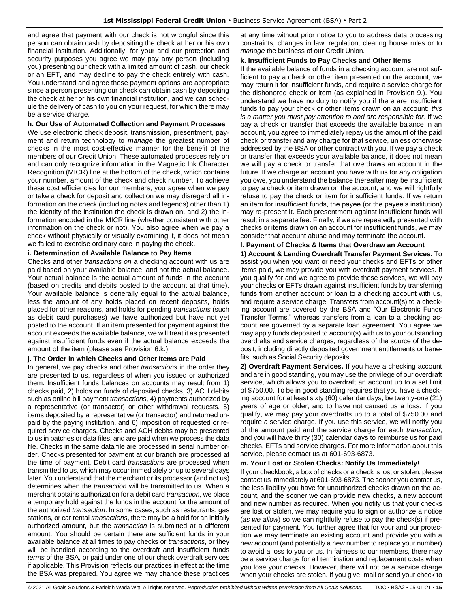and agree that payment with our check is not wrongful since this person can obtain cash by depositing the check at her or his own financial institution. Additionally, for your and our protection and security purposes you agree we may pay any person (including you) presenting our check with a limited amount of cash, our check or an EFT, and may decline to pay the check entirely with cash. You understand and agree these payment options are appropriate since a person presenting our check can obtain cash by depositing the check at her or his own financial institution, and we can schedule the delivery of cash to you on your request, for which there may be a service charge.

#### **h. Our Use of Automated Collection and Payment Processes**

We use electronic check deposit, transmission, presentment, payment and return technology to *manage* the greatest number of checks in the most cost-effective manner for the benefit of the members of our Credit Union. These automated processes rely on and can only recognize information in the Magnetic Ink Character Recognition (MICR) line at the bottom of the check, which contains your number, amount of the check and check number. To achieve these cost efficiencies for our members, you agree when we pay or take a check for deposit and collection we may disregard all information on the check (including notes and legends) other than 1) the identity of the institution the check is drawn on, and 2) the information encoded in the MICR line (whether consistent with other information on the check or not). You also agree when we pay a check without physically or visually examining it, it does not mean we failed to exercise ordinary care in paying the check.

#### **i. Determination of Available Balance to Pay Items**

Checks and other *transactions on* a checking account with us are paid based on your available balance, and not the actual balance. Your actual balance is the actual amount of funds in the account (based on credits and debits posted to the account at that time). Your available balance is generally equal to the actual balance, less the amount of any holds placed on recent deposits, holds placed for other reasons, and holds for pending *transactions* (such as debit card purchases) we have authorized but have not yet posted to the account. If an item presented for payment against the account exceeds the available balance, we will treat it as presented against insufficient funds even if the actual balance exceeds the amount of the item (please see Provision 6.k.).

## **j. The Order in which Checks and Other Items are Paid**

In general, we pay checks and other *transactions* in the order they are presented to us, regardless of when you issued or authorized them. Insufficient funds balances on accounts may result from 1) checks paid, 2) holds on funds of deposited checks, 3) ACH debits such as online bill payment *transactions*, 4) payments authorized by a representative (or transactor) or other withdrawal requests, 5) items deposited by a representative (or transactor) and returned unpaid by the paying institution, and 6) imposition of requested or required service charges. Checks and ACH debits may be presented to us in batches or data files, and are paid when we process the data file. Checks in the same data file are processed in serial number order. Checks presented for payment at our branch are processed at the time of payment. Debit card *transactions* are processed when transmitted to us, which may occur immediately or up to several days later. You understand that the merchant or its processor (and not us) determines when the *transaction* will be transmitted to us. When a merchant obtains authorization for a debit card *transaction*, we place a temporary hold against the funds in the account for the amount of the authorized *transaction*. In some cases, such as restaurants, gas stations, or car rental *transactions*, there may be a hold for an initially authorized amount, but the *transaction* is submitted at a different amount. You should be certain there are sufficient funds in your available balance at all times to pay checks or *transactions*, or they will be handled according to the overdraft and insufficient funds *terms* of the BSA, or paid under one of our check overdraft services if applicable. This Provision reflects our practices in effect at the time the BSA was prepared. You agree we may change these practices

at any time without prior notice to you to address data processing constraints, changes in law, regulation, clearing house rules or to *manage* the business of our Credit Union.

#### **k. Insufficient Funds to Pay Checks and Other Items**

If the available balance of funds in a checking account are not sufficient to pay a check or other item presented on the account, we may return it for insufficient funds, and require a service charge for the dishonored check or item (as explained in Provision 9.). You understand we have no duty to notify you if there are insufficient funds to pay your check or other items drawn on an account: *this is a matter you must pay attention to and are responsible for*. If we pay a check or transfer that exceeds the available balance in an account, you agree to immediately repay us the amount of the paid check or transfer and any charge for that service, unless otherwise addressed by the BSA or other contract with you. If we pay a check or transfer that exceeds your available balance, it does not mean we will pay a check or transfer that overdraws an account in the future. If we charge an account you have with us for any obligation you owe, you understand the balance thereafter may be insufficient to pay a check or item drawn on the account, and we will rightfully refuse to pay the check or item for insufficient funds. If we return an item for insufficient funds, the payee (or the payee's institution) may re-present it. Each presentment against insufficient funds will result in a separate fee. Finally, if we are repeatedly presented with checks or items drawn on an account for insufficient funds, we may consider that account abuse and may terminate the account.

## **l. Payment of Checks & Items that Overdraw an Account**

**1) Account & Lending Overdraft Transfer Payment Services.** To assist you when you want or need your checks and EFTs or other items paid, we may provide you with overdraft payment services. If you qualify for and we agree to provide these services, we will pay your checks or EFTs drawn against insufficient funds by transferring funds from another account or loan to a checking account with us, and require a service charge. Transfers from account(s) to a checking account are covered by the BSA and "Our Electronic Funds Transfer Terms," whereas transfers from a loan to a checking account are governed by a separate loan agreement. You agree we may apply funds deposited to account(s) with us to your outstanding overdrafts and service charges, regardless of the source of the deposit, including directly deposited government entitlements or benefits, such as Social Security deposits.

**2) Overdraft Payment Services.** If you have a checking account and are in good standing, you may use the privilege of our overdraft service, which allows you to overdraft an account up to a set limit of \$750.00. To be in good standing requires that you have a checking account for at least sixty (60) calendar days, be twenty-one (21) years of age or older, and to have not caused us a loss. If you qualify, we may pay your overdrafts up to a total of \$750.00 and require a service charge. If you use this service, we will notify you of the amount paid and the service charge for each *transaction*, and you will have thirty (30) calendar days to reimburse us for paid checks, EFTs and service charges. For more information about this service, please contact us at 601-693-6873.

#### **m. Your Lost or Stolen Checks: Notify Us Immediately!**

If your checkbook, a box of checks or a check is lost or stolen, please contact us immediately at 601-693-6873. The sooner you contact us, the less liability you have for unauthorized checks drawn on the account, and the sooner we can provide new checks, a new account and new number as required. When you notify us that your checks are lost or stolen, we may require you to sign or authorize a notice (*as we allow*) so we can rightfully refuse to pay the check(s) if presented for payment. You further agree that for your and our protection we may terminate an existing account and provide you with a new account (and potentially a new number to replace your number) to avoid a loss to you or us. In fairness to our members, there may be a service charge for all termination and replacement costs when you lose your checks. However, there will not be a service charge when your checks are stolen. If you give, mail or send your check to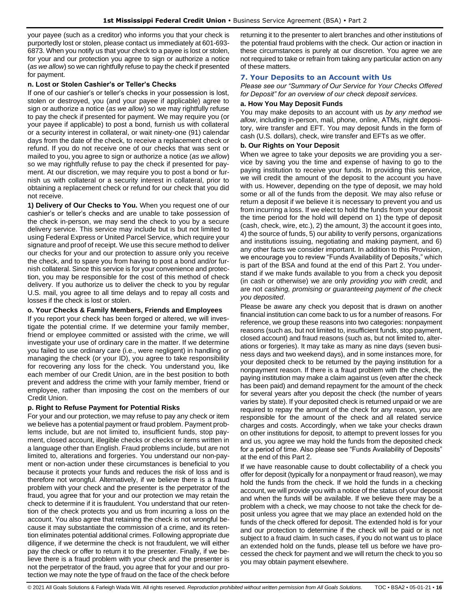your payee (such as a creditor) who informs you that your check is purportedly lost or stolen, please contact us immediately at 601-693- 6873. When you notify us that your check to a payee is lost or stolen, for your and our protection you agree to sign or authorize a notice (*as we allow*) so we can rightfully refuse to pay the check if presented for payment.

#### **n. Lost or Stolen Cashier's or Teller's Checks**

If one of our cashier's or teller's checks in your possession is lost, stolen or destroyed, you (and your payee if applicable) agree to sign or authorize a notice (*as we allow*) so we may rightfully refuse to pay the check if presented for payment. We may require you (or your payee if applicable) to post a bond, furnish us with collateral or a security interest in collateral, or wait ninety-one (91) calendar days from the date of the check, to receive a replacement check or refund. If you do not receive one of our checks that was sent or mailed to you, you agree to sign or authorize a notice (*as we allow*) so we may rightfully refuse to pay the check if presented for payment. At our discretion, we may require you to post a bond or furnish us with collateral or a security interest in collateral, prior to obtaining a replacement check or refund for our check that you did not receive.

**1) Delivery of Our Checks to You.** When you request one of our cashier's or teller's checks and are unable to take possession of the check in-person, we may send the check to you by a secure delivery service. This service may include but is but not limited to using Federal Express or United Parcel Service, which require your signature and proof of receipt. We use this secure method to deliver our checks for your and our protection to assure only you receive the check, and to spare you from having to post a bond and/or furnish collateral. Since this service is for your convenience and protection, you may be responsible for the cost of this method of check delivery. If you authorize us to deliver the check to you by regular U.S. mail, you agree to all time delays and to repay all costs and losses if the check is lost or stolen.

#### **o. Your Checks & Family Members, Friends and Employees**

If you report your check has been forged or altered, we will investigate the potential crime. If we determine your family member, friend or employee committed or assisted with the crime, we will investigate your use of ordinary care in the matter. If we determine you failed to use ordinary care (i.e., were negligent) in handling or managing the check (or your ID), you agree to take responsibility for recovering any loss for the check. You understand you, like each member of our Credit Union, are in the best position to both prevent and address the crime with your family member, friend or employee, rather than imposing the cost on the members of our Credit Union.

## **p. Right to Refuse Payment for Potential Risks**

For your and our protection, we may refuse to pay any check or item we believe has a potential payment or fraud problem. Payment problems include, but are not limited to, insufficient funds, stop payment, closed account, illegible checks or checks or items written in a language other than English. Fraud problems include, but are not limited to, alterations and forgeries. You understand our non-payment or non-action under these circumstances is beneficial to you because it protects your funds and reduces the risk of loss and is therefore not wrongful. Alternatively, if we believe there is a fraud problem with your check and the presenter is the perpetrator of the fraud, you agree that for your and our protection we may retain the check to determine if it is fraudulent. You understand that our retention of the check protects you and us from incurring a loss on the account. You also agree that retaining the check is not wrongful because it may substantiate the commission of a crime, and its retention eliminates potential additional crimes. Following appropriate due diligence, if we determine the check is not fraudulent, we will either pay the check or offer to return it to the presenter. Finally, if we believe there is a fraud problem with your check and the presenter is not the perpetrator of the fraud, you agree that for your and our protection we may note the type of fraud on the face of the check before returning it to the presenter to alert branches and other institutions of the potential fraud problems with the check. Our action or inaction in these circumstances is purely at our discretion. You agree we are not required to take or refrain from taking any particular action on any of these matters.

## <span id="page-15-0"></span>**7. Your Deposits to an Account with Us**

*Please see our "Summary of Our Service for Your Checks Offered for Deposit" for an overview of our check deposit services.*

#### **a. How You May Deposit Funds**

You may make deposits to an account with us *by any method we allow*, including in-person, mail, phone, online, ATMs, night depository, wire transfer and EFT. You may deposit funds in the form of cash (U.S. dollars), check, wire transfer and EFTs as we offer.

## **b. Our Rights on Your Deposit**

When we agree to take your deposits we are providing you a service by saving you the time and expense of having to go to the paying institution to receive your funds. In providing this service, we will credit the amount of the deposit to the account you have with us. However, depending on the type of deposit, we may hold some or all of the funds from the deposit. We may also refuse or return a deposit if we believe it is necessary to prevent you and us from incurring a loss. If we elect to hold the funds from your deposit the time period for the hold will depend on 1) the type of deposit (cash, check, wire, etc.), 2) the amount, 3) the account it goes into, 4) the source of funds, 5) our ability to verify persons, organizations and institutions issuing, negotiating and making payment, and 6) any other facts we consider important. In addition to this Provision, we encourage you to review "Funds Availability of Deposits," which is part of the BSA and found at the end of this Part 2. You understand if we make funds available to you from a check you deposit (in cash or otherwise) we are only *providing you with credit,* and are not *cashing, promising or guaranteeing payment of the check you deposited*.

Please be aware any check you deposit that is drawn on another financial institution can come back to us for a number of reasons. For reference, we group these reasons into two categories: nonpayment reasons (such as, but not limited to, insufficient funds, stop payment, closed account) and fraud reasons (such as, but not limited to, alterations or forgeries). It may take as many as nine days (seven business days and two weekend days), and in some instances more, for your deposited check to be returned by the paying institution for a nonpayment reason. If there is a fraud problem with the check, the paying institution may make a claim against us (even after the check has been paid) and demand repayment for the amount of the check for several years after you deposit the check (the number of years varies by state). If your deposited check is returned unpaid or we are required to repay the amount of the check for any reason, you are responsible for the amount of the check and all related service charges and costs. Accordingly, when we take your checks drawn on other institutions for deposit, to attempt to prevent losses for you and us, you agree we may hold the funds from the deposited check for a period of time. Also please see "Funds Availability of Deposits" at the end of this Part 2.

If we have reasonable cause to doubt collectability of a check you offer for deposit (typically for a nonpayment or fraud reason), we may hold the funds from the check. If we hold the funds in a checking account, we will provide you with a notice of the status of your deposit and when the funds will be available. If we believe there may be a problem with a check, we may choose to not take the check for deposit unless you agree that we may place an extended hold on the funds of the check offered for deposit. The extended hold is for your and our protection to determine if the check will be paid or is not subject to a fraud claim. In such cases, if you do not want us to place an extended hold on the funds, please tell us before we have processed the check for payment and we will return the check to you so you may obtain payment elsewhere.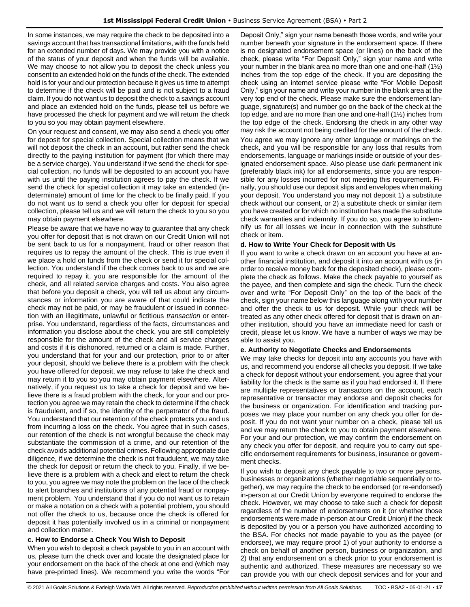In some instances, we may require the check to be deposited into a savings account that has transactional limitations, with the funds held for an extended number of days. We may provide you with a notice of the status of your deposit and when the funds will be available. We may choose to not allow you to deposit the check unless you consent to an extended hold on the funds of the check. The extended hold is for your and our protection because it gives us time to attempt to determine if the check will be paid and is not subject to a fraud claim. If you do not want us to deposit the check to a savings account and place an extended hold on the funds, please tell us before we have processed the check for payment and we will return the check to you so you may obtain payment elsewhere.

On your request and consent, we may also send a check you offer for deposit for special collection. Special collection means that we will not deposit the check in an account, but rather send the check directly to the paying institution for payment (for which there may be a service charge). You understand if we send the check for special collection, no funds will be deposited to an account you have with us until the paying institution agrees to pay the check. If we send the check for special collection it may take an extended (indeterminate) amount of time for the check to be finally paid. If you do not want us to send a check you offer for deposit for special collection, please tell us and we will return the check to you so you may obtain payment elsewhere.

Please be aware that we have no way to guarantee that any check you offer for deposit that is not drawn on our Credit Union will not be sent back to us for a nonpayment, fraud or other reason that requires us to repay the amount of the check. This is true even if we place a hold on funds from the check or send it for special collection. You understand if the check comes back to us and we are required to repay it, you are responsible for the amount of the check, and all related service charges and costs. You also agree that before you deposit a check, you will tell us about any circumstances or information you are aware of that could indicate the check may not be paid, or may be fraudulent or issued in connection with an illegitimate, unlawful or fictitious *transaction* or enterprise. You understand, regardless of the facts, circumstances and information you disclose about the check, you are still completely responsible for the amount of the check and all service charges and costs if it is dishonored, returned or a claim is made. Further, you understand that for your and our protection, prior to or after your deposit, should we believe there is a problem with the check you have offered for deposit, we may refuse to take the check and may return it to you so you may obtain payment elsewhere. Alternatively, if you request us to take a check for deposit and we believe there is a fraud problem with the check, for your and our protection you agree we may retain the check to determine if the check is fraudulent, and if so, the identity of the perpetrator of the fraud. You understand that our retention of the check protects you and us from incurring a loss on the check. You agree that in such cases, our retention of the check is not wrongful because the check may substantiate the commission of a crime, and our retention of the check avoids additional potential crimes. Following appropriate due diligence, if we determine the check is not fraudulent, we may take the check for deposit or return the check to you. Finally, if we believe there is a problem with a check and elect to return the check to you, you agree we may note the problem on the face of the check to alert branches and institutions of any potential fraud or nonpayment problem. You understand that if you do not want us to retain or make a notation on a check with a potential problem, you should not offer the check to us, because once the check is offered for deposit it has potentially involved us in a criminal or nonpayment and collection matter.

#### **c. How to Endorse a Check You Wish to Deposit**

When you wish to deposit a check payable to you in an account with us, please turn the check over and locate the designated place for your endorsement on the back of the check at one end (which may have pre-printed lines). We recommend you write the words "For Deposit Only," sign your name beneath those words, and write your number beneath your signature in the endorsement space. If there is no designated endorsement space (or lines) on the back of the check, please write "For Deposit Only," sign your name and write your number in the blank area no more than one and one-half (1½) inches from the top edge of the check. If you are depositing the check using an internet service please write "For Mobile Deposit Only," sign your name and write your number in the blank area at the very top end of the check. Please make sure the endorsement language, signature(s) and number go on the back of the check at the top edge, and are no more than one and one-half (1½) inches from the top edge of the check. Endorsing the check in any other way may risk the account not being credited for the amount of the check. You agree we may ignore any other language or markings on the check, and you will be responsible for any loss that results from endorsements, language or markings inside or outside of your designated endorsement space. Also please use dark permanent ink (preferably black ink) for all endorsements, since you are responsible for any losses incurred for not meeting this requirement. Finally, you should use our deposit slips and envelopes when making your deposit. You understand you may not deposit 1) a substitute check without our consent, or 2) a substitute check or similar item you have created or for which no institution has made the substitute check warranties and indemnity. If you do so, you agree to indemnify us for all losses we incur in connection with the substitute check or item.

#### **d. How to Write Your Check for Deposit with Us**

If you want to write a check drawn on an account you have at another financial institution, and deposit it into an account with us (in order to receive money back for the deposited check), please complete the check as follows. Make the check payable to yourself as the payee, and then complete and sign the check. Turn the check over and write "For Deposit Only" on the top of the back of the check, sign your name below this language along with your number and offer the check to us for deposit. While your check will be treated as any other check offered for deposit that is drawn on another institution, should you have an immediate need for cash or credit, please let us know. We have a number of ways we may be able to assist you.

#### **e. Authority to Negotiate Checks and Endorsements**

We may take checks for deposit into any accounts you have with us, and recommend you endorse all checks you deposit. If we take a check for deposit without your endorsement, you agree that your liability for the check is the same as if you had endorsed it. If there are multiple representatives or transactors on the account, each representative or transactor may endorse and deposit checks for the business or organization. For identification and tracking purposes we may place your number on any check you offer for deposit. If you do not want your number on a check, please tell us and we may return the check to you to obtain payment elsewhere. For your and our protection, we may confirm the endorsement on any check you offer for deposit, and require you to carry out specific endorsement requirements for business, insurance or government checks.

If you wish to deposit any check payable to two or more persons, businesses or organizations (whether negotiable sequentially or together), we may require the check to be endorsed (or re-endorsed) in-person at our Credit Union by everyone required to endorse the check. However, we may choose to take such a check for deposit regardless of the number of endorsements on it (or whether those endorsements were made in-person at our Credit Union) if the check is deposited by you or a person you have authorized according to the BSA. For checks not made payable to you as the payee (or endorsee), we may require proof 1) of your authority to endorse a check on behalf of another person, business or organization, and 2) that any endorsement on a check prior to your endorsement is authentic and authorized. These measures are necessary so we can provide you with our check deposit services and for your and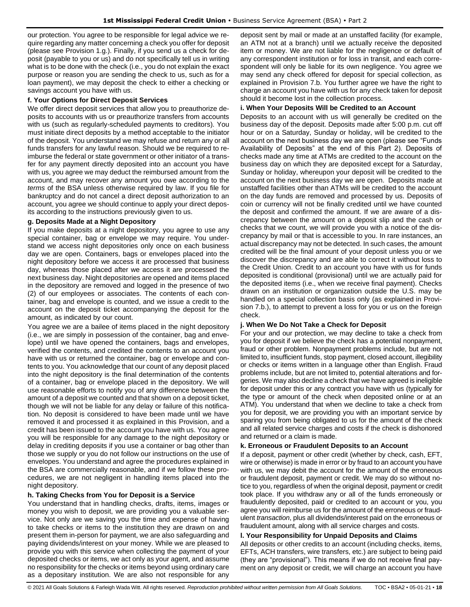our protection. You agree to be responsible for legal advice we require regarding any matter concerning a check you offer for deposit (please see Provision 1.g.). Finally, if you send us a check for deposit (payable to you or us) and do not specifically tell us in writing what is to be done with the check (i.e., you do not explain the exact purpose or reason you are sending the check to us, such as for a loan payment), we may deposit the check to either a checking or savings account you have with us.

#### **f. Your Options for Direct Deposit Services**

We offer direct deposit services that allow you to preauthorize deposits to accounts with us or preauthorize transfers from accounts with us (such as regularly-scheduled payments to creditors). You must initiate direct deposits by a method acceptable to the initiator of the deposit. You understand we may refuse and return any or all funds transfers for any lawful reason. Should we be required to reimburse the federal or state government or other initiator of a transfer for any payment directly deposited into an account you have with us, you agree we may deduct the reimbursed amount from the account, and may recover any amount you owe according to the *terms* of the BSA unless otherwise required by law. If you file for bankruptcy and do not cancel a direct deposit authorization to an account, you agree we should continue to apply your direct deposits according to the instructions previously given to us.

#### **g. Deposits Made at a Night Depository**

If you make deposits at a night depository, you agree to use any special container, bag or envelope we may require. You understand we access night depositories only once on each business day we are open. Containers, bags or envelopes placed into the night depository before we access it are processed that business day, whereas those placed after we access it are processed the next business day. Night depositories are opened and items placed in the depository are removed and logged in the presence of two (2) of our employees or associates. The contents of each container, bag and envelope is counted, and we issue a credit to the account on the deposit ticket accompanying the deposit for the amount, as indicated by our count.

You agree we are a bailee of items placed in the night depository (i.e., we are simply in possession of the container, bag and envelope) until we have opened the containers, bags and envelopes, verified the contents, and credited the contents to an account you have with us or returned the container, bag or envelope and contents to you. You acknowledge that our count of any deposit placed into the night depository is the final determination of the contents of a container, bag or envelope placed in the depository. We will use reasonable efforts to notify you of any difference between the amount of a deposit we counted and that shown on a deposit ticket, though we will not be liable for any delay or failure of this notification. No deposit is considered to have been made until we have removed it and processed it as explained in this Provision, and a credit has been issued to the account you have with us. You agree you will be responsible for any damage to the night depository or delay in crediting deposits if you use a container or bag other than those we supply or you do not follow our instructions on the use of envelopes. You understand and agree the procedures explained in the BSA are commercially reasonable, and if we follow these procedures, we are not negligent in handling items placed into the night depository.

#### **h. Taking Checks from You for Deposit is a Service**

You understand that in handling checks, drafts, items, images or money you wish to deposit, we are providing you a valuable service. Not only are we saving you the time and expense of having to take checks or items to the institution they are drawn on and present them in-person for payment, we are also safeguarding and paying dividends/interest on your money. While we are pleased to provide you with this service when collecting the payment of your deposited checks or items, we act only as your agent, and assume no responsibility for the checks or items beyond using ordinary care as a depositary institution. We are also not responsible for any

deposit sent by mail or made at an unstaffed facility (for example, an ATM not at a branch) until we actually receive the deposited item or money. We are not liable for the negligence or default of any correspondent institution or for loss in transit, and each correspondent will only be liable for its own negligence. You agree we may send any check offered for deposit for special collection, as explained in Provision 7.b. You further agree we have the right to charge an account you have with us for any check taken for deposit should it become lost in the collection process.

#### **i. When Your Deposits Will be Credited to an Account**

Deposits to an account with us will generally be credited on the business day of the deposit. Deposits made after 5:00 p.m. cut off hour or on a Saturday, Sunday or holiday, will be credited to the account on the next business day we are open (please see "Funds Availability of Deposits" at the end of this Part 2). Deposits of checks made any time at ATMs are credited to the account on the business day on which they are deposited except for a Saturday, Sunday or holiday, whereupon your deposit will be credited to the account on the next business day we are open. Deposits made at unstaffed facilities other than ATMs will be credited to the account on the day funds are removed and processed by us. Deposits of coin or currency will not be finally credited until we have counted the deposit and confirmed the amount. If we are aware of a discrepancy between the amount on a deposit slip and the cash or checks that we count, we will provide you with a notice of the discrepancy by mail or that is accessible to you. In rare instances, an actual discrepancy may not be detected. In such cases, the amount credited will be the final amount of your deposit unless you or we discover the discrepancy and are able to correct it without loss to the Credit Union. Credit to an account you have with us for funds deposited is conditional (provisional) until we are actually paid for the deposited items (i.e., when we receive final payment). Checks drawn on an institution or organization outside the U.S. may be handled on a special collection basis only (as explained in Provision 7.b.), to attempt to prevent a loss for you or us on the foreign check.

#### **j. When We Do Not Take a Check for Deposit**

For your and our protection, we may decline to take a check from you for deposit if we believe the check has a potential nonpayment, fraud or other problem. Nonpayment problems include, but are not limited to, insufficient funds, stop payment, closed account, illegibility or checks or items written in a language other than English. Fraud problems include, but are not limited to, potential alterations and forgeries. We may also decline a check that we have agreed is ineligible for deposit under this or any contract you have with us (typically for the type or amount of the check when deposited online or at an ATM). You understand that when we decline to take a check from you for deposit, we are providing you with an important service by sparing you from being obligated to us for the amount of the check and all related service charges and costs if the check is dishonored and returned or a claim is made.

#### **k. Erroneous or Fraudulent Deposits to an Account**

If a deposit, payment or other credit (whether by check, cash, EFT, wire or otherwise) is made in error or by fraud to an account you have with us, we may debit the account for the amount of the erroneous or fraudulent deposit, payment or credit. We may do so without notice to you, regardless of when the original deposit, payment or credit took place. If you withdraw any or all of the funds erroneously or fraudulently deposited, paid or credited to an account or you, you agree you will reimburse us for the amount of the erroneous or fraudulent *transaction*, plus all dividends/interest paid on the erroneous or fraudulent amount, along with all service charges and costs.

#### **l. Your Responsibility for Unpaid Deposits and Claims**

All deposits or other credits to an account (including checks, items, EFTs, ACH transfers, wire transfers, etc.) are subject to being paid (they are "provisional"). This means if we do not receive final payment on any deposit or credit, we will charge an account you have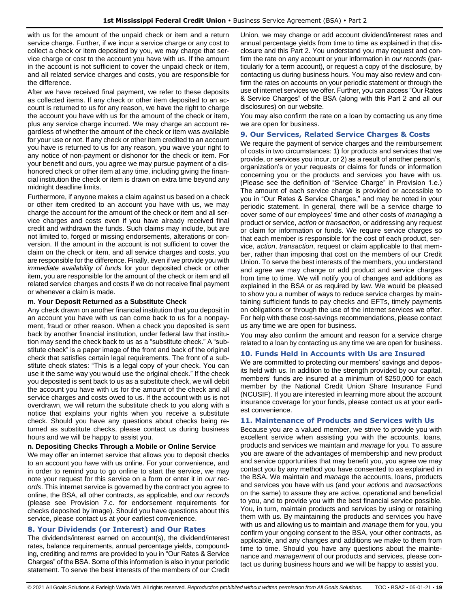with us for the amount of the unpaid check or item and a return service charge. Further, if we incur a service charge or any cost to collect a check or item deposited by you, we may charge that service charge or cost to the account you have with us. If the amount in the account is not sufficient to cover the unpaid check or item, and all related service charges and costs, you are responsible for the difference.

After we have received final payment, we refer to these deposits as collected items. If any check or other item deposited to an account is returned to us for any reason, we have the right to charge the account you have with us for the amount of the check or item, plus any service charge incurred. We may charge an account regardless of whether the amount of the check or item was available for your use or not. If any check or other item credited to an account you have is returned to us for any reason, you waive your right to any notice of non-payment or dishonor for the check or item. For your benefit and ours, you agree we may pursue payment of a dishonored check or other item at any time, including giving the financial institution the check or item is drawn on extra time beyond any midnight deadline limits.

Furthermore, if anyone makes a claim against us based on a check or other item credited to an account you have with us, we may charge the account for the amount of the check or item and all service charges and costs even if you have already received final credit and withdrawn the funds. Such claims may include, but are not limited to, forged or missing endorsements, alterations or conversion. If the amount in the account is not sufficient to cover the claim on the check or item, and all service charges and costs, you are responsible for the difference. Finally, even if we provide you with *immediate availability of funds* for your deposited check or other item, you are responsible for the amount of the check or item and all related service charges and costs if we do not receive final payment or whenever a claim is made.

#### **m. Your Deposit Returned as a Substitute Check**

Any check drawn on another financial institution that you deposit in an account you have with us can come back to us for a nonpayment, fraud or other reason. When a check you deposited is sent back by another financial institution, under federal law that institution may send the check back to us as a "substitute check." A "substitute check" is a paper image of the front and back of the original check that satisfies certain legal requirements. The front of a substitute check states: "This is a legal copy of your check. You can use it the same way you would use the original check." If the check you deposited is sent back to us as a substitute check, we will debit the account you have with us for the amount of the check and all service charges and costs owed to us. If the account with us is not overdrawn, we will return the substitute check to you along with a notice that explains your rights when you receive a substitute check. Should you have any questions about checks being returned as substitute checks, please contact us during business hours and we will be happy to assist you.

#### **n. Depositing Checks Through a Mobile or Online Service**

We may offer an internet service that allows you to deposit checks to an account you have with us online. For your convenience, and in order to remind you to go online to start the service, we may note your request for this service on a form or enter it in *our records*. This internet service is governed by the contract you agree to online, the BSA, all other contracts, as applicable, and *our records* (please see Provision 7.c. for endorsement requirements for checks deposited by image). Should you have questions about this service, please contact us at your earliest convenience.

#### <span id="page-18-0"></span>**8. Your Dividends (or Interest) and Our Rates**

The dividends/interest earned on account(s), the dividend/interest rates, balance requirements, annual percentage yields, compounding, crediting and *terms* are provided to you in "Our Rates & Service Charges" of the BSA. Some of this information is also in your periodic statement. To serve the best interests of the members of our Credit Union, we may change or add account dividend/interest rates and annual percentage yields from time to time as explained in that disclosure and this Part 2. You understand you may request and confirm the rate on any account or your information in *our records* (particularly for a term account), or request a copy of the disclosure, by contacting us during business hours. You may also review and confirm the rates on accounts on your periodic statement or through the use of internet services we offer. Further, you can access "Our Rates & Service Charges" of the BSA (along with this Part 2 and all our disclosures) on our website.

You may also confirm the rate on a loan by contacting us any time we are open for business.

#### <span id="page-18-1"></span>**9. Our Services, Related Service Charges & Costs**

We require the payment of service charges and the reimbursement of costs in two circumstances: 1) for products and services that we provide, or services you incur, or 2) as a result of another person's, organization's or your requests or claims for funds or information concerning you or the products and services you have with us. (Please see the definition of "Service Charge" in Provision 1.e.) The amount of each service charge is provided or accessible to you in "Our Rates & Service Charges," and may be noted in your periodic statement. In general, there will be a service charge to cover some of our employees' time and other costs of *managing* a product or service, *action* or *transaction*, or addressing any request or claim for information or funds. We require service charges so that each member is responsible for the cost of each product, service, *action*, *transaction*, request or claim applicable to that member, rather than imposing that cost on the members of our Credit Union. To serve the best interests of the members, you understand and agree we may change or add product and service charges from time to time. We will notify you of changes and additions as explained in the BSA or as required by law. We would be pleased to show you a number of ways to reduce service charges by maintaining sufficient funds to pay checks and EFTs, timely payments on obligations or through the use of the internet services we offer. For help with these cost-savings recommendations, please contact us any time we are open for business.

You may also confirm the amount and reason for a service charge related to a loan by contacting us any time we are open for business.

#### <span id="page-18-2"></span>**10. Funds Held in Accounts with Us are Insured**

We are committed to protecting our members' savings and deposits held with us. In addition to the strength provided by our capital, members' funds are insured at a minimum of \$250,000 for each member by the National Credit Union Share Insurance Fund (NCUSIF). If you are interested in learning more about the account insurance coverage for your funds, please contact us at your earliest convenience.

#### <span id="page-18-3"></span>**11. Maintenance of Products and Services with Us**

Because you are a valued member, we strive to provide you with excellent service when assisting you with the accounts, loans, products and services we maintain and *manage* for you. To assure you are aware of the advantages of membership and new product and service opportunities that may benefit you, you agree we may contact you by any method you have consented to as explained in the BSA. We maintain and *manage* the accounts, loans, products and services you have with us (and your *actions* and *transactions* on the same) to assure they are active, operational and beneficial to you, and to provide you with the best financial service possible. You, in turn, maintain products and services by using or retaining them with us. By maintaining the products and services you have with us and allowing us to maintain and *manage* them for you, you confirm your ongoing consent to the BSA, your other contracts, as applicable, and any changes and additions we make to them from time to time. Should you have any questions about the maintenance and *management* of our products and services, please contact us during business hours and we will be happy to assist you.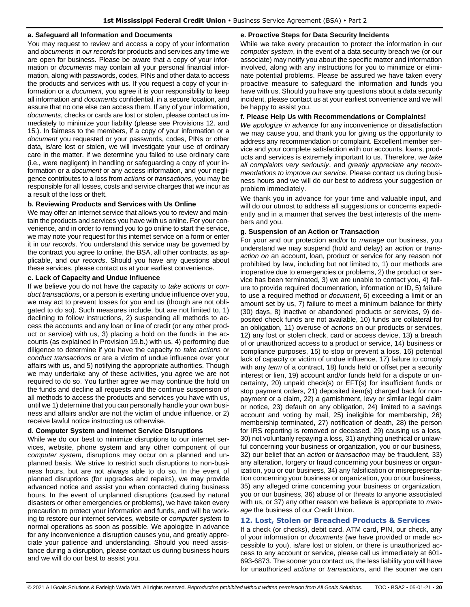#### **a. Safeguard all Information and Documents**

You may request to review and access a copy of your information and *documents* in *our records* for products and services any time we are open for business. Please be aware that a copy of your information or *documents* may contain all your personal financial information, along with passwords, codes, PINs and other data to access the products and services with us. If you request a copy of your information or a *document*, you agree it is your responsibility to keep all information and *documents* confidential, in a secure location, and assure that no one else can access them. If any of your information, *documents*, checks or cards are lost or stolen, please contact us immediately to minimize your liability (please see Provisions 12. and 15.). In fairness to the members, if a copy of your information or a *document* you requested or your passwords, codes, PINs or other data, is/are lost or stolen, we will investigate your use of ordinary care in the matter. If we determine you failed to use ordinary care (i.e., were negligent) in handling or safeguarding a copy of your information or a *document* or any access information, and your negligence contributes to a loss from *actions* or *transactions*, you may be responsible for all losses, costs and service charges that we incur as a result of the loss or theft.

#### **b. Reviewing Products and Services with Us Online**

We may offer an internet service that allows you to review and maintain the products and services you have with us online. For your convenience, and in order to remind you to go online to start the service, we may note your request for this internet service on a form or enter it in *our records*. You understand this service may be governed by the contract you agree to online, the BSA, all other contracts, as applicable, and *our records*. Should you have any questions about these services, please contact us at your earliest convenience.

#### **c. Lack of Capacity and Undue Influence**

If we believe you do not have the capacity to *take actions* or *conduct transactions*, or a person is exerting undue influence over you, we may act to prevent losses for you and us (though are not obligated to do so). Such measures include, but are not limited to, 1) declining to follow instructions, 2) suspending all methods to access the accounts and any loan or line of credit (or any other product or service) with us, 3) placing a hold on the funds in the accounts (as explained in Provision 19.b.) with us, 4) performing due diligence to determine if you have the capacity to *take actions* or *conduct transactions* or are a victim of undue influence over your affairs with us, and 5) notifying the appropriate authorities. Though we may undertake any of these activities, you agree we are not required to do so. You further agree we may continue the hold on the funds and decline all requests and the continue suspension of all methods to access the products and services you have with us, until we 1) determine that you can personally handle your own business and affairs and/or are not the victim of undue influence, or 2) receive lawful notice instructing us otherwise.

#### **d. Computer System and Internet Service Disruptions**

While we do our best to minimize disruptions to our internet services, website, phone system and any other component of our *computer system*, disruptions may occur on a planned and unplanned basis. We strive to restrict such disruptions to non-business hours, but are not always able to do so. In the event of planned disruptions (for upgrades and repairs), we may provide advanced notice and assist you when contacted during business hours. In the event of unplanned disruptions (caused by natural disasters or other emergencies or problems), we have taken every precaution to protect your information and funds, and will be working to restore our internet services, website or *computer system* to normal operations as soon as possible. We apologize in advance for any inconvenience a disruption causes you, and greatly appreciate your patience and understanding. Should you need assistance during a disruption, please contact us during business hours and we will do our best to assist you.

#### **e. Proactive Steps for Data Security Incidents**

While we take every precaution to protect the information in our *computer system*, in the event of a data security breach we (or our associate) may notify you about the specific matter and information involved, along with any instructions for you to minimize or eliminate potential problems. Please be assured we have taken every proactive measure to safeguard the information and funds you have with us. Should you have any questions about a data security incident, please contact us at your earliest convenience and we will be happy to assist you.

#### **f. Please Help Us with Recommendations or Complaints!**

*We apologize in advance* for any inconvenience or dissatisfaction we may cause you, and thank you for giving us the opportunity to address any recommendation or complaint. Excellent member service and your complete satisfaction with our accounts, loans, products and services is extremely important to us. Therefore, *we take all complaints very seriously*, and *greatly appreciate any recommendations to improve our service*. Please contact us during business hours and we will do our best to address your suggestion or problem immediately.

We thank you in advance for your time and valuable input, and will do our utmost to address all suggestions or concerns expediently and in a manner that serves the best interests of the members and you.

#### **g. Suspension of an Action or Transaction**

For your and our protection and/or to *manage* our business, you understand we may suspend (hold and delay) an *action* or *transaction on* an account, loan, product or service for any reason not prohibited by law, including but not limited to, 1) our methods are inoperative due to emergencies or problems, 2) the product or service has been terminated, 3) we are unable to contact you, 4) failure to provide required documentation, information or ID, 5) failure to use a required method or *document*, 6) exceeding a limit or an amount set by us, 7) failure to meet a minimum balance for thirty (30) days, 8) inactive or abandoned products or services, 9) deposited check funds are not available, 10) funds are collateral for an obligation, 11) overuse of *actions* on our products or services, 12) any lost or stolen check, card or access device, 13) a breach of or unauthorized access to a product or service, 14) business or compliance purposes, 15) to stop or prevent a loss, 16) potential lack of capacity or victim of undue influence, 17) failure to comply with any *term* of a contract, 18) funds held or offset per a security interest or lien, 19) account and/or funds held for a dispute or uncertainty, 20) unpaid check(s) or EFT(s) for insufficient funds or stop payment orders, 21) deposited item(s) charged back for nonpayment or a claim, 22) a garnishment, levy or similar legal claim or notice, 23) default on any obligation, 24) limited to a savings account and voting by mail, 25) ineligible for membership, 26) membership terminated, 27) notification of death, 28) the person for IRS reporting is removed or deceased, 29) causing us a loss, 30) not voluntarily repaying a loss, 31) anything unethical or unlawful concerning your business or organization, you or our business, 32) our belief that an *action* or *transaction* may be fraudulent, 33) any alteration, forgery or fraud concerning your business or organization, you or our business, 34) any falsification or misrepresentation concerning your business or organization, you or our business, 35) any alleged crime concerning your business or organization, you or our business, 36) abuse of or threats to anyone associated with us, or 37) any other reason we believe is appropriate to *manage* the business of our Credit Union.

#### <span id="page-19-0"></span>**12. Lost, Stolen or Breached Products & Services**

If a check (or checks), debit card, ATM card, PIN, our check, any of your information or *documents* (we have provided or made accessible to you), is/are lost or stolen, or there is unauthorized access to any account or service, please call us immediately at 601- 693-6873. The sooner you contact us, the less liability you will have for unauthorized *actions* or *transactions*, and the sooner we can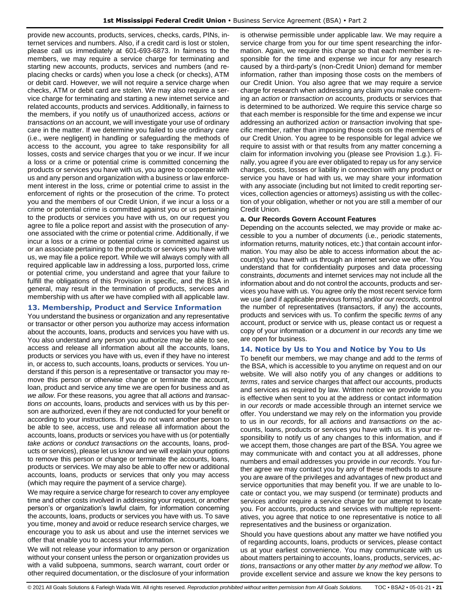provide new accounts, products, services, checks, cards, PINs, internet services and numbers. Also, if a credit card is lost or stolen, please call us immediately at 601-693-6873. In fairness to the members, we may require a service charge for terminating and starting new accounts, products, services and numbers (and replacing checks or cards) when you lose a check (or checks), ATM or debit card. However, we will not require a service charge when checks, ATM or debit card are stolen. We may also require a service charge for terminating and starting a new internet service and related accounts, products and services. Additionally, in fairness to the members, if you notify us of unauthorized access, *actions* or *transactions on* an account, we will investigate your use of ordinary care in the matter. If we determine you failed to use ordinary care (i.e., were negligent) in handling or safeguarding the methods of access to the account, you agree to take responsibility for all losses, costs and service charges that you or we incur. If we incur a loss or a crime or potential crime is committed concerning the products or services you have with us, you agree to cooperate with us and any person and organization with a business or law enforcement interest in the loss, crime or potential crime to assist in the enforcement of rights or the prosecution of the crime. To protect you and the members of our Credit Union, if we incur a loss or a crime or potential crime is committed against you or us pertaining to the products or services you have with us, on our request you agree to file a police report and assist with the prosecution of anyone associated with the crime or potential crime. Additionally, if we incur a loss or a crime or potential crime is committed against us or an associate pertaining to the products or services you have with us, we may file a police report. While we will always comply with all required applicable law in addressing a loss, purported loss, crime or potential crime, you understand and agree that your failure to fulfill the obligations of this Provision in specific, and the BSA in general, may result in the termination of products, services and membership with us after we have complied with all applicable law.

## <span id="page-20-0"></span>**13. Membership, Product and Service Information**

You understand the business or organization and any representative or transactor or other person you authorize may access information about the accounts, loans, products and services you have with us. You also understand any person you authorize may be able to see, access and release all information about all the accounts, loans, products or services you have with us, even if they have no interest in, or access to, such accounts, loans, products or services. You understand if this person is a representative or transactor you may remove this person or otherwise change or terminate the account, loan, product and service any time we are open for business and as *we allow*. For these reasons, you agree that all *actions* and *transactions on* accounts, loans, products and services with us by this person are authorized, even if they are not conducted for your benefit or according to your instructions. If you do not want another person to be able to see, access, use and release all information about the accounts, loans, products or services you have with us (or potentially *take actions* or *conduct transactions on* the accounts, loans, products or services), please let us know and we will explain your options to remove this person or change or terminate the accounts, loans, products or services. We may also be able to offer new or additional accounts, loans, products or services that only you may access (which may require the payment of a service charge).

We may require a service charge for research to cover any employee time and other costs involved in addressing your request, or another person's or organization's lawful claim, for information concerning the accounts, loans, products or services you have with us. To save you time, money and avoid or reduce research service charges, we encourage you to ask us about and use the internet services we offer that enable you to access your information.

We will not release your information to any person or organization without your consent unless the person or organization provides us with a valid subpoena, summons, search warrant, court order or other required documentation, or the disclosure of your information is otherwise permissible under applicable law. We may require a service charge from you for our time spent researching the information. Again, we require this charge so that each member is responsible for the time and expense we incur for any research caused by a third-party's (non-Credit Union) demand for member information, rather than imposing those costs on the members of our Credit Union. You also agree that we may require a service charge for research when addressing any claim you make concerning an *action* or *transaction on* accounts, products or services that is determined to be authorized. We require this service charge so that each member is responsible for the time and expense we incur addressing an authorized *action* or *transaction* involving that specific member, rather than imposing those costs on the members of our Credit Union. You agree to be responsible for legal advice we require to assist with or that results from any matter concerning a claim for information involving you (please see Provision 1.g.). Finally, you agree if you are ever obligated to repay us for any service charges, costs, losses or liability in connection with any product or service you have or had with us, we may share your information with any associate (including but not limited to credit reporting services, collection agencies or attorneys) assisting us with the collection of your obligation, whether or not you are still a member of our Credit Union.

#### **a. Our Records Govern Account Features**

Depending on the accounts selected, we may provide or make accessible to you a number of *documents* (i.e., periodic statements, information returns, maturity notices, etc.) that contain account information. You may also be able to access information about the account(s) you have with us through an internet service we offer. You understand that for confidentiality purposes and data processing constraints, *documents* and internet services may not include all the information about and do not control the accounts, products and services you have with us. You agree only the most recent service form we use (and if applicable previous forms) and/or *our records*, control the number of representatives (transactors, if any) the accounts, products and services with us. To confirm the specific *terms* of any account, product or service with us, please contact us or request a copy of your information or a *document* in *our records* any time we are open for business.

#### <span id="page-20-1"></span>**14. Notice by Us to You and Notice by You to Us**

To benefit our members, we may change and add to the *terms* of the BSA, which is accessible to you anytime on request and on our website. We will also notify you of any changes or additions to *terms*, rates and service charges that affect our accounts, products and services as required by law. Written notice we provide to you is effective when sent to you at the address or contact information in *our records* or made accessible through an internet service we offer. You understand we may rely on the information you provide to us in *our records*, for all *actions* and *transactions on* the accounts, loans, products or services you have with us. It is your responsibility to notify us of any changes to this information, and if we accept them, those changes are part of the BSA. You agree we may communicate with and contact you at all addresses, phone numbers and email addresses you provide in *our records*. You further agree we may contact you by any of these methods to assure you are aware of the privileges and advantages of new product and service opportunities that may benefit you. If we are unable to locate or contact you, we may suspend (or terminate) products and services and/or require a service charge for our attempt to locate you. For accounts, products and services with multiple representatives, you agree that notice to one representative is notice to all representatives and the business or organization.

Should you have questions about any matter we have notified you of regarding accounts, loans, products or services, please contact us at your earliest convenience. You may communicate with us about matters pertaining to accounts, loans, products, services, *actions*, *transactions* or any other matter *by any method we allow*. To provide excellent service and assure we know the key persons to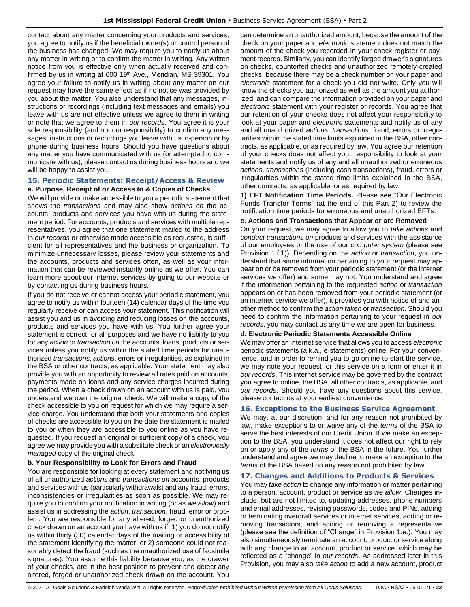contact about any matter concerning your products and services, you agree to notify us if the beneficial owner(s) or control person of the business has changed. We may require you to notify us about any matter in writing or to confirm the matter in writing. Any written notice from you is effective only when actually received and confirmed by us in writing at  $600$  19<sup>th</sup> Ave., Meridian, MS 39301. You agree your failure to notify us in writing about any matter on our request may have the same effect as if no notice was provided by you about the matter. You also understand that any messages, instructions or recordings (including text messages and emails) you leave with us are not effective unless we agree to them in writing or note that we agree to them in *our records*. You agree it is your sole responsibility (and not our responsibility) to confirm any messages, instructions or recordings you leave with us in-person or by phone during business hours. Should you have questions about any matter you have communicated with us (or attempted to communicate with us), please contact us during business hours and we will be happy to assist you.

#### <span id="page-21-0"></span>**15. Periodic Statements: Receipt/Access & Review a. Purpose, Receipt of or Access to & Copies of Checks**

We will provide or make accessible to you a periodic statement that shows the *transactions* and may also show *actions on* the accounts, products and services you have with us during the statement period. For accounts, products and services with multiple representatives, you agree that one statement mailed to the address in *our records* or otherwise made accessible as requested, is sufficient for all representatives and the business or organization. To minimize unnecessary losses, please review your statements and the accounts, products and services often, as well as your information that can be reviewed instantly online as we offer. You can learn more about our internet services by going to our website or by contacting us during business hours.

If you do not receive or cannot access your periodic statement, you agree to notify us within fourteen (14) calendar days of the time you regularly receive or can access your statement. This notification will assist you and us in avoiding and reducing losses on the accounts, products and services you have with us. You further agree your statement is correct for all purposes and we have no liability to you for any *action* or *transaction on* the accounts, loans, products or services unless you notify us within the stated time periods for unauthorized *transactions*, *actions*, errors or irregularities, as explained in the BSA or other contracts, as applicable. Your statement may also provide you with an opportunity to review all rates paid on accounts, payments made on loans and any service charges incurred during the period. When a check drawn on an account with us is paid, you understand we own the original check. We will make a copy of the check accessible to you on request for which we may require a service charge. You understand that both your statements and copies of checks are accessible to you on the date the statement is mailed to you or when they are accessible to you online as you have requested. If you request an original or sufficient copy of a check, you agree we may provide you with a substitute check or an *electronically managed* copy of the original check.

#### **b. Your Responsibility to Look for Errors and Fraud**

You are responsible for looking at every statement and notifying us of all unauthorized *actions* and *transactions on* accounts, products and services with us (particularly withdrawals) and any fraud, errors, inconsistencies or irregularities as soon as possible. We may require you to confirm your notification in writing (or as *we allow*) and assist us in addressing the *action*, *transaction*, fraud, error or problem. You are responsible for any altered, forged or unauthorized check drawn on an account you have with us if: 1) you do not notify us within thirty (30) calendar days of the mailing or accessibility of the statement identifying the matter, or 2) someone could not reasonably detect the fraud (such as the unauthorized use of facsimile signatures). You assume this liability because you, as the drawer of your checks, are in the best position to prevent and detect any altered, forged or unauthorized check drawn on the account. You

can determine an unauthorized amount, because the amount of the check on your paper and *electronic* statement does not match the amount of the check you recorded in your check register or payment records. Similarly, you can identify forged drawer's signatures on checks, counterfeit checks and unauthorized remotely-created checks, because there may be a check number on your paper and *electronic* statement for a check you did not write. Only you will know the checks you authorized as well as the amount you authorized, and can compare the information provided on your paper and *electronic* statement with your register or records. You agree that our retention of your checks does not affect your responsibility to look at your paper and *electronic* statements and notify us of any and all unauthorized *actions*, *transactions*, fraud, errors or irregularities within the stated time limits explained in the BSA, other contracts, as applicable, or as required by law. You agree our retention of your checks does not affect your responsibility to look at your statements and notify us of any and all unauthorized or erroneous *actions*, *transactions* (including cash transactions), fraud, errors or irregularities within the stated time limits explained in the BSA, other contracts, as applicable, or as required by law.

**1) EFT Notification Time Periods.** Please see "Our Electronic Funds Transfer Terms" (at the end of this Part 2) to review the notification time periods for erroneous and unauthorized EFTs.

#### **c. Actions and Transactions that Appear or are Removed**

On your request, we may agree to allow you to *take actions* and *conduct transactions on* products and services with the assistance of our employees or the use of our *computer system* (please see Provision 1.f.1)). Depending on the *action* or *transaction*, you understand that some information pertaining to your request may appear on or be removed from your periodic statement (or the internet services we offer) and some may not. You understand and agree if the information pertaining to the requested *action* or *transaction* appears on or has been removed from your periodic statement (or an internet service we offer), it provides you with notice of and another method to confirm the *action taken* or *transaction*. Should you need to confirm the information pertaining to your request in *our records*, you may contact us any time we are open for business.

#### **d. Electronic Periodic Statements Accessible Online**

We may offer an internet service that allows you to access *electronic* periodic statements (a.k.a., e-statements) online. For your convenience, and in order to remind you to go online to start the service, we may note your request for this service on a form or enter it in *our records*. This internet service may be governed by the contract you agree to online, the BSA, all other contracts, as applicable, and *our records*. Should you have any questions about this service, please contact us at your earliest convenience.

#### <span id="page-21-1"></span>**16. Exceptions to the Business Service Agreement**

We may, at our discretion, and for any reason not prohibited by law, make exceptions to or waive any of the *terms* of the BSA to serve the best interests of our Credit Union. If we make an exception to the BSA, you understand it does not affect our right to rely on or apply any of the *terms* of the BSA in the future. You further understand and agree we may decline to make an exception to the *terms* of the BSA based on any reason not prohibited by law.

#### <span id="page-21-2"></span>**17. Changes and Additions to Products & Services**

You may *take action* to change any information or matter pertaining to a person, account, product or service as *we allow*. Changes include, but are not limited to, updating addresses, phone numbers and email addresses, revising passwords, codes and PINs, adding or terminating overdraft services or internet services, adding or removing transactors, and adding or removing a representative (please see the definition of "Change" in Provision 1.e.). You may also simultaneously terminate an account, product or service along with any change to an account, product or service, which may be reflected as a "change" in *our records*. As addressed later in this Provision, you may also *take action* to add a new account, product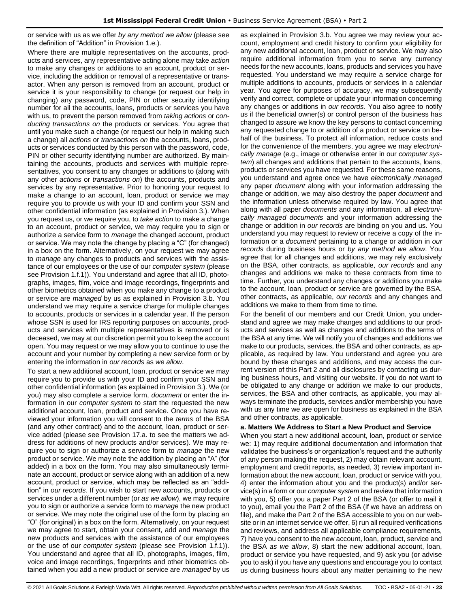or service with us as we offer *by any method we allow* (please see the definition of "Addition" in Provision 1.e.).

Where there are multiple representatives on the accounts, products and services, any representative acting alone may take *action* to make any changes or additions to an account, product or service, including the addition or removal of a representative or transactor. When any person is removed from an account, product or service it is your responsibility to change (or request our help in changing) any password, code, PIN or other security identifying number for all the accounts, loans, products or services you have with us, to prevent the person removed from *taking actions* or *conducting transactions on* the products or services. You agree that until you make such a change (or request our help in making such a change) all *actions* or *transactions on* the accounts, loans, products or services conducted by this person with the password, code, PIN or other security identifying number are authorized. By maintaining the accounts, products and services with multiple representatives, you consent to any changes or additions to (along with any other *actions* or *transactions on*) the accounts, products and services by any representative. Prior to honoring your request to make a change to an account, loan, product or service we may require you to provide us with your ID and confirm your SSN and other confidential information (as explained in Provision 3.). When you request us, or we require you, to *take action* to make a change to an account, product or service, we may require you to sign or authorize a service form to *manage* the changed account, product or service. We may note the change by placing a "C" (for changed) in a box on the form. Alternatively, on your request we may agree to *manage* any changes to products and services with the assistance of our employees or the use of our *computer system* (please see Provision 1.f.1)). You understand and agree that all ID, photographs, images, film, voice and image recordings, fingerprints and other biometrics obtained when you make any change to a product or service are *managed* by us as explained in Provision 3.b. You understand we may require a service charge for multiple changes to accounts, products or services in a calendar year. If the person whose SSN is used for IRS reporting purposes on accounts, products and services with multiple representatives is removed or is deceased, we may at our discretion permit you to keep the account open. You may request or we may allow you to continue to use the account and your number by completing a new service form or by entering the information in *our records* as *we allow*.

To start a new additional account, loan, product or service we may require you to provide us with your ID and confirm your SSN and other confidential information (as explained in Provision 3.). We (or you) may also complete a service form, *document* or enter the information in our *computer system* to start the requested the new additional account, loan, product and service. Once you have reviewed your information you will consent to the *terms* of the BSA (and any other contract) and to the account, loan, product or service added (please see Provision 17.a. to see the matters we address for additions of new products and/or services). We may require you to sign or authorize a service form to *manage* the new product or service. We may note the addition by placing an "A" (for added) in a box on the form. You may also simultaneously terminate an account, product or service along with an addition of a new account, product or service, which may be reflected as an "addition" in *our records*. If you wish to start new accounts, products or services under a different number (or *as we allow*), we may require you to sign or authorize a service form to *manage* the new product or service. We may note the original use of the form by placing an "O" (for original) in a box on the form. Alternatively, on your request we may agree to start, obtain your consent, add and *manage* the new products and services with the assistance of our employees or the use of our *computer system* (please see Provision 1.f.1)). You understand and agree that all ID, photographs, images, film, voice and image recordings, fingerprints and other biometrics obtained when you add a new product or service are *managed* by us as explained in Provision 3.b. You agree we may review your account, employment and credit history to confirm your eligibility for any new additional account, loan, product or service. We may also require additional information from you to serve any currency needs for the new accounts, loans, products and services you have requested. You understand we may require a service charge for multiple additions to accounts, products or services in a calendar year. You agree for purposes of accuracy, we may subsequently verify and correct, complete or update your information concerning any changes or additions in *our records*. You also agree to notify us if the beneficial owner(s) or control person of the business has changed to assure we know the key persons to contact concerning any requested change to or addition of a product or service on behalf of the business. To protect all information, reduce costs and for the convenience of the members, you agree we may *electronically manage* (e.g., image or otherwise enter in our *computer system*) all changes and additions that pertain to the accounts, loans, products or services you have requested. For these same reasons, you understand and agree once we have *electronically managed* any paper *document* along with your information addressing the change or addition*,* we may also destroy the paper *document* and the information unless otherwise required by law. You agree that along with all paper *documents* and any information*,* all *electronically managed documents* and your information addressing the change or addition in *our records* are binding on you and us. You understand you may request to review or receive a copy of the information or a *document* pertaining to a change or addition in *our records* during business hours or *by any method we allow*. You agree that for all changes and additions, we may rely exclusively on the BSA, other contracts, as applicable, *our records* and any changes and additions we make to these contracts from time to time. Further, you understand any changes or additions you make to the account, loan, product or service are governed by the BSA, other contracts, as applicable, *our records* and any changes and additions we make to them from time to time.

For the benefit of our members and our Credit Union, you understand and agree we may make changes and additions to our products and services as well as changes and additions to the terms of the BSA at any time. We will notify you of changes and additions we make to our products, services, the BSA and other contracts, as applicable, as required by law. You understand and agree you are bound by these changes and additions, and may access the current version of this Part 2 and all disclosures by contacting us during business hours, and visiting our website. If you do not want to be obligated to any change or addition we make to our products, services, the BSA and other contracts, as applicable, you may always terminate the products, services and/or membership you have with us any time we are open for business as explained in the BSA and other contracts, as applicable.

#### **a. Matters We Address to Start a New Product and Service**

When you start a new additional account, loan, product or service we: 1) may require additional documentation and information that validates the business's or organization's request and the authority of any person making the request, 2) may obtain relevant account, employment and credit reports, as needed, 3) review important information about the new account, loan, product or service with you, 4) enter the information about you and the product(s) and/or service(s) in a form or our *computer system* and review that information with you, 5) offer you a paper Part 2 of the BSA (or offer to mail it to you), email you the Part 2 of the BSA (if we have an address on file), and make the Part 2 of the BSA accessible to you on our website or in an internet service we offer, 6) run all required verifications and reviews, and address all applicable compliance requirements, 7) have you consent to the new account, loan, product, service and the BSA *as we allow*, 8) start the new additional account, loan, product or service you have requested, and 9) ask you (or advise you to ask) if you have any questions and encourage you to contact us during business hours about any matter pertaining to the new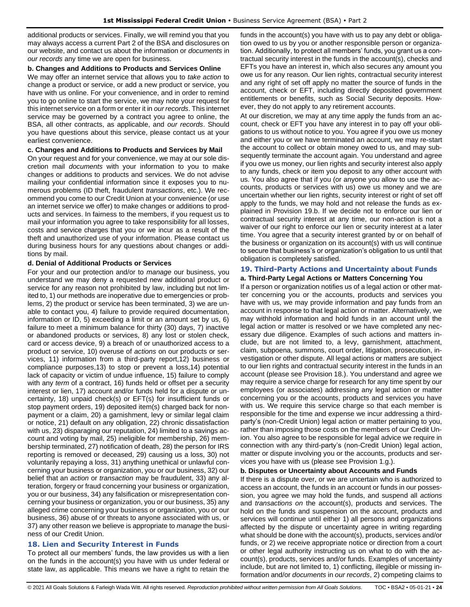additional products or services. Finally, we will remind you that you may always access a current Part 2 of the BSA and disclosures on our website, and contact us about the information or *documents* in *our records* any time we are open for business.

#### **b. Changes and Additions to Products and Services Online**

We may offer an internet service that allows you to *take action* to change a product or service, or add a new product or service, you have with us online. For your convenience, and in order to remind you to go online to start the service, we may note your request for this internet service on a form or enter it in *our records*. This internet service may be governed by a contract you agree to online, the BSA, all other contracts, as applicable, and *our records*. Should you have questions about this service, please contact us at your earliest convenience.

#### **c. Changes and Additions to Products and Services by Mail**

On your request and for your convenience, we may at our sole discretion mail *documents* with your information to you to make changes or additions to products and services. We do not advise mailing your confidential information since it exposes you to numerous problems (ID theft, fraudulent *transactions*, etc.). We recommend you come to our Credit Union at your convenience (or use an internet service we offer) to make changes or additions to products and services. In fairness to the members, if you request us to mail your information you agree to take responsibility for all losses, costs and service charges that you or we incur as a result of the theft and unauthorized use of your information. Please contact us during business hours for any questions about changes or additions by mail.

#### **d. Denial of Additional Products or Services**

For your and our protection and/or to *manage* our business, you understand we may deny a requested new additional product or service for any reason not prohibited by law, including but not limited to, 1) our methods are inoperative due to emergencies or problems, 2) the product or service has been terminated, 3) we are unable to contact you, 4) failure to provide required documentation, information or ID, 5) exceeding a limit or an amount set by us, 6) failure to meet a minimum balance for thirty (30) days, 7) inactive or abandoned products or services, 8) any lost or stolen check, card or access device, 9) a breach of or unauthorized access to a product or service, 10) overuse of *actions* on our products or services, 11) information from a third-party report,12) business or compliance purposes,13) to stop or prevent a loss,14) potential lack of capacity or victim of undue influence, 15) failure to comply with any *term* of a contract, 16) funds held or offset per a security interest or lien, 17) account and/or funds held for a dispute or uncertainty, 18) unpaid check(s) or EFT(s) for insufficient funds or stop payment orders, 19) deposited item(s) charged back for nonpayment or a claim, 20) a garnishment, levy or similar legal claim or notice, 21) default on any obligation, 22) chronic dissatisfaction with us, 23) disparaging our reputation, 24) limited to a savings account and voting by mail, 25) ineligible for membership, 26) membership terminated, 27) notification of death, 28) the person for IRS reporting is removed or deceased, 29) causing us a loss, 30) not voluntarily repaying a loss, 31) anything unethical or unlawful concerning your business or organization, you or our business, 32) our belief that an *action* or *transaction* may be fraudulent, 33) any alteration, forgery or fraud concerning your business or organization, you or our business, 34) any falsification or misrepresentation concerning your business or organization, you or our business, 35) any alleged crime concerning your business or organization, you or our business, 36) abuse of or threats to anyone associated with us, or 37) any other reason we believe is appropriate to *manage* the business of our Credit Union.

## <span id="page-23-0"></span>**18. Lien and Security Interest in Funds**

To protect all our members' funds, the law provides us with a lien on the funds in the account(s) you have with us under federal or state law, as applicable. This means we have a right to retain the funds in the account(s) you have with us to pay any debt or obligation owed to us by you or another responsible person or organization. Additionally, to protect all members' funds, you grant us a contractual security interest in the funds in the account(s), checks and EFTs you have an interest in, which also secures any amount you owe us for any reason. Our lien rights, contractual security interest and any right of set off apply no matter the source of funds in the account, check or EFT, including directly deposited government entitlements or benefits, such as Social Security deposits. However, they do not apply to any retirement accounts.

At our discretion, we may at any time apply the funds from an account, check or EFT you have any interest in to pay off your obligations to us without notice to you. You agree if you owe us money and either you or we have terminated an account, we may re-start the account to collect or obtain money owed to us, and may subsequently terminate the account again. You understand and agree if you owe us money, our lien rights and security interest also apply to any funds, check or item you deposit to any other account with us. You also agree that if you (or anyone you allow to use the accounts, products or services with us) owe us money and we are uncertain whether our lien rights, security interest or right of set off apply to the funds, we may hold and not release the funds as explained in Provision 19.b. If we decide not to enforce our lien or contractual security interest at any time, our non-action is not a waiver of our right to enforce our lien or security interest at a later time. You agree that a security interest granted by or on behalf of the business or organization on its account(s) with us will continue to secure that business's or organization's obligation to us until that obligation is completely satisfied.

#### <span id="page-23-1"></span>**19. Third-Party Actions and Uncertainty about Funds a. Third-Party Legal Actions or Matters Concerning You**

If a person or organization notifies us of a legal action or other matter concerning you or the accounts, products and services you have with us, we may provide information and pay funds from an account in response to that legal action or matter. Alternatively, we may withhold information and hold funds in an account until the legal action or matter is resolved or we have completed any necessary due diligence. Examples of such actions and matters include, but are not limited to, a levy, garnishment, attachment, claim, subpoena, summons, court order, litigation, prosecution, investigation or other dispute. All legal actions or matters are subject to our lien rights and contractual security interest in the funds in an account (please see Provision 18.). You understand and agree we may require a service charge for research for any time spent by our employees (or associates) addressing any legal action or matter concerning you or the accounts, products and services you have with us. We require this service charge so that each member is responsible for the time and expense we incur addressing a thirdparty's (non-Credit Union) legal action or matter pertaining to you, rather than imposing those costs on the members of our Credit Union. You also agree to be responsible for legal advice we require in connection with any third-party's (non-Credit Union) legal action, matter or dispute involving you or the accounts, products and services you have with us (please see Provision 1.g.).

#### **b. Disputes or Uncertainty about Accounts and Funds**

If there is a dispute over, or we are uncertain who is authorized to access an account, the funds in an account or funds in our possession, you agree we may hold the funds, and suspend all *actions* and *transactions on* the account(s), products and services. The hold on the funds and suspension on the account, products and services will continue until either 1) all persons and organizations affected by the dispute or uncertainty agree in writing regarding what should be done with the account(s), products, services and/or funds, or 2) we receive appropriate notice or direction from a court or other legal authority instructing us on what to do with the account(s), products, services and/or funds. Examples of uncertainty include, but are not limited to, 1) conflicting, illegible or missing information and/or *documents* in *our records*, 2) competing claims to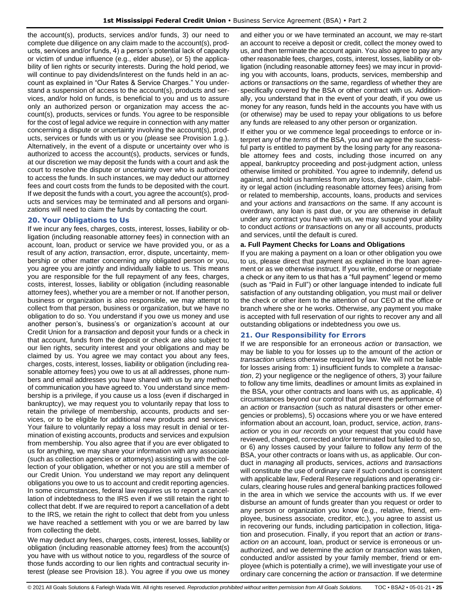the account(s), products, services and/or funds, 3) our need to complete due diligence on any claim made to the account(s), products, services and/or funds, 4) a person's potential lack of capacity or victim of undue influence (e.g., elder abuse), or 5) the applicability of lien rights or security interests. During the hold period, we will continue to pay dividends/interest on the funds held in an account as explained in "Our Rates & Service Charges." You understand a suspension of access to the account(s), products and services, and/or hold on funds, is beneficial to you and us to assure only an authorized person or organization may access the account(s), products, services or funds. You agree to be responsible for the cost of legal advice we require in connection with any matter concerning a dispute or uncertainty involving the account(s), products, services or funds with us or you (please see Provision 1.g.). Alternatively, in the event of a dispute or uncertainty over who is authorized to access the account(s), products, services or funds, at our discretion we may deposit the funds with a court and ask the court to resolve the dispute or uncertainty over who is authorized to access the funds. In such instances, we may deduct our attorney fees and court costs from the funds to be deposited with the court. If we deposit the funds with a court, you agree the account(s), products and services may be terminated and all persons and organizations will need to claim the funds by contacting the court.

#### <span id="page-24-0"></span>**20. Your Obligations to Us**

If we incur any fees, charges, costs, interest, losses, liability or obligation (including reasonable attorney fees) in connection with an account, loan, product or service we have provided you, or as a result of any *action*, *transaction*, error, dispute, uncertainty, membership or other matter concerning any obligated person or you, you agree you are jointly and individually liable to us. This means you are responsible for the full repayment of any fees, charges, costs, interest, losses, liability or obligation (including reasonable attorney fees), whether you are a member or not. If another person, business or organization is also responsible, we may attempt to collect from that person, business or organization, but we have no obligation to do so. You understand if you owe us money and use another person's, business's or organization's account at our Credit Union for a *transaction* and deposit your funds or a check in that account, funds from the deposit or check are also subject to our lien rights, security interest and your obligations and may be claimed by us. You agree we may contact you about any fees, charges, costs, interest, losses, liability or obligation (including reasonable attorney fees) you owe to us at all addresses, phone numbers and email addresses you have shared with us by any method of communication you have agreed to. You understand since membership is a privilege, if you cause us a loss (even if discharged in bankruptcy), we may request you to voluntarily repay that loss to retain the privilege of membership, accounts, products and services, or to be eligible for additional new products and services. Your failure to voluntarily repay a loss may result in denial or termination of existing accounts, products and services and expulsion from membership. You also agree that if you are ever obligated to us for anything, we may share your information with any associate (such as collection agencies or attorneys) assisting us with the collection of your obligation, whether or not you are still a member of our Credit Union. You understand we may report any delinquent obligations you owe to us to account and credit reporting agencies. In some circumstances, federal law requires us to report a cancellation of indebtedness to the IRS even if we still retain the right to collect that debt. If we are required to report a cancellation of a debt to the IRS, we retain the right to collect that debt from you unless we have reached a settlement with you or we are barred by law from collecting the debt.

We may deduct any fees, charges, costs, interest, losses, liability or obligation (including reasonable attorney fees) from the account(s) you have with us without notice to you, regardless of the source of those funds according to our lien rights and contractual security interest (please see Provision 18.). You agree if you owe us money and either you or we have terminated an account, we may re-start an account to receive a deposit or credit, collect the money owed to us, and then terminate the account again. You also agree to pay any other reasonable fees, charges, costs, interest, losses, liability or obligation (including reasonable attorney fees) we may incur in providing you with accounts, loans, products, services, membership and *action*s or *transaction*s *on* the same, regardless of whether they are specifically covered by the BSA or other contract with us. Additionally, you understand that in the event of your death, if you owe us money for any reason, funds held in the accounts you have with us (or otherwise) may be used to repay your obligations to us before any funds are released to any other person or organization.

If either you or we commence legal proceedings to enforce or interpret any of the *terms* of the BSA, you and we agree the successful party is entitled to payment by the losing party for any reasonable attorney fees and costs, including those incurred on any appeal, bankruptcy proceeding and post-judgment action, unless otherwise limited or prohibited. You agree to indemnify, defend us against, and hold us harmless from any loss, damage, claim, liability or legal action (including reasonable attorney fees) arising from or related to membership, accounts, loans, products and services and your *actions* and *transactions on* the same. If any account is overdrawn, any loan is past due, or you are otherwise in default under any contract you have with us, we may suspend your ability to conduct *actions or transactions* on any or all accounts, products and services, until the default is cured.

#### **a. Full Payment Checks for Loans and Obligations**

If you are making a payment on a loan or other obligation you owe to us, please direct that payment as explained in the loan agreement or as we otherwise instruct. If you write, endorse or negotiate a check or any item to us that has a "full payment" legend or memo (such as "Paid in Full") or other language intended to indicate full satisfaction of any outstanding obligation, you must mail or deliver the check or other item to the attention of our CEO at the office or branch where she or he works. Otherwise, any payment you make is accepted with full reservation of our rights to recover any and all outstanding obligations or indebtedness you owe us.

#### <span id="page-24-1"></span>**21. Our Responsibility for Errors**

If we are responsible for an erroneous *action* or *transaction*, we may be liable to you for losses up to the amount of the *action* or *transaction* unless otherwise required by law. We will not be liable for losses arising from: 1) insufficient funds to complete a *transaction*, 2) your negligence or the negligence of others, 3) your failure to follow any time limits, deadlines or amount limits as explained in the BSA, your other contracts and loans with us, as applicable, 4) circumstances beyond our control that prevent the performance of an *action* or *transaction* (such as natural disasters or other emergencies or problems), 5) occasions where you or we have entered information about an account, loan, product, service, *action*, *transaction* or you in *our records* on your request that you could have reviewed, changed, corrected and/or terminated but failed to do so, or 6) any losses caused by your failure to follow any *term* of the BSA, your other contracts or loans with us, as applicable. Our conduct in *managing* all products, services, *actions* and *transactions* will constitute the use of ordinary care if such conduct is consistent with applicable law, Federal Reserve regulations and operating circulars, clearing house rules and general banking practices followed in the area in which we service the accounts with us. If we ever disburse an amount of funds greater than you request or order to any person or organization you know (e.g., relative, friend, employee, business associate, creditor, etc.), you agree to assist us in recovering our funds, including participation in collection, litigation and prosecution. Finally, if you report that an *action* or *transaction on* an account, loan, product or service is erroneous or unauthorized, and we determine the *action* or *transaction* was taken, conducted and/or assisted by your family member, friend or employee (which is potentially a crime), we will investigate your use of ordinary care concerning the *action* or *transaction*. If we determine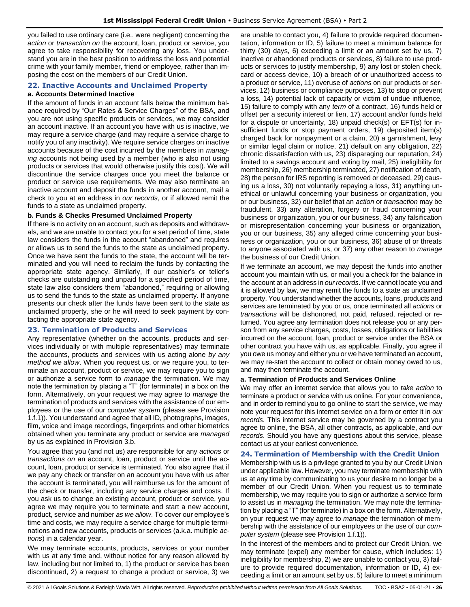you failed to use ordinary care (i.e., were negligent) concerning the *action* or *transaction on* the account, loan, product or service, you agree to take responsibility for recovering any loss. You understand you are in the best position to address the loss and potential crime with your family member, friend or employee, rather than imposing the cost on the members of our Credit Union.

#### <span id="page-25-0"></span>**22. Inactive Accounts and Unclaimed Property**

#### **a. Accounts Determined Inactive**

If the amount of funds in an account falls below the minimum balance required by "Our Rates & Service Charges" of the BSA, and you are not using specific products or services, we may consider an account inactive. If an account you have with us is inactive, we may require a service charge (and may require a service charge to notify you of any inactivity). We require service charges on inactive accounts because of the cost incurred by the members in *managing* accounts not being used by a member (who is also not using products or services that would otherwise justify this cost). We will discontinue the service charges once you meet the balance or product or service use requirements. We may also terminate an inactive account and deposit the funds in another account, mail a check to you at an address in *our records*, or if allowed remit the funds to a state as unclaimed property.

#### **b. Funds & Checks Presumed Unclaimed Property**

If there is no activity on an account, such as deposits and withdrawals, and we are unable to contact you for a set period of time, state law considers the funds in the account "abandoned" and requires or allows us to send the funds to the state as unclaimed property. Once we have sent the funds to the state, the account will be terminated and you will need to reclaim the funds by contacting the appropriate state agency. Similarly, if our cashier's or teller's checks are outstanding and unpaid for a specified period of time, state law also considers them "abandoned," requiring or allowing us to send the funds to the state as unclaimed property. If anyone presents our check after the funds have been sent to the state as unclaimed property, she or he will need to seek payment by contacting the appropriate state agency.

#### <span id="page-25-1"></span>**23. Termination of Products and Services**

Any representative (whether on the accounts, products and services individually or with multiple representatives) may terminate the accounts, products and services with us acting alone *by any method we allow*. When you request us, or we require you, to terminate an account, product or service, we may require you to sign or authorize a service form to *manage* the termination. We may note the termination by placing a "T" (for terminate) in a box on the form. Alternatively, on your request we may agree to *manage* the termination of products and services with the assistance of our employees or the use of our *computer system* (please see Provision 1.f.1)). You understand and agree that all ID, photographs, images, film, voice and image recordings, fingerprints and other biometrics obtained when you terminate any product or service are *managed* by us as explained in Provision 3.b.

You agree that you (and not us) are responsible for any *actions* or *transactions on* an account, loan, product or service until the account, loan, product or service is terminated. You also agree that if we pay any check or transfer on an account you have with us after the account is terminated, you will reimburse us for the amount of the check or transfer, including any service charges and costs. If you ask us to change an existing account, product or service, you agree we may require you to terminate and start a new account, product, service and number *as we allow*. To cover our employee's time and costs, we may require a service charge for multiple terminations and new accounts, products or services (a.k.a. multiple *actions*) in a calendar year.

We may terminate accounts, products, services or your number with us at any time and, without notice for any reason allowed by law, including but not limited to, 1) the product or service has been discontinued, 2) a request to change a product or service, 3) we

are unable to contact you, 4) failure to provide required documentation, information or ID, 5) failure to meet a minimum balance for thirty (30) days, 6) exceeding a limit or an amount set by us, 7) inactive or abandoned products or services, 8) failure to use products or services to justify membership, 9) any lost or stolen check, card or access device, 10) a breach of or unauthorized access to a product or service, 11) overuse of *actions* on our products or services, 12) business or compliance purposes, 13) to stop or prevent a loss, 14) potential lack of capacity or victim of undue influence, 15) failure to comply with any *term* of a contract, 16) funds held or offset per a security interest or lien, 17) account and/or funds held for a dispute or uncertainty, 18) unpaid check(s) or EFT(s) for insufficient funds or stop payment orders, 19) deposited item(s) charged back for nonpayment or a claim, 20) a garnishment, levy or similar legal claim or notice, 21) default on any obligation, 22) chronic dissatisfaction with us, 23) disparaging our reputation, 24) limited to a savings account and voting by mail, 25) ineligibility for membership, 26) membership terminated, 27) notification of death, 28) the person for IRS reporting is removed or deceased, 29) causing us a loss, 30) not voluntarily repaying a loss, 31) anything unethical or unlawful concerning your business or organization, you or our business, 32) our belief that an *action* or *transaction* may be fraudulent, 33) any alteration, forgery or fraud concerning your business or organization, you or our business, 34) any falsification or misrepresentation concerning your business or organization, you or our business, 35) any alleged crime concerning your business or organization, you or our business, 36) abuse of or threats to anyone associated with us, or 37) any other reason to *manage* the business of our Credit Union.

If we terminate an account, we may deposit the funds into another account you maintain with us, or mail you a check for the balance in the account at an address in *our records*. If we cannot locate you and it is allowed by law, we may remit the funds to a state as unclaimed property. You understand whether the accounts, loans, products and services are terminated by you or us, once terminated all *actions* or *transactions* will be dishonored, not paid, refused, rejected or returned. You agree any termination does not release you or any person from any service charges, costs, losses, obligations or liabilities incurred on the account, loan, product or service under the BSA or other contract you have with us, as applicable. Finally, you agree if you owe us money and either you or we have terminated an account, we may re-start the account to collect or obtain money owed to us, and may then terminate the account.

#### **a. Termination of Products and Services Online**

We may offer an internet service that allows you to *take action* to terminate a product or service with us online. For your convenience, and in order to remind you to go online to start the service, we may note your request for this internet service on a form or enter it in *our records*. This internet service may be governed by a contract you agree to online, the BSA, all other contracts, as applicable, and *our records*. Should you have any questions about this service, please contact us at your earliest convenience.

#### <span id="page-25-2"></span>**24. Termination of Membership with the Credit Union**

Membership with us is a privilege granted to you by our Credit Union under applicable law. However, you may terminate membership with us at any time by communicating to us your desire to no longer be a member of our Credit Union. When you request us to terminate membership, we may require you to sign or authorize a service form to assist us in *managing* the termination. We may note the termination by placing a "T" (for terminate) in a box on the form. Alternatively, on your request we may agree to *manage* the termination of membership with the assistance of our employees or the use of our *computer system* (please see Provision 1.f.1)).

In the interest of the members and to protect our Credit Union, we may terminate (expel) any member for cause, which includes: 1) ineligibility for membership, 2) we are unable to contact you, 3) failure to provide required documentation, information or ID, 4) exceeding a limit or an amount set by us, 5) failure to meet a minimum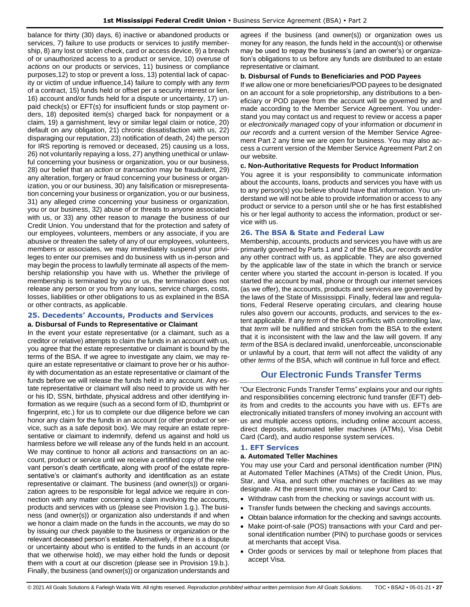balance for thirty (30) days, 6) inactive or abandoned products or services, 7) failure to use products or services to justify membership, 8) any lost or stolen check, card or access device, 9) a breach of or unauthorized access to a product or service, 10) overuse of *actions* on our products or services, 11) business or compliance purposes,12) to stop or prevent a loss, 13) potential lack of capacity or victim of undue influence,14) failure to comply with any *term* of a contract, 15) funds held or offset per a security interest or lien, 16) account and/or funds held for a dispute or uncertainty, 17) unpaid check(s) or EFT(s) for insufficient funds or stop payment orders, 18) deposited item(s) charged back for nonpayment or a claim, 19) a garnishment, levy or similar legal claim or notice, 20) default on any obligation, 21) chronic dissatisfaction with us, 22) disparaging our reputation, 23) notification of death, 24) the person for IRS reporting is removed or deceased, 25) causing us a loss, 26) not voluntarily repaying a loss, 27) anything unethical or unlawful concerning your business or organization, you or our business, 28) our belief that an *action* or *transaction* may be fraudulent, 29) any alteration, forgery or fraud concerning your business or organization, you or our business, 30) any falsification or misrepresentation concerning your business or organization, you or our business, 31) any alleged crime concerning your business or organization, you or our business, 32) abuse of or threats to anyone associated with us, or 33) any other reason to *manage* the business of our Credit Union. You understand that for the protection and safety of our employees, volunteers, members or any associate, if you are abusive or threaten the safety of any of our employees, volunteers, members or associates, we may immediately suspend your privileges to enter our premises and do business with us in-person and may begin the process to lawfully terminate all aspects of the membership relationship you have with us. Whether the privilege of membership is terminated by you or us, the termination does not release any person or you from any loans, service charges, costs, losses, liabilities or other obligations to us as explained in the BSA or other contracts, as applicable.

#### <span id="page-26-0"></span>**25. Decedents' Accounts, Products and Services a. Disbursal of Funds to Representative or Claimant**

In the event your estate representative (or a claimant, such as a creditor or relative) attempts to claim the funds in an account with us, you agree that the estate representative or claimant is bound by the terms of the BSA. If we agree to investigate any claim, we may require an estate representative or claimant to prove her or his authority with documentation as an estate representative or claimant of the funds before we will release the funds held in any account. Any estate representative or claimant will also need to provide us with her or his ID, SSN, birthdate, physical address and other identifying information as we require (such as a second form of ID, thumbprint or fingerprint, etc.) for us to complete our due diligence before we can honor any claim for the funds in an account (or other product or service, such as a safe deposit box). We may require an estate representative or claimant to indemnify, defend us against and hold us harmless before we will release any of the funds held in an account. We may continue to honor all *actions* and *transactions* on an account, product or service until we receive a certified copy of the relevant person's death certificate, along with proof of the estate representative's or claimant's authority and identification as an estate representative or claimant. The business (and owner(s)) or organization agrees to be responsible for legal advice we require in connection with any matter concerning a claim involving the accounts, products and services with us (please see Provision 1.g.). The business (and owner(s)) or organization also understands if and when we honor a claim made on the funds in the accounts, we may do so by issuing our check payable to the business or organization or the relevant deceased person's estate. Alternatively, if there is a dispute or uncertainty about who is entitled to the funds in an account (or that we otherwise hold), we may either hold the funds or deposit them with a court at our discretion (please see in Provision 19.b.). Finally, the business (and owner(s)) or organization understands and agrees if the business (and owner(s)) or organization owes us money for any reason, the funds held in the account(s) or otherwise may be used to repay the business's (and an owner's) or organization's obligations to us before any funds are distributed to an estate representative or claimant.

#### **b. Disbursal of Funds to Beneficiaries and POD Payees**

If we allow one or more beneficiaries/POD payees to be designated on an account for a sole proprietorship, any distributions to a beneficiary or POD payee from the account will be governed by and made according to the Member Service Agreement. You understand you may contact us and request to review or access a paper or *electronically managed* copy of your information or *document* in *our records* and a current version of the Member Service Agreement Part 2 any time we are open for business. You may also access a current version of the Member Service Agreement Part 2 on our website.

#### **c. Non-Authoritative Requests for Product Information**

You agree it is your responsibility to communicate information about the accounts, loans, products and services you have with us to any person(s) you believe should have that information. You understand we will not be able to provide information or access to any product or service to a person until she or he has first established his or her legal authority to access the information, product or service with us.

#### <span id="page-26-1"></span>**26. The BSA & State and Federal Law**

Membership, accounts, products and services you have with us are primarily governed by Parts 1 and 2 of the BSA, *our records* and/or any other contract with us, as applicable. They are also governed by the applicable law of the state in which the branch or service center where you started the account in-person is located. If you started the account by mail, phone or through our internet services (as we offer), the accounts, products and services are governed by the laws of the State of Mississippi. Finally, federal law and regulations, Federal Reserve operating circulars, and clearing house rules also govern our accounts, products, and services to the extent applicable. If any *term* of the BSA conflicts with controlling law, that *term* will be nullified and stricken from the BSA to the extent that it is inconsistent with the law and the law will govern. If any *term* of the BSA is declared invalid, unenforceable, unconscionable or unlawful by a court, that *term* will not affect the validity of any other *terms* of the BSA, which will continue in full force and effect.

## **Our Electronic Funds Transfer Terms**

<span id="page-26-2"></span>"Our Electronic Funds Transfer Terms" explains your and our rights and responsibilities concerning electronic fund transfer (EFT) debits from and credits to the accounts you have with us. EFTs are electronically initiated transfers of money involving an account with us and multiple access options, including online account access, direct deposits, automated teller machines (ATMs), Visa Debit Card (Card), and audio response system services.

## <span id="page-26-3"></span>**1. EFT Services**

#### **a. Automated Teller Machines**

You may use your Card and personal identification number (PIN) at Automated Teller Machines (ATMs) of the Credit Union, Plus, Star, and Visa, and such other machines or facilities as we may designate. At the present time, you may use your Card to:

- Withdraw cash from the checking or savings account with us.
- Transfer funds between the checking and savings accounts.
- Obtain balance information for the checking and savings accounts.
- Make point-of-sale (POS) transactions with your Card and personal identification number (PIN) to purchase goods or services at merchants that accept Visa.
- Order goods or services by mail or telephone from places that accept Visa.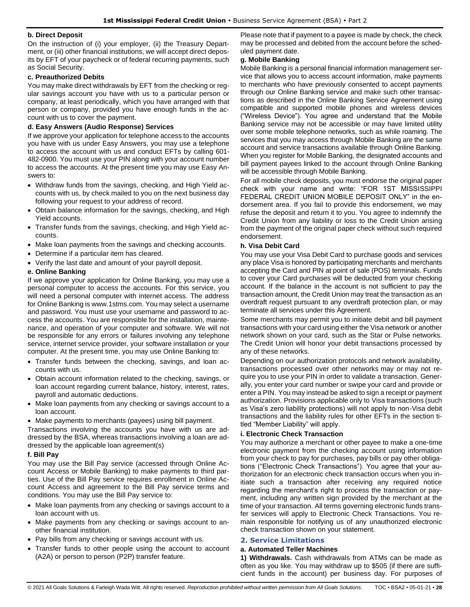#### **b. Direct Deposit**

On the instruction of (i) your employer, (ii) the Treasury Department, or (iii) other financial institutions, we will accept direct deposits by EFT of your paycheck or of federal recurring payments, such as Social Security.

#### **c. Preauthorized Debits**

You may make direct withdrawals by EFT from the checking or regular savings account you have with us to a particular person or company, at least periodically, which you have arranged with that person or company, provided you have enough funds in the account with us to cover the payment.

#### **d. Easy Answers (Audio Response) Services**

If we approve your application for telephone access to the accounts you have with us under Easy Answers, you may use a telephone to access the account with us and conduct EFTs by calling 601- 482-0900. You must use your PIN along with your account number to access the accounts. At the present time you may use Easy Answers to:

- Withdraw funds from the savings, checking, and High Yield accounts with us, by check mailed to you on the next business day following your request to your address of record.
- Obtain balance information for the savings, checking, and High Yield accounts.
- Transfer funds from the savings, checking, and High Yield accounts.
- Make loan payments from the savings and checking accounts.
- Determine if a particular item has cleared.
- Verify the last date and amount of your payroll deposit.

#### **e. Online Banking**

If we approve your application for Online Banking, you may use a personal computer to access the accounts. For this service, you will need a personal computer with internet access. The address for Online Banking is www.1stms.com. You may select a username and password. You must use your username and password to access the accounts. You are responsible for the installation, maintenance, and operation of your computer and software. We will not be responsible for any errors or failures involving any telephone service, internet service provider, your software installation or your computer. At the present time, you may use Online Banking to:

- Transfer funds between the checking, savings, and loan accounts with us.
- Obtain account information related to the checking, savings, or loan account regarding current balance, history, interest, rates, payroll and automatic deductions.
- Make loan payments from any checking or savings account to a loan account.
- Make payments to merchants (payees) using bill payment.

Transactions involving the accounts you have with us are addressed by the BSA, whereas transactions involving a loan are addressed by the applicable loan agreement(s)

#### **f. Bill Pay**

You may use the Bill Pay service (accessed through Online Account Access or Mobile Banking) to make payments to third parties. Use of the Bill Pay service requires enrollment in Online Account Access and agreement to the Bill Pay service terms and conditions. You may use the Bill Pay service to:

- Make loan payments from any checking or savings account to a loan account with us.
- Make payments from any checking or savings account to another financial institution.
- Pay bills from any checking or savings account with us.
- Transfer funds to other people using the account to account (A2A) or person to person (P2P) transfer feature.

Please note that if payment to a payee is made by check, the check may be processed and debited from the account before the scheduled payment date.

## **g. Mobile Banking**

Mobile Banking is a personal financial information management service that allows you to access account information, make payments to merchants who have previously consented to accept payments through our Online Banking service and make such other transactions as described in the Online Banking Service Agreement using compatible and supported mobile phones and wireless devices ("Wireless Device"). You agree and understand that the Mobile Banking service may not be accessible or may have limited utility over some mobile telephone networks, such as while roaming. The services that you may access through Mobile Banking are the same account and service transactions available through Online Banking. When you register for Mobile Banking, the designated accounts and bill payment payees linked to the account through Online Banking will be accessible through Mobile Banking.

For all mobile check deposits, you must endorse the original paper check with your name and write: "FOR 1ST MISSISSIPPI FEDERAL CREDIT UNION MOBILE DEPOSIT ONLY" in the endorsement area. If you fail to provide this endorsement, we may refuse the deposit and return it to you. You agree to indemnify the Credit Union from any liability or loss to the Credit Union arising from the payment of the original paper check without such required endorsement.

#### **h. Visa Debit Card**

You may use your Visa Debit Card to purchase goods and services any place Visa is honored by participating merchants and merchants accepting the Card and PIN at point of sale (POS) terminals. Funds to cover your Card purchases will be deducted from your checking account. If the balance in the account is not sufficient to pay the transaction amount, the Credit Union may treat the transaction as an overdraft request pursuant to any overdraft protection plan, or may terminate all services under this Agreement.

Some merchants may permit you to initiate debit and bill payment transactions with your card using either the Visa network or another network shown on your card, such as the Star or Pulse networks. The Credit Union will honor your debit transactions processed by any of these networks.

Depending on our authorization protocols and network availability, transactions processed over other networks may or may not require you to use your PIN in order to validate a transaction. Generally, you enter your card number or swipe your card and provide or enter a PIN. You may instead be asked to sign a receipt or payment authorization. Provisions applicable only to Visa transactions (such as Visa's zero liability protections) will not apply to non-Visa debit transactions and the liability rules for other EFTs in the section titled "Member Liability" will apply.

#### **i. Electronic Check Transaction**

You may authorize a merchant or other payee to make a one-time electronic payment from the checking account using information from your check to pay for purchases, pay bills or pay other obligations ("Electronic Check Transactions"). You agree that your authorization for an electronic check transaction occurs when you initiate such a transaction after receiving any required notice regarding the merchant's right to process the transaction or payment, including any written sign provided by the merchant at the time of your transaction. All terms governing electronic funds transfer services will apply to Electronic Check Transactions. You remain responsible for notifying us of any unauthorized electronic check transaction shown on your statement.

#### <span id="page-27-0"></span>**2. Service Limitations**

#### **a. Automated Teller Machines**

**1) Withdrawals.** Cash withdrawals from ATMs can be made as often as you like. You may withdraw up to \$505 (if there are sufficient funds in the account) per business day. For purposes of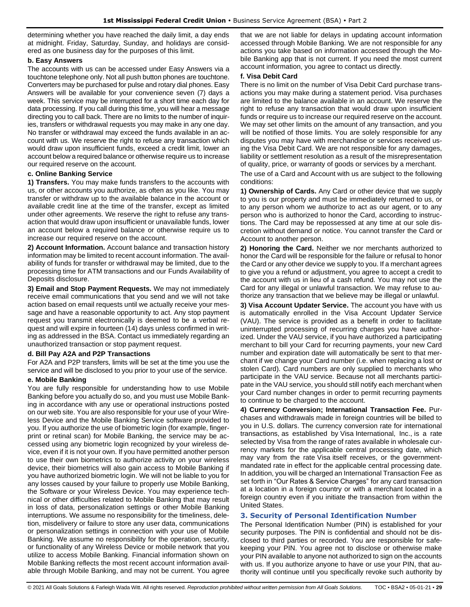determining whether you have reached the daily limit, a day ends at midnight. Friday, Saturday, Sunday, and holidays are considered as one business day for the purposes of this limit.

#### **b. Easy Answers**

The accounts with us can be accessed under Easy Answers via a touchtone telephone only. Not all push button phones are touchtone. Converters may be purchased for pulse and rotary dial phones. Easy Answers will be available for your convenience seven (7) days a week. This service may be interrupted for a short time each day for data processing. If you call during this time, you will hear a message directing you to call back. There are no limits to the number of inquiries, transfers or withdrawal requests you may make in any one day. No transfer or withdrawal may exceed the funds available in an account with us. We reserve the right to refuse any transaction which would draw upon insufficient funds, exceed a credit limit, lower an account below a required balance or otherwise require us to increase our required reserve on the account.

#### **c. Online Banking Service**

**1) Transfers.** You may make funds transfers to the accounts with us, or other accounts you authorize, as often as you like. You may transfer or withdraw up to the available balance in the account or available credit line at the time of the transfer, except as limited under other agreements. We reserve the right to refuse any transaction that would draw upon insufficient or unavailable funds, lower an account below a required balance or otherwise require us to increase our required reserve on the account.

**2) Account Information.** Account balance and transaction history information may be limited to recent account information. The availability of funds for transfer or withdrawal may be limited, due to the processing time for ATM transactions and our Funds Availability of Deposits disclosure.

**3) Email and Stop Payment Requests.** We may not immediately receive email communications that you send and we will not take action based on email requests until we actually receive your message and have a reasonable opportunity to act. Any stop payment request you transmit electronically is deemed to be a verbal request and will expire in fourteen (14) days unless confirmed in writing as addressed in the BSA. Contact us immediately regarding an unauthorized transaction or stop payment request.

#### **d. Bill Pay A2A and P2P Transactions**

For A2A and P2P transfers, limits will be set at the time you use the service and will be disclosed to you prior to your use of the service.

#### **e. Mobile Banking**

You are fully responsible for understanding how to use Mobile Banking before you actually do so, and you must use Mobile Banking in accordance with any use or operational instructions posted on our web site. You are also responsible for your use of your Wireless Device and the Mobile Banking Service software provided to you. If you authorize the use of biometric login (for example, fingerprint or retinal scan) for Mobile Banking, the service may be accessed using any biometric login recognized by your wireless device, even if it is not your own. If you have permitted another person to use their own biometrics to authorize activity on your wireless device, their biometrics will also gain access to Mobile Banking if you have authorized biometric login. We will not be liable to you for any losses caused by your failure to properly use Mobile Banking, the Software or your Wireless Device. You may experience technical or other difficulties related to Mobile Banking that may result in loss of data, personalization settings or other Mobile Banking interruptions. We assume no responsibility for the timeliness, deletion, misdelivery or failure to store any user data, communications or personalization settings in connection with your use of Mobile Banking. We assume no responsibility for the operation, security, or functionality of any Wireless Device or mobile network that you utilize to access Mobile Banking. Financial information shown on Mobile Banking reflects the most recent account information available through Mobile Banking, and may not be current. You agree

that we are not liable for delays in updating account information accessed through Mobile Banking. We are not responsible for any actions you take based on information accessed through the Mobile Banking app that is not current. If you need the most current account information, you agree to contact us directly.

#### **f. Visa Debit Card**

There is no limit on the number of Visa Debit Card purchase transactions you may make during a statement period. Visa purchases are limited to the balance available in an account. We reserve the right to refuse any transaction that would draw upon insufficient funds or require us to increase our required reserve on the account. We may set other limits on the amount of any transaction, and you will be notified of those limits. You are solely responsible for any disputes you may have with merchandise or services received using the Visa Debit Card. We are not responsible for any damages, liability or settlement resolution as a result of the misrepresentation of quality, price, or warranty of goods or services by a merchant.

The use of a Card and Account with us are subject to the following conditions:

**1) Ownership of Cards.** Any Card or other device that we supply to you is our property and must be immediately returned to us, or to any person whom we authorize to act as our agent, or to any person who is authorized to honor the Card, according to instructions. The Card may be repossessed at any time at our sole discretion without demand or notice. You cannot transfer the Card or Account to another person.

**2) Honoring the Card.** Neither we nor merchants authorized to honor the Card will be responsible for the failure or refusal to honor the Card or any other device we supply to you. If a merchant agrees to give you a refund or adjustment, you agree to accept a credit to the account with us in lieu of a cash refund. You may not use the Card for any illegal or unlawful transaction. We may refuse to authorize any transaction that we believe may be illegal or unlawful.

**3) Visa Account Updater Service.** The account you have with us is automatically enrolled in the Visa Account Updater Service (VAU). The service is provided as a benefit in order to facilitate uninterrupted processing of recurring charges you have authorized. Under the VAU service, if you have authorized a participating merchant to bill your Card for recurring payments, your new Card number and expiration date will automatically be sent to that merchant if we change your Card number (i.e. when replacing a lost or stolen Card). Card numbers are only supplied to merchants who participate in the VAU service. Because not all merchants participate in the VAU service, you should still notify each merchant when your Card number changes in order to permit recurring payments to continue to be charged to the account.

**4) Currency Conversion; International Transaction Fee.** Purchases and withdrawals made in foreign countries will be billed to you in U.S. dollars. The currency conversion rate for international transactions, as established by Visa International, Inc., is a rate selected by Visa from the range of rates available in wholesale currency markets for the applicable central processing date, which may vary from the rate Visa itself receives, or the governmentmandated rate in effect for the applicable central processing date. In addition, you will be charged an International Transaction Fee as set forth in "Our Rates & Service Charges" for any card transaction at a location in a foreign country or with a merchant located in a foreign country even if you initiate the transaction from within the United States.

#### <span id="page-28-0"></span>**3. Security of Personal Identification Number**

The Personal Identification Number (PIN) is established for your security purposes. The PIN is confidential and should not be disclosed to third parties or recorded. You are responsible for safekeeping your PIN. You agree not to disclose or otherwise make your PIN available to anyone not authorized to sign on the accounts with us. If you authorize anyone to have or use your PIN, that authority will continue until you specifically revoke such authority by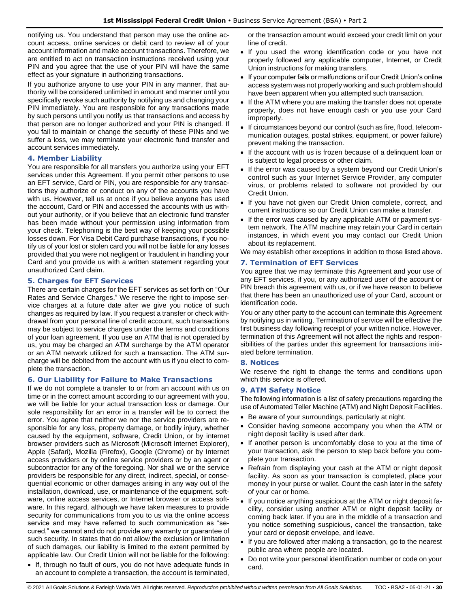notifying us. You understand that person may use the online account access, online services or debit card to review all of your account information and make account transactions. Therefore, we are entitled to act on transaction instructions received using your PIN and you agree that the use of your PIN will have the same effect as your signature in authorizing transactions.

If you authorize anyone to use your PIN in any manner, that authority will be considered unlimited in amount and manner until you specifically revoke such authority by notifying us and changing your PIN immediately. You are responsible for any transactions made by such persons until you notify us that transactions and access by that person are no longer authorized and your PIN is changed. If you fail to maintain or change the security of these PINs and we suffer a loss, we may terminate your electronic fund transfer and account services immediately.

#### <span id="page-29-0"></span>**4. Member Liability**

You are responsible for all transfers you authorize using your EFT services under this Agreement. If you permit other persons to use an EFT service, Card or PIN, you are responsible for any transactions they authorize or conduct on any of the accounts you have with us. However, tell us at once if you believe anyone has used the account, Card or PIN and accessed the accounts with us without your authority, or if you believe that an electronic fund transfer has been made without your permission using information from your check. Telephoning is the best way of keeping your possible losses down. For Visa Debit Card purchase transactions, if you notify us of your lost or stolen card you will not be liable for any losses provided that you were not negligent or fraudulent in handling your Card and you provide us with a written statement regarding your unauthorized Card claim.

#### <span id="page-29-1"></span>**5. Charges for EFT Services**

There are certain charges for the EFT services as set forth on "Our Rates and Service Charges." We reserve the right to impose service charges at a future date after we give you notice of such changes as required by law. If you request a transfer or check withdrawal from your personal line of credit account, such transactions may be subject to service charges under the terms and conditions of your loan agreement. If you use an ATM that is not operated by us, you may be charged an ATM surcharge by the ATM operator or an ATM network utilized for such a transaction. The ATM surcharge will be debited from the account with us if you elect to complete the transaction.

#### <span id="page-29-2"></span>**6. Our Liability for Failure to Make Transactions**

If we do not complete a transfer to or from an account with us on time or in the correct amount according to our agreement with you, we will be liable for your actual transaction loss or damage. Our sole responsibility for an error in a transfer will be to correct the error. You agree that neither we nor the service providers are responsible for any loss, property damage, or bodily injury, whether caused by the equipment, software, Credit Union, or by internet browser providers such as Microsoft (Microsoft Internet Explorer), Apple (Safari), Mozilla (Firefox), Google (Chrome) or by Internet access providers or by online service providers or by an agent or subcontractor for any of the foregoing. Nor shall we or the service providers be responsible for any direct, indirect, special, or consequential economic or other damages arising in any way out of the installation, download, use, or maintenance of the equipment, software, online access services, or Internet browser or access software. In this regard, although we have taken measures to provide security for communications from you to us via the online access service and may have referred to such communication as "secured," we cannot and do not provide any warranty or guarantee of such security. In states that do not allow the exclusion or limitation of such damages, our liability is limited to the extent permitted by applicable law. Our Credit Union will not be liable for the following: or the transaction amount would exceed your credit limit on your line of credit.

- If you used the wrong identification code or you have not properly followed any applicable computer, Internet, or Credit Union instructions for making transfers.
- If your computer fails or malfunctions or if our Credit Union's online access system was not properly working and such problem should have been apparent when you attempted such transaction.
- If the ATM where you are making the transfer does not operate properly, does not have enough cash or you use your Card improperly.
- If circumstances beyond our control (such as fire, flood, telecommunication outages, postal strikes, equipment, or power failure) prevent making the transaction.
- If the account with us is frozen because of a delinquent loan or is subject to legal process or other claim.
- If the error was caused by a system beyond our Credit Union's control such as your Internet Service Provider, any computer virus, or problems related to software not provided by our Credit Union.
- If you have not given our Credit Union complete, correct, and current instructions so our Credit Union can make a transfer.
- If the error was caused by any applicable ATM or payment system network. The ATM machine may retain your Card in certain instances, in which event you may contact our Credit Union about its replacement.

We may establish other exceptions in addition to those listed above.

#### <span id="page-29-3"></span>**7. Termination of EFT Services**

You agree that we may terminate this Agreement and your use of any EFT services, if you, or any authorized user of the account or PIN breach this agreement with us, or if we have reason to believe that there has been an unauthorized use of your Card, account or identification code.

You or any other party to the account can terminate this Agreement by notifying us in writing. Termination of service will be effective the first business day following receipt of your written notice. However, termination of this Agreement will not affect the rights and responsibilities of the parties under this agreement for transactions initiated before termination.

#### <span id="page-29-4"></span>**8. Notices**

We reserve the right to change the terms and conditions upon which this service is offered.

#### <span id="page-29-5"></span>**9. ATM Safety Notice**

The following information is a list of safety precautions regarding the use of Automated Teller Machine (ATM) and Night Deposit Facilities.

- Be aware of your surroundings, particularly at night.
- Consider having someone accompany you when the ATM or night deposit facility is used after dark.
- If another person is uncomfortably close to you at the time of your transaction, ask the person to step back before you complete your transaction.
- Refrain from displaying your cash at the ATM or night deposit facility. As soon as your transaction is completed, place your money in your purse or wallet. Count the cash later in the safety of your car or home.
- If you notice anything suspicious at the ATM or night deposit facility, consider using another ATM or night deposit facility or coming back later. If you are in the middle of a transaction and you notice something suspicious, cancel the transaction, take your card or deposit envelope, and leave.
- If you are followed after making a transaction, go to the nearest public area where people are located.
- Do not write your personal identification number or code on your card.
- If, through no fault of ours, you do not have adequate funds in an account to complete a transaction, the account is terminated,